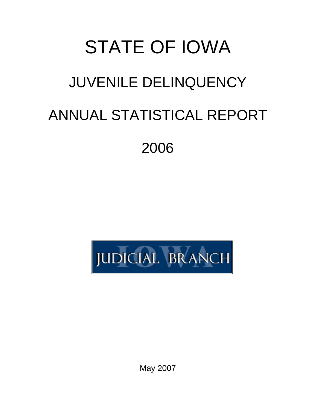# STATE OF IOWA JUVENILE DELINQUENCY ANNUAL STATISTICAL REPORT 2006



May 2007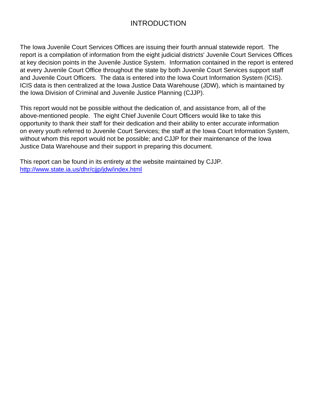# INTRODUCTION

ICIS data is then centralized at the Iowa Justice Data Warehouse (JDW), which is maintained by report is a compilation of information from the eight judicial districts' Juvenile Court Services Offices at key decision points in the Juvenile Justice System. Information contained in the report is entered at every Juvenile Court Office throughout the state by both Juvenile Court Services support staff and Juvenile Court Officers. The data is entered into the Iowa Court Information System (ICIS). The Iowa Juvenile Court Services Offices are issuing their fourth annual statewide report. The the Iowa Division of Criminal and Juvenile Justice Planning (CJJP).

This report would not be possible without the dedication of, and assistance from, all of the above-mentioned people. The eight Chief Juvenile Court Officers would like to take this opportunity to thank their staff for their dedication and their ability to enter accurate information on every youth referred to Juvenile Court Services; the staff at the Iowa Court Information System, without whom this report would not be possible; and CJJP for their maintenance of the Iowa Justice Data Warehouse and their support in preparing this document.

This report can be found in its entirety at the website maintained by CJJP. http://www.state.ja.us/dhr/cjip/jdw/jndex.html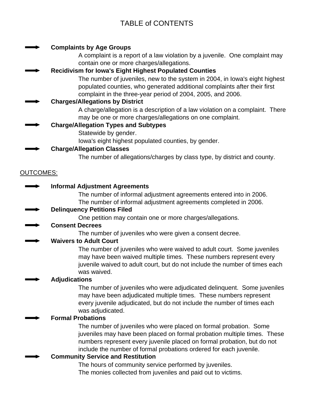# TABLE of CONTENTS

|                  | <b>Complaints by Age Groups</b>                                                                                                                                                                                                                                                                |
|------------------|------------------------------------------------------------------------------------------------------------------------------------------------------------------------------------------------------------------------------------------------------------------------------------------------|
|                  | A complaint is a report of a law violation by a juvenile. One complaint may                                                                                                                                                                                                                    |
|                  | contain one or more charges/allegations.                                                                                                                                                                                                                                                       |
|                  | <b>Recidivism for lowa's Eight Highest Populated Counties</b>                                                                                                                                                                                                                                  |
|                  | The number of juveniles, new to the system in 2004, in lowa's eight highest<br>populated counties, who generated additional complaints after their first<br>complaint in the three-year period of 2004, 2005, and 2006.                                                                        |
|                  | <b>Charges/Allegations by District</b>                                                                                                                                                                                                                                                         |
|                  | A charge/allegation is a description of a law violation on a complaint. There<br>may be one or more charges/allegations on one complaint.                                                                                                                                                      |
|                  | <b>Charge/Allegation Types and Subtypes</b>                                                                                                                                                                                                                                                    |
|                  | Statewide by gender.                                                                                                                                                                                                                                                                           |
|                  | lowa's eight highest populated counties, by gender.                                                                                                                                                                                                                                            |
|                  | <b>Charge/Allegation Classes</b>                                                                                                                                                                                                                                                               |
|                  | The number of allegations/charges by class type, by district and county.                                                                                                                                                                                                                       |
| <b>OUTCOMES:</b> |                                                                                                                                                                                                                                                                                                |
|                  | <b>Informal Adjustment Agreements</b>                                                                                                                                                                                                                                                          |
|                  | The number of informal adjustment agreements entered into in 2006.                                                                                                                                                                                                                             |
|                  | The number of informal adjustment agreements completed in 2006.                                                                                                                                                                                                                                |
|                  | <b>Delinquency Petitions Filed</b>                                                                                                                                                                                                                                                             |
|                  | One petition may contain one or more charges/allegations.                                                                                                                                                                                                                                      |
|                  | <b>Consent Decrees</b>                                                                                                                                                                                                                                                                         |
|                  | The number of juveniles who were given a consent decree.                                                                                                                                                                                                                                       |
|                  | <b>Waivers to Adult Court</b>                                                                                                                                                                                                                                                                  |
|                  | The number of juveniles who were waived to adult court. Some juveniles<br>may have been waived multiple times. These numbers represent every<br>juvenile waived to adult court, but do not include the number of times each<br>was waived.                                                     |
|                  | <b>Adjudications</b>                                                                                                                                                                                                                                                                           |
|                  | The number of juveniles who were adjudicated delinquent. Some juveniles<br>may have been adjudicated multiple times. These numbers represent<br>every juvenile adjudicated, but do not include the number of times each<br>was adjudicated.                                                    |
|                  | <b>Formal Probations</b>                                                                                                                                                                                                                                                                       |
|                  | The number of juveniles who were placed on formal probation. Some<br>juveniles may have been placed on formal probation multiple times. These<br>numbers represent every juvenile placed on formal probation, but do not<br>include the number of formal probations ordered for each juvenile. |
|                  | <b>Community Service and Restitution</b>                                                                                                                                                                                                                                                       |
|                  | The hours of community service performed by juveniles.                                                                                                                                                                                                                                         |
|                  | The monies collected from juveniles and paid out to victims.                                                                                                                                                                                                                                   |
|                  |                                                                                                                                                                                                                                                                                                |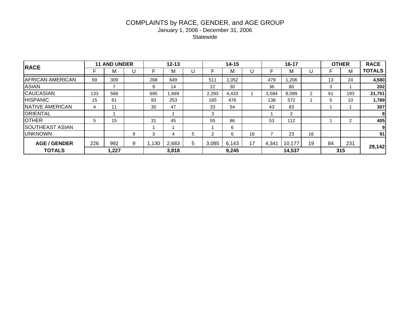#### COMPLAINTS by RACE, GENDER, and AGE GROUP January 1, 2006 - December 31, 2006 Statewide

| <b>RACE</b>             |     | <b>11 AND UNDER</b> |   |       | $12 - 13$ |   |       | $14 - 15$ |    |       | 16-17  |    |    | <b>OTHER</b> | <b>RACE</b>   |
|-------------------------|-----|---------------------|---|-------|-----------|---|-------|-----------|----|-------|--------|----|----|--------------|---------------|
|                         |     | м                   |   |       | ΙVΙ       |   |       | М         |    |       | М      |    |    | М            | <b>TOTALS</b> |
| <b>AFRICAN AMERICAN</b> | 69  | 309                 |   | 268   | 649       |   | 511   | 1,052     |    | 479   | 206. ا |    | 13 | 24           | 4,580         |
| <b>ASIAN</b>            |     | $\overline{ }$      |   | 9     | 14        |   | 22    | 30        |    | 36    | 80     |    | 3  |              | 202           |
| <b>CAUCASIAN</b>        | 133 | 588                 |   | 695   | P.669     |   | 2,293 | 4,433     |    | 3,584 | 8,099  |    | 61 | 193          | 21,751        |
| <b>HISPANIC</b>         | 15  | 61                  |   | 93    | 253       |   | 165   | 476       |    | 138   | 572    |    | 5  | 10           | 1,789         |
| <b>NATIVE AMERICAN</b>  | 4   | 11                  |   | 30    | 47        |   | 33    | 54        |    | 43    | 83     |    |    |              | 307           |
| <b>ORIENTAL</b>         |     |                     |   |       |           |   | 3     |           |    |       | 2      |    |    |              | 8             |
| <b>IOTHER</b>           | 5   | 15                  |   | 31    | 45        |   | 55    | 86        |    | 53    | 112    |    |    | 2            | 405           |
| <b>SOUTHEAST ASIAN</b>  |     |                     |   |       |           |   |       | 6         |    |       |        |    |    |              | $\mathbf{9}$  |
| <b>UNKNOWN</b>          |     |                     | 9 | 3     | 4         | 5 | າ     | 6         | 16 |       | 23     | 16 |    |              | 91            |
| <b>AGE / GENDER</b>     | 226 | 992                 | 9 | 1,130 | 2,683     | 5 | 3,085 | 6,143     | 17 | 4,341 | 10,177 | 19 | 84 | 231          | 29,142        |
| <b>TOTALS</b>           |     | 1,227               |   |       | 3,818     |   |       | 9,245     |    |       | 14,537 |    |    | 315          |               |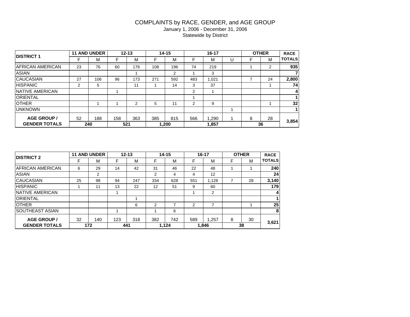#### COMPLAINTS by RACE, GENDER, and AGE GROUP January 1, 2006 - December 31, 2006 Statewide by District

| <b>DISTRICT 1</b>      |    | <b>11 AND UNDER</b> |     | $12 - 13$ |     | $14 - 15$ |     | $16 - 17$ |   |   | <b>OTHER</b> | <b>RACE</b>   |
|------------------------|----|---------------------|-----|-----------|-----|-----------|-----|-----------|---|---|--------------|---------------|
|                        |    | М                   |     | М         |     | М         | Е   | М         | U | F | M            | <b>TOTALS</b> |
| IAFRICAN AMERICAN      | 23 | 76                  | 60  | 176       | 108 | 196       | 74  | 219       |   |   | 2            | 935           |
| <b>ASIAN</b>           |    |                     |     |           |     | 2         |     | 3         |   |   |              |               |
| <b>CAUCASIAN</b>       | 27 | 106                 | 96  | 173       | 271 | 592       | 483 | 1,021     |   |   | 24           | 2,800         |
| <b>IHISPANIC</b>       | 2  | 5                   |     | 11        |     | 14        | 3   | 37        |   |   |              | 74            |
| <b>NATIVE AMERICAN</b> |    |                     |     |           |     |           | 2   |           |   |   |              | 4             |
| <b>ORIENTAL</b>        |    |                     |     |           |     |           |     |           |   |   |              |               |
| <b>OTHER</b>           |    |                     |     | 2         | 5   | 11        | 2   | 9         |   |   |              | 32            |
| <b>UNKNOWN</b>         |    |                     |     |           |     |           |     |           |   |   |              |               |
| <b>AGE GROUP /</b>     | 52 | 188                 | 158 | 363       | 385 | 815       | 566 | 1,290     |   | 8 | 28           | 3,854         |
| <b>GENDER TOTALS</b>   |    | 240                 |     | 521       |     | 1,200     |     | 1,857     |   |   | 36           |               |

| <b>DISTRICT 2</b>       |    | <b>11 AND UNDER</b> |     | $12 - 13$ |     | $14 - 15$ |               | $16 - 17$ |   | <b>OTHER</b> | <b>RACE</b>   |
|-------------------------|----|---------------------|-----|-----------|-----|-----------|---------------|-----------|---|--------------|---------------|
|                         |    | М                   | F   | M         | F   | М         | F             | М         | F | м            | <b>TOTALS</b> |
| IAFRICAN AMERICAN       | 6  | 29                  | 14  | 42        | 31  | 46        | 22            | 48        |   |              | 240           |
| <b>ASIAN</b>            |    | 2                   |     |           | 2   | 4         | 4             | 12        |   |              | 24            |
| <b>CAUCASIAN</b>        | 25 | 98                  | 94  | 247       | 334 | 628       | 551           | 1.128     | 7 | 28           | 3,140         |
| <b>HISPANIC</b>         |    | 11                  | 13  | 22        | 12  | 51        | 9             | 60        |   |              | 179           |
| <b>INATIVE AMERICAN</b> |    |                     |     |           |     |           |               | 2         |   |              | 4             |
| <b>ORIENTAL</b>         |    |                     |     |           |     |           |               |           |   |              |               |
| <b>OTHER</b>            |    |                     |     | 6         | 2   |           | $\mathcal{P}$ | 7         |   |              | 25            |
| <b>SOUTHEAST ASIAN</b>  |    |                     |     |           |     | 6         |               |           |   |              | 8             |
| <b>AGE GROUP /</b>      | 32 | 140                 | 123 | 318       | 382 | 742       | 589           | 1.257     | 8 | 30           |               |
| <b>GENDER TOTALS</b>    |    | 172                 |     | 441       |     | 1.124     |               | 1.846     |   | 38           | 3,621         |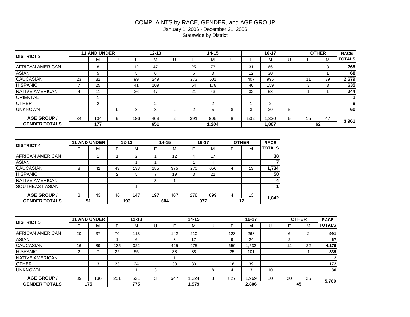#### COMPLAINTS by RACE, GENDER, and AGE GROUP January 1, 2006 - December 31, 2006 Statewide by District

| <b>DISTRICT 3</b>       |    | <b>11 AND UNDER</b> |   |     | $12 - 13$ |   |     | $14 - 15$ |   |     | $16 - 17$      |   |    | <b>OTHER</b> | <b>RACE</b>   |
|-------------------------|----|---------------------|---|-----|-----------|---|-----|-----------|---|-----|----------------|---|----|--------------|---------------|
|                         |    | М                   | U |     | М         |   |     | м         | U |     | м              | U |    | M            | <b>TOTALS</b> |
| <b>AFRICAN AMERICAN</b> |    | 8                   |   | 12  | 47        |   | 25  | 73        |   | 31  | 66             |   |    | 3            | 265           |
| <b>ASIAN</b>            |    | 5                   |   | 5   | 6         |   | 6   | 3         |   | 12  | 30             |   |    |              | 68            |
| <b>CAUCASIAN</b>        | 23 | 82                  |   | 99  | 249       |   | 273 | 501       |   | 407 | 995            |   | 11 | 39           | 2,679         |
| <b>HISPANIC</b>         |    | 25                  |   | 41  | 109       |   | 64  | 178       |   | 46  | 159            |   | 3  | 3            | 635           |
| <b>NATIVE AMERICAN</b>  | 4  | 11                  |   | 26  | 47        |   | 21  | 43        |   | 32  | 58             |   |    |              | 244           |
| <b>ORIENTAL</b>         |    |                     |   |     |           |   |     |           |   |     |                |   |    |              |               |
| <b>OTHER</b>            |    | 2                   |   |     | 2         |   |     | 2         |   |     | $\overline{2}$ |   |    |              | 9             |
| <b>UNKNOWN</b>          |    |                     | 9 | 3   | 3         | ົ | ⌒   | 5         | 8 | 3   | 20             | 5 |    |              | 60            |
| <b>AGE GROUP /</b>      | 34 | 134                 | 9 | 186 | 463       | ⌒ | 391 | 805       | 8 | 532 | ,330           | 5 | 15 | 47           | 3,961         |
| <b>GENDER TOTALS</b>    |    | 177                 |   |     | 651       |   |     | 1,204     |   |     | 1,867          |   |    | 62           |               |

| <b>DISTRICT 4</b>       |    | <b>11 AND UNDER</b> |    | $12 - 13$ |     | $14 - 15$ |     | $16 - 17$ |   | <b>OTHER</b> | <b>RACE</b>     |
|-------------------------|----|---------------------|----|-----------|-----|-----------|-----|-----------|---|--------------|-----------------|
|                         |    | м                   |    | М         |     | м         | F   | М         |   | м            | <b>TOTALS</b>   |
| <b>AFRICAN AMERICAN</b> |    |                     |    | 2         |     | 12        | 4   | 17        |   |              | 38 <sup>1</sup> |
| <b>ASIAN</b>            |    |                     |    |           |     |           |     | 4         |   |              |                 |
| <b>CAUCASIAN</b>        | 8  | 42                  | 43 | 138       | 185 | 375       | 270 | 656       | 4 | 13           | 1,734           |
| <b>HISPANIC</b>         |    |                     | ົ  | 5         |     | 19        | 3   | 22        |   |              | 58 <sup>1</sup> |
| <b>INATIVE AMERICAN</b> |    |                     |    |           | 3   |           |     |           |   |              | 4               |
| <b>SOUTHEAST ASIAN</b>  |    |                     |    |           |     |           |     |           |   |              |                 |
| <b>AGE GROUP /</b>      | 8  | 43                  | 46 | 147       | 197 | 407       | 278 | 699       | 4 | 13           | 1,842           |
| <b>GENDER TOTALS</b>    | 51 |                     |    | 193       |     | 604       |     | 977       |   | 17           |                 |

| <b>IDISTRICT 5</b>      |    | <b>11 AND UNDER</b> |     | $12 - 13$ |   |     | $14 - 15$ |   |     | $16 - 17$ |    |    | <b>OTHER</b> | <b>RACE</b>     |
|-------------------------|----|---------------------|-----|-----------|---|-----|-----------|---|-----|-----------|----|----|--------------|-----------------|
|                         |    | м                   |     | М         | U |     | м         |   |     | М         |    |    | м            | <b>TOTALS</b>   |
| IAFRICAN AMERICAN       | 20 | 37                  | 70  | 113       |   | 142 | 210       |   | 123 | 268       |    | 6  | 2            | 991             |
| <b>ASIAN</b>            |    |                     |     | 6         |   | 8   | 17        |   | 9   | 24        |    | 2  |              | 67              |
| <b>CAUCASIAN</b>        | 16 | 89                  | 135 | 322       |   | 425 | 975       |   | 650 | .533      |    | 12 | 22           | 4,179           |
| <b>HISPANIC</b>         | ົ  |                     | 22  | 55        |   | 38  | 88        |   | 25  | 101       |    |    |              | 339             |
| <b>INATIVE AMERICAN</b> |    |                     |     |           |   |     |           |   |     |           |    |    |              | $\mathbf{2}$    |
| <b>IOTHER</b>           |    |                     | 23  | 24        |   | 33  | 33        |   | 16  | 39        |    |    |              | 172             |
| Iunknown                |    |                     |     |           | 3 |     |           | 8 | 4   | 3         | 10 |    |              | 30 <sub>l</sub> |
| <b>AGE GROUP /</b>      | 39 | 136                 | 251 | 521       | 3 | 647 | .324      | 8 | 827 | .969      | 10 | 20 | 25           | 5,780           |
| <b>GENDER TOTALS</b>    |    | 175                 |     | 775       |   |     | 1.979     |   |     | 2,806     |    |    | 45           |                 |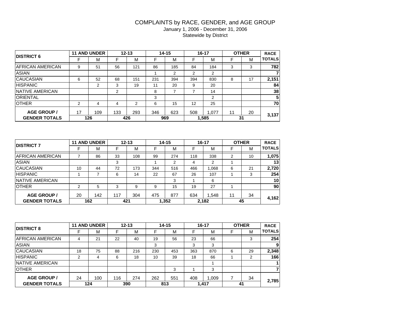#### COMPLAINTS by RACE, GENDER, and AGE GROUP January 1, 2006 - December 31, 2006 Statewide by District

| <b>DISTRICT 6</b>       |    | <b>11 AND UNDER</b> |     | $12 - 13$ |     | $14 - 15$ |                | $16 - 17$ |    | <b>OTHER</b> | <b>RACE</b>   |
|-------------------------|----|---------------------|-----|-----------|-----|-----------|----------------|-----------|----|--------------|---------------|
|                         |    | м                   |     | M         | F   | М         | F              | М         | F  | м            | <b>TOTALS</b> |
| IAFRICAN AMERICAN       | 9  | 51                  | 56  | 121       | 86  | 185       | 84             | 184       | 3  | 3            | 782           |
| <b>ASIAN</b>            |    |                     |     |           |     | 2         | $\overline{2}$ | 2         |    |              |               |
| <b>CAUCASIAN</b>        | 6  | 52                  | 68  | 151       | 231 | 394       | 394            | 830       | 8  | 17           | 2,151         |
| <b>HISPANIC</b>         |    | 2                   | 3   | 19        | 11  | 20        | 9              | 20        |    |              | 84            |
| <b>INATIVE AMERICAN</b> |    |                     | 2   |           | 8   |           |                | 14        |    |              | 38            |
| <b>ORIENTAL</b>         |    |                     |     |           | 3   |           |                | 2         |    |              | 5             |
| <b>OTHER</b>            | 2  | 4                   | 4   | 2         | 6   | 15        | 12             | 25        |    |              | 70            |
| <b>AGE GROUP /</b>      | 17 | 109                 | 133 | 293       | 346 | 623       | 508            | 1.077     | 11 | 20           |               |
| <b>GENDER TOTALS</b>    |    | 126                 |     | 426       |     | 969       |                | 1,585     |    | 31           | 3,137         |

| <b>IDISTRICT 7</b>       |    | <b>11 AND UNDER</b> |     | $12 - 13$ |     | $14 - 15$ |     | 16-17 |    | <b>OTHER</b> | <b>RACE</b>     |
|--------------------------|----|---------------------|-----|-----------|-----|-----------|-----|-------|----|--------------|-----------------|
|                          |    | M                   |     | M         |     | М         |     | M     |    | M            | <b>TOTALS</b>   |
| <b>IAFRICAN AMERICAN</b> |    | 86                  | 33  | 108       | 99  | 274       | 118 | 338   | っ  | 10           | 1,075           |
| <b>ASIAN</b>             |    |                     | 3   |           |     | 2         | 4   | 2     |    |              | 13 <sup>1</sup> |
| <b>CAUCASIAN</b>         | 10 | 44                  | 72  | 173       | 344 | 516       | 466 | .068  | 6  | 21           | 2,720           |
| <b>HISPANIC</b>          |    |                     | 6   | 14        | 22  | 67        | 26  | 107   |    | 3            | 254             |
| <b>INATIVE AMERICAN</b>  |    |                     |     |           |     | 3         |     | 6     |    |              | 10              |
| <b>OTHER</b>             | 2  | 5                   | 3   | 9         | 9   | 15        | 19  | 27    |    |              | 90              |
| <b>AGE GROUP /</b>       | 20 | 142                 | 117 | 304       | 475 | 877       | 634 | .548  | 11 | 34           | 4,162           |
| <b>GENDER TOTALS</b>     |    | 162                 |     | 421       |     | 1.352     |     | 2,182 |    | 45           |                 |

| <b>DISTRICT 8</b>        |    | <b>11 AND UNDER</b> |     | $12 - 13$ |     | $14 - 15$ |     | $16 - 17$ |   | <b>OTHER</b> | <b>RACE</b>   |
|--------------------------|----|---------------------|-----|-----------|-----|-----------|-----|-----------|---|--------------|---------------|
|                          | F  | М                   |     | M         | F   | M         |     | М         |   | М            | <b>TOTALS</b> |
| <b>IAFRICAN AMERICAN</b> | 4  | 21                  | 22  | 40        | 19  | 56        | 23  | 66        |   | 3            | 254           |
| <b>ASIAN</b>             |    |                     |     |           | 3   |           | 3   | 3         |   |              | 9             |
| <b>CAUCASIAN</b>         | 18 | 75                  | 88  | 216       | 230 | 453       | 363 | 870       | 6 | 29           | 2,348         |
| <b>HISPANIC</b>          | 2  | 4                   | 6   | 18        | 10  | 39        | 18  | 66        |   | າ            | 166           |
| <b>INATIVE AMERICAN</b>  |    |                     |     |           |     |           |     |           |   |              |               |
| <b>OTHER</b>             |    |                     |     |           |     | 3         |     | 3         |   |              |               |
| <b>AGE GROUP /</b>       | 24 | 100                 | 116 | 274       | 262 | 551       | 408 | 1.009     |   | 34           | 2,785         |
| <b>GENDER TOTALS</b>     |    | 124                 |     | 390       |     | 813       |     | 1,417     |   | 41           |               |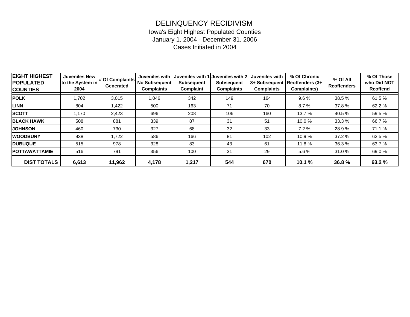## DELINQUENCY RECIDIVISM

#### January 1, 2004 - December 31, 2006 Cases Initiated in 2004 Iowa's Eight Highest Populated Counties

| <b>EIGHT HIGHEST</b><br><b>IPOPULATED</b><br><b>COUNTIES</b> | <b>Juveniles New</b><br>to the System in<br>2004 | # Of Complaints<br>Generated | Juveniles with<br>No Subsequent<br><b>Complaints</b> | Juveniles with 1<br><b>Subsequent</b><br>Complaint | <b>Juveniles with 2</b><br><b>Subsequent</b><br><b>Complaints</b> | Juveniles with<br><b>Complaints</b> | % Of Chronic<br>3+ Subsequent Reoffenders (3+)<br>Complaints) | % Of All<br><b>Reoffenders</b> | % Of Those<br>who Did NOT<br><b>Reoffend</b> |
|--------------------------------------------------------------|--------------------------------------------------|------------------------------|------------------------------------------------------|----------------------------------------------------|-------------------------------------------------------------------|-------------------------------------|---------------------------------------------------------------|--------------------------------|----------------------------------------------|
| <b>POLK</b>                                                  | 1,702                                            | 3,015                        | 1,046                                                | 342                                                | 149                                                               | 164                                 | 9.6%                                                          | 38.5 %                         | 61.5 %                                       |
| <b>LINN</b>                                                  | 804                                              | 1,422                        | 500                                                  | 163                                                | 71                                                                | 70                                  | 8.7%                                                          | 37.8%                          | 62.2%                                        |
| <b>ISCOTT</b>                                                | 1,170                                            | 2,423                        | 696                                                  | 208                                                | 106                                                               | 160                                 | 13.7 %                                                        | 40.5%                          | 59.5 %                                       |
| <b>BLACK HAWK</b>                                            | 508                                              | 881                          | 339                                                  | 87                                                 | 31                                                                | 51                                  | 10.0%                                                         | 33.3 %                         | 66.7%                                        |
| <b>JOHNSON</b>                                               | 460                                              | 730                          | 327                                                  | 68                                                 | 32                                                                | 33                                  | 7.2%                                                          | 28.9%                          | 71.1 %                                       |
| <b>WOODBURY</b>                                              | 938                                              | 1,722                        | 586                                                  | 166                                                | 81                                                                | 102                                 | 10.9 %                                                        | 37.2 %                         | 62.5 %                                       |
| <b>IDUBUQUE</b>                                              | 515                                              | 978                          | 328                                                  | 83                                                 | 43                                                                | 61                                  | 11.8%                                                         | 36.3%                          | 63.7 %                                       |
| <b>IPOTTAWATTAMIE</b>                                        | 516                                              | 791                          | 356                                                  | 100<br>31                                          |                                                                   | 29                                  | 5.6%                                                          | 31.0%                          | 69.0%                                        |
| <b>DIST TOTALS</b>                                           | 6,613                                            | 11,962                       | 4,178                                                | 1,217                                              | 544                                                               | 670                                 | 10.1%                                                         | 36.8%                          | 63.2 %                                       |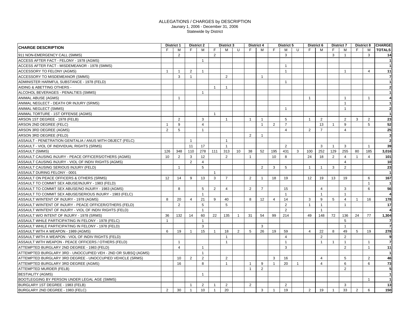| <b>CHARGE DESCRIPTION</b>                                     |                | <b>District 1</b> |                | <b>District 2</b> |                | <b>District 3</b> |                |                | <b>District 4</b> |                | <b>District 5</b>       |                |                | District 6     |                | <b>District 7</b> |                | District 8     | <b>CHARGE</b>           |
|---------------------------------------------------------------|----------------|-------------------|----------------|-------------------|----------------|-------------------|----------------|----------------|-------------------|----------------|-------------------------|----------------|----------------|----------------|----------------|-------------------|----------------|----------------|-------------------------|
|                                                               | F              | м                 | F.             | М                 | F.             | М                 | U              | F              | м                 | F.             | М                       | U              | F.             | M              | F.             | М                 | F.             | M              | <b>TOTALS</b>           |
| 911 NON-EMERGENCY CALL (SMMS)                                 |                | 2                 |                |                   | $\overline{2}$ |                   |                |                |                   |                | $\mathbf{3}$            |                |                |                | 3              | $\overline{1}$    |                | $\mathbf{3}$   | 14                      |
| ACCESS AFTER FACT - FELONY - 1978 (AGMS)                      |                |                   |                | $\mathbf{1}$      |                |                   |                |                |                   |                |                         |                |                |                |                |                   |                |                |                         |
| ACCESS AFTER FACT - MISDEMEANOR - 1978 (SMMS)                 |                |                   |                |                   |                |                   |                |                |                   |                | $\overline{1}$          |                |                |                |                |                   |                |                |                         |
| ACCESSORY TO FELONY (AGMS)                                    | $\overline{1}$ | $\overline{1}$    | $\overline{2}$ | $\overline{1}$    |                |                   |                |                |                   |                | $\overline{\mathbf{1}}$ |                |                |                |                | $\mathbf{1}$      |                | $\overline{4}$ | 11                      |
| ACCESSORY TO MISDEMEANOR (SMMS)                               |                | 3                 | $\overline{1}$ |                   |                | 2                 |                |                | $\overline{1}$    |                |                         |                |                |                |                |                   |                |                | $\overline{7}$          |
| ADMINISTER HARMFUL SUBSTANCE - 1978 (FELD)                    |                |                   |                |                   |                |                   |                |                |                   |                | $\overline{1}$          |                |                |                |                |                   |                |                |                         |
| AIDING & ABETTING OTHERS -                                    |                |                   |                |                   | $\overline{1}$ | $\overline{1}$    |                |                |                   |                |                         |                |                |                |                |                   |                |                |                         |
| ALCOHOL BEVERAGES - PENALTIES (SMMS)                          |                |                   |                | $\mathbf{1}$      |                |                   |                |                |                   |                |                         |                |                |                |                |                   |                |                |                         |
| <b>ANIMAL ABUSE (AGMS)</b>                                    |                | $\overline{1}$    |                |                   |                |                   |                |                |                   |                |                         |                | $\mathbf{1}$   |                |                | $\mathbf{1}$      |                | $\mathbf{1}$   |                         |
| ANIMAL NEGLECT - DEATH OR INJURY (SRMS)                       |                |                   |                |                   |                |                   |                |                |                   |                |                         |                |                |                |                | $\overline{1}$    |                |                |                         |
| ANIMAL NEGLECT (SMMS)                                         |                |                   |                |                   |                |                   |                |                |                   |                | $\overline{1}$          |                |                |                |                | $\overline{1}$    |                |                | $\overline{2}$          |
| ANIMAL TORTURE - 1ST OFFENSE (AGMS)                           |                |                   |                |                   | $\overline{1}$ |                   |                |                |                   |                |                         |                |                |                |                |                   |                |                |                         |
| ARSON 1ST DEGREE - 1978 (FELB)                                |                | 2                 |                | 3                 |                | $\overline{1}$    |                | $\overline{1}$ | $\overline{1}$    |                | 5                       |                | $\overline{1}$ | 2              |                | 2                 | 3              | $\overline{2}$ | 23                      |
| ARSON 2ND DEGREE (FELC)                                       |                | 9                 |                | $\overline{4}$    |                |                   |                |                | $\overline{1}$    | 2              | $\overline{7}$          |                |                | 13             | $\overline{1}$ | 9                 |                | 5              | 52                      |
| ARSON 3RD DEGREE (AGMS)                                       | $\overline{2}$ | 5                 |                | $\mathbf{1}$      |                |                   |                |                |                   |                | $\overline{4}$          |                | 2              | $\overline{7}$ |                | $\overline{4}$    |                |                | 25                      |
| ARSON 3RD DEGREE (FELD)                                       |                |                   |                |                   |                |                   |                | 2              | $\overline{1}$    |                |                         |                |                |                |                |                   |                |                | $\overline{\mathbf{3}}$ |
| ASSAULT - PENETRATION GENITALIA / ANUS WITH OBJECT (FELC)     |                |                   | $\overline{1}$ |                   |                | $\overline{1}$    |                |                |                   |                |                         |                |                |                |                |                   |                |                | $\overline{2}$          |
| ASSAULT - VIOL OF INDIVIDUAL RIGHTS (SRMS)                    |                |                   | 11             | 17                |                | $\overline{1}$    |                |                |                   |                | $\overline{2}$          |                |                | 3              | $\overline{1}$ | 3                 |                | $\mathbf{1}$   | 39                      |
| <b>ASSAULT (SMMS)</b>                                         | 126            | 348               | 110            | 278               | 111            | 313               | 10             | 38             | 52                | 195            | 431                     | 3              | 100            | 252            | 129            | 255               | 80             | 185            | 3,016                   |
| ASSAULT CAUSING INJURY - PEACE OFFICERS/OTHERS (AGMS)         | 10             | $\overline{2}$    | $\mathbf{3}$   | 12                |                | $\overline{2}$    |                | $\overline{1}$ |                   | 10             | 8                       |                | 24             | 18             | $\overline{2}$ | $\overline{4}$    | $\mathbf{1}$   | $\overline{4}$ | 101                     |
| ASSAULT CAUSING INJURY - VIOL OF INDIV RIGHTS (AGMS)          |                |                   | $\overline{2}$ | $\overline{4}$    |                |                   |                |                |                   |                |                         |                |                |                |                | $\overline{4}$    |                |                | 10                      |
| ASSAULT CAUSING SERIOUS INJURY (FELD)                         |                | $\overline{1}$    |                | 5                 |                |                   |                |                | $\overline{2}$    | 3              | 5                       |                | $\overline{1}$ | $\overline{1}$ | 3              | $\overline{2}$    |                |                | 23                      |
| ASSAULT DURING FELONY - 0001                                  |                |                   |                |                   | $\overline{1}$ |                   |                |                |                   |                |                         |                |                |                |                |                   |                |                |                         |
| ASSAULT ON PEACE OFFICERS & OTHERS (SRMS)                     | 12             | 14                | 9              | 13                | 3              | $\overline{7}$    |                | 2              | $\overline{1}$    | 18             | 19                      |                | 12             | 19             | 13             | 19                |                | 6              | 167                     |
| ASSAULT TO COMMIT SEX ABUSE/INJURY - 1983 (FELD)              |                |                   |                |                   |                |                   |                |                |                   |                |                         |                |                |                |                |                   |                | $\mathbf{1}$   |                         |
| ASSAULT TO COMMIT SEX ABUSE/NO INJURY - 1983 (AGMS)           |                | 8                 |                | 5                 | 2              | $\overline{4}$    |                | 2              | $\overline{7}$    |                | 15                      |                |                | $\overline{4}$ |                | 3                 |                | 6              | 56                      |
| ASSAULT TO COMMIT SEX ABUSE/SERIOUS INJURY - 1983 (FELC)      |                |                   |                | $\overline{1}$    |                |                   |                |                |                   |                | $\overline{1}$          |                |                | $\overline{1}$ |                | $\overline{1}$    |                |                |                         |
| ASSAULT W/INTENT OF INJURY - 1978 (AGMS)                      | 8              | 20                | $\overline{4}$ | 21                | 9              | 40                |                | 8              | 12                | $\overline{4}$ | 14                      |                | 3              | 9              | 5              | $\overline{4}$    | $\mathbf{1}$   | 16             | 178                     |
| ASSAULT W/INTENT OF INJURY - PEACE OFFICER/OTHERS (FELD)      |                | 2                 |                | 5                 |                | 5                 |                |                |                   |                | $\overline{2}$          |                | $\overline{1}$ | $\mathbf{1}$   |                | $\mathbf{1}$      |                |                | 17                      |
| ASSAULT W/INTENT OF INJURY - VIOL OF INDIV RIGHTS (FELD)      |                |                   |                | $\mathbf{1}$      |                |                   |                |                |                   |                | $\overline{2}$          |                |                | $\overline{1}$ |                |                   |                |                |                         |
| ASSAULT W/O INTENT OF INJURY - 1978 (SRMS)                    | 36             | 132               | 14             | 60                | 22             | 135               | $\overline{1}$ | 31             | 54                | 99             | 214                     |                | 49             | 148            | 72             | 136               | 24             | 77             | 1,304                   |
| ASSAULT WHILE PARTICIPATING IN FELONY - 1978 (FELC)           | $\overline{1}$ |                   |                | $\mathbf{1}$      |                |                   |                |                |                   |                |                         |                |                |                |                | 5                 |                |                | 7                       |
| ASSAULT WHILE PARTICIPATING IN FELONY - 1978 (FELD)           |                |                   |                | 3                 |                |                   |                |                | 3                 |                |                         |                |                |                |                | $\overline{1}$    |                |                | $\overline{7}$          |
| ASSAULT WITH A WEAPON - 1989 (AGMS)                           | 6              | 19                | $\mathbf{1}$   | 15                | $\overline{1}$ | 18                | 2              | 5              | 26                | 19             | 59                      |                | $\overline{4}$ | 22             | 8              | 49                | 5              | 19             | 278                     |
| ASSAULT WITH A WEAPON - VIOL OF INDIV RIGHTS (FELD)           |                |                   |                |                   |                | $\overline{1}$    |                |                |                   |                | $\overline{4}$          |                |                | 2              |                | $\overline{2}$    |                |                | 9                       |
| ASSAULT WITH WEAPON - PEACE OFFICERS / OTHERS (FELD)          |                | $\overline{1}$    |                |                   |                | $\overline{1}$    |                |                |                   |                | $\overline{1}$          |                |                | $\mathbf{1}$   |                | $\mathbf{1}$      |                | $\mathbf{1}$   | $\overline{7}$          |
| ATTEMPTED BURGLARY 2ND DEGREE - 1983 (FELD)                   |                | $\overline{4}$    |                | $\overline{1}$    |                |                   |                |                |                   |                | 3                       |                |                |                |                | 2                 |                | $\mathbf{1}$   | 11                      |
| ATTEMPTED BURGLARY 3RD - UNOCCUPIED VEH - 2ND OR SUBSQ (AGMS) |                |                   |                | $\overline{1}$    |                |                   |                |                |                   |                |                         |                |                |                |                |                   |                |                | $\vert$ 1               |
| ATTEMPTED BURGLARY 3RD DEGREE - UNOCCUPIED VEHICLE (SRMS)     |                | 10                | 2              | $\overline{2}$    |                | $\overline{2}$    |                |                |                   | 3              | 16                      |                |                | $\overline{4}$ |                | 5                 |                | $\overline{2}$ | 46                      |
| ATTEMPTED BURGLARY 3RD DEGREE (AGMS)                          |                | 16                |                | 8                 |                | $\overline{1}$    |                | $\overline{1}$ | 9                 | $\mathbf{1}$   | 20                      | $\overline{1}$ |                | $\overline{4}$ |                | 6                 |                | 6              | 73                      |
| <b>ATTEMPTED MURDER (FELB)</b>                                |                |                   |                |                   |                |                   |                | $\overline{1}$ | $\overline{2}$    |                |                         |                |                |                |                | $\overline{2}$    |                |                | 5                       |
| <b>BESTIALITY (AGMS)</b>                                      |                |                   |                | $\mathbf{1}$      |                |                   |                |                |                   |                |                         |                |                |                |                |                   |                |                |                         |
| BOOTLEGGING BY PERSON UNDER LEGAL AGE (SMMS)                  |                |                   |                |                   |                |                   |                |                |                   |                |                         |                |                |                |                |                   |                | $\mathbf{1}$   |                         |
| BURGLARY 1ST DEGREE - 1983 (FELB)                             |                |                   | $\mathbf{1}$   | $\overline{2}$    | $\overline{1}$ | 2                 |                | 2              |                   |                | 2                       |                |                |                |                | 3                 |                |                | 13                      |
| BURGLARY 2ND DEGREE - 1983 (FELC)                             | $\overline{2}$ | 30                | $\overline{1}$ | 10                | $\overline{1}$ | 20                |                |                | 3                 | $\overline{1}$ | 19                      |                | 2              | 19             | $\overline{1}$ | 33                | $\overline{2}$ | 6              | 150                     |
|                                                               |                |                   |                |                   |                |                   |                |                |                   |                |                         |                |                |                |                |                   |                |                |                         |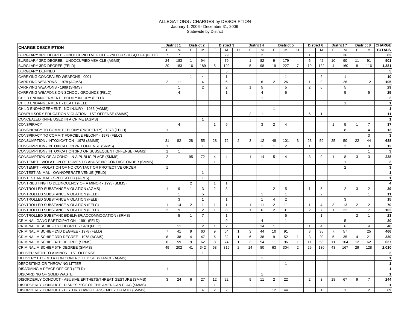| <b>CHARGE DESCRIPTION</b>                                          |                | <b>District 1</b> | <b>District 2</b> |                |                | <b>District 3</b>       |                |                | <b>District 4</b> |                | District 5     |                |                | District 6     |                | <b>District 7</b> |                | District 8     | <b>CHARGE</b>           |
|--------------------------------------------------------------------|----------------|-------------------|-------------------|----------------|----------------|-------------------------|----------------|----------------|-------------------|----------------|----------------|----------------|----------------|----------------|----------------|-------------------|----------------|----------------|-------------------------|
|                                                                    | F              | м                 | F.                | M              | F.             | м                       | U              | F.             | M                 | F.             | M              | U              | F.             | M              | F.             | м                 | F              | M              | <b>TOTALS</b>           |
| BURGLARY 3RD DEGREE - UNOCCUPIED VEHICLE - 2ND OR SUBSQ OFF (FELD) | $\overline{7}$ | $\overline{7}$    |                   |                |                | 29                      |                |                | $\overline{2}$    |                |                |                | $\overline{1}$ |                |                | 36                |                |                | 82                      |
| BURGLARY 3RD DEGREE - UNOCCUPIED VEHICLE (AGMS)                    | 24             | 183               | $\overline{1}$    | 94             |                | 79                      |                | $\mathbf{1}$   | 82                | 9              | 179            |                | 5              | 42             | 10             | 90                | 11             | 91             | 901                     |
| BURGLARY 3RD DEGREE (FELD)                                         | 20             | 183               | 16                | 189            | 5              | 192                     |                | 5              | 98                | 19             | 227            | $\overline{7}$ | 10             | 122            | $\overline{4}$ | 160               | 8              | 116            | 1,381                   |
| <b>BURGLARY DEFINED</b>                                            |                |                   |                   |                |                | 5                       |                |                |                   |                |                |                |                |                |                |                   |                |                | 5                       |
| CARRYING CONCEALED WEAPONS - 0001                                  |                |                   | $\overline{1}$    | $\overline{4}$ |                | $\overline{1}$          |                |                |                   |                | $\overline{1}$ |                |                | 2              |                | $\overline{1}$    |                |                | 10                      |
| CARRYING WEAPONS - 1978 (AGMS)                                     | $\overline{2}$ | 11                |                   | $\overline{4}$ |                | 6                       |                |                | 6                 | 2              | 26             |                | $\overline{1}$ | 9              |                | 26                |                | 12             | 105                     |
| CARRYING WEAPONS - 1989 (SRMS)                                     |                | $\overline{1}$    |                   | $\overline{2}$ |                | $\overline{2}$          |                | $\overline{1}$ | 5                 |                | 5              |                | 2              | 6              |                | 5                 |                |                | 29                      |
| CARRYING WEAPONS ON SCHOOL GROUNDS (FELD)                          |                | $\overline{4}$    |                   |                |                | $\overline{1}$          |                |                | $\overline{4}$    |                | 6              |                |                |                |                | 5                 |                | 5              | 25                      |
| CHILD ENDANGERMENT - BODILY INJURY (FELD)                          |                |                   |                   |                |                |                         |                |                | $\overline{1}$    |                | $\overline{1}$ |                |                |                |                |                   |                |                | $\overline{2}$          |
| CHILD ENDANGERMENT - DEATH (FELB)                                  |                |                   |                   |                |                |                         |                |                |                   |                |                |                |                |                |                | $\mathbf{1}$      |                |                |                         |
| CHILD ENDANGERMENT - NO INJURY - 1985 (AGMS)                       |                |                   |                   |                |                |                         |                |                |                   | $\mathbf{1}$   |                |                |                |                |                |                   |                |                | $\overline{\mathbf{1}}$ |
| COMPULSORY EDUCATION VIOLATION - 1ST OFFENSE (SMMS)                |                |                   | $\mathbf{1}$      |                |                |                         |                | $\mathcal{P}$  | $\overline{1}$    |                |                |                | 6              | $\mathbf{1}$   |                |                   |                |                | 11                      |
| CONCEALED KNIFE USED IN A CRIME (AGMS)                             |                |                   |                   | $\mathbf{1}$   |                |                         |                |                |                   |                |                |                |                |                |                |                   |                |                |                         |
| <b>CONSPIRACY</b>                                                  |                | $\overline{4}$    |                   |                | $\overline{1}$ | 9                       |                |                | 3                 | 2              | $\overline{4}$ |                |                |                |                | 5                 | $\overline{1}$ | $\overline{7}$ | 37                      |
| CONSPIRACY TO COMMIT FELONY (PROPERTY) - 1978 (FELD)               |                |                   |                   |                |                |                         |                |                |                   |                |                |                |                |                |                | 8                 |                | $\overline{4}$ | 13                      |
| CONSPIRACY TO COMMIT FORCIBLE FELONY - 1978 (FELC)                 |                |                   |                   |                |                |                         |                |                |                   |                |                |                |                |                |                |                   |                | 3              | $\overline{\mathbf{3}}$ |
| CONSUMPTION / INTOXICATION - 1978 (SMMS)                           | 31             | 82                | 28                | 55             | 28             | 72                      | $\overline{2}$ | $\mathcal{R}$  | 12                | 48             | 101            | 3              | 23             | 59             | 25             | 50                | 22             | 44             | 688                     |
| CONSUMPTION / INTOXICATION 2ND OFFENSE (SRMS)                      | $\overline{1}$ |                   |                   | $\overline{1}$ |                |                         |                |                | $\overline{1}$    | $\overline{1}$ | $\overline{2}$ |                | $\overline{1}$ |                |                | $\mathcal{P}$     |                | 3              | 12                      |
| CONSUMPTION / INTOXICATION 3RD OR SUBSEQUENT OFFENSE (AGMS)        | $\mathbf{1}$   | $\overline{1}$    |                   |                |                |                         |                |                |                   |                |                |                |                |                |                |                   |                | $\mathbf{1}$   |                         |
| CONSUMPTION OF ALCOHOL IN A PUBLIC PLACE (SMMS)                    | $\overline{2}$ |                   | 95                | 72             | $\overline{4}$ | $\overline{4}$          |                | $\overline{1}$ | 14                | 5              | 4              |                | 3              | 9              |                | 8                 | 3              | 3              | 228                     |
| CONTEMPT - VIOLATION OF DOMESTIC ABUSE NO CONTACT ORDER (SMMS)     |                |                   |                   |                | $\overline{1}$ |                         |                |                |                   |                |                |                |                |                |                | $\overline{1}$    |                |                | $\overline{2}$          |
| CONTEMPT - VIOLATION OF NO CONTACT OR PROTECTIVE ORDER             | $\mathbf{1}$   |                   |                   |                |                |                         |                |                |                   |                |                |                |                |                |                | 2                 |                |                | $\overline{\mathbf{3}}$ |
| CONTEST ANIMAL - OWN/OPERATE VENUE (FELD)                          |                |                   |                   | $\overline{1}$ |                |                         |                |                |                   |                |                |                |                |                |                |                   |                |                |                         |
| CONTEST ANIMAL - SPECTATOR (AGMS)                                  |                |                   |                   | $\overline{1}$ |                |                         |                |                |                   |                |                |                |                |                |                |                   |                |                |                         |
| CONTRIBUTING TO DELINQUENCY OF A MINOR - 1993 (SMMS)               |                |                   | 2                 |                | $\mathbf{1}$   |                         |                |                |                   |                |                |                |                |                |                |                   |                |                |                         |
| CONTROLLED SUBSTANCE VIOLATION (AGMS)                              | $\overline{1}$ | 9                 | $\mathbf{1}$      | 3              | 2              | 3                       |                |                |                   | 2              | 5              |                | $\mathbf{1}$   | 5              |                | $\overline{2}$    | 3              | $\overline{2}$ | 39                      |
| <b>CONTROLLED SUBSTANCE VIOLATION (FELB)</b>                       |                | $\overline{1}$    |                   | 5              |                |                         |                |                | $\overline{1}$    |                | $\overline{1}$ |                |                | 2              |                |                   |                | $\mathbf{1}$   | 11                      |
| CONTROLLED SUBSTANCE VIOLATION (FELB)                              |                | 3                 |                   | $\mathbf{1}$   |                | $\overline{1}$          |                |                | $\overline{1}$    | $\overline{4}$ | $\overline{2}$ |                |                |                |                | 3                 |                |                | 15                      |
| CONTROLLED SUBSTANCE VIOLATION (FELC)                              | $\overline{1}$ | 14                | $\overline{2}$    | $\mathbf{1}$   | $\overline{1}$ | $\overline{\mathbf{1}}$ |                | $\overline{1}$ | 11                | $\overline{2}$ | 11             |                | $\overline{1}$ | $\overline{4}$ | 3              | 13                | 2              | 2              | 70                      |
| CONTROLLED SUBSTANCE VIOLATION (FELD)                              | $\overline{2}$ | 9                 |                   | 2              | $\overline{1}$ | 8                       |                | $\overline{1}$ | 6                 | $\overline{2}$ | 31             |                | 2              | $\overline{7}$ | $\overline{1}$ | 22                | $\overline{1}$ | $\overline{7}$ | 102                     |
| CONTROLLED SUBSTANCE/DELIVER/ACCOMMODATION (SRMS)                  |                | 5                 | $\mathbf{1}$      | $\overline{7}$ |                | $\overline{1}$          |                |                |                   |                | 5              |                |                | $\mathbf{1}$   |                |                   | 2              | $\mathbf{1}$   | 23                      |
| CRIMINAL GANG PARTICIPATION - 1991 (FELD)                          |                |                   | $\mathbf{1}$      |                |                | 9                       |                |                | $\overline{4}$    |                | $\overline{1}$ |                |                |                |                | 5                 |                |                | 20                      |
| CRIMINAL MISCHIEF 1ST DEGREE - 1978 (FELC)                         |                | 11                |                   | $\overline{2}$ | $\overline{1}$ | 2                       |                |                | 14                | $\overline{1}$ |                |                | $\overline{1}$ | $\overline{4}$ |                | 6                 |                | $\overline{4}$ | 46                      |
| CRIMINAL MISCHIEF 2ND DEGREE - 1978 (FELD)                         | $\overline{7}$ | 41                | 9                 | 60             | 9              | 64                      | $\mathbf{1}$   | 3              | 44                | 10             | 91             |                | 3              | 35             | $\overline{7}$ | 57                |                | 25             | 466                     |
| CRIMINAL MISCHIEF 3RD DEGREE - 1978 (AGMS)                         | 8              | 38                | $\overline{4}$    | 47             | 6              | 32                      | $\overline{1}$ | 6              | 38                | 9              | 52             | $\overline{1}$ | 3              | 20             | 5              | 35                | $\overline{4}$ | 21             | 330                     |
| CRIMINAL MISCHIEF 4TH DEGREE (SRMS)                                | 6              | 59                | 9                 | 62             | 8              | 74                      | $\mathbf{1}$   | 3              | 54                | 11             | 96             | $\overline{1}$ | 11             | 53             | 11             | 104               | 12             | 62             | 637                     |
| CRIMINAL MISCHIEF 5TH DEGREE (SMMS)                                | 49             | 202               | 41                | 342            | 63             | 316                     | 2              | 14             | 80                | 63             | 304            | 2              | 29             | 136            | 43             | 167               | 29             | 128            | 2,010                   |
| DELIVER METH TO A MINOR - 1ST OFFENSE                              |                | $\overline{1}$    |                   | $\overline{1}$ |                |                         |                |                |                   |                |                |                |                |                |                |                   |                |                |                         |
| DELIVERY ETC-IMITATION CONTROLLED SUBSTANCE (AGMS)                 |                |                   |                   |                |                |                         |                |                | $\overline{1}$    |                |                |                |                |                |                |                   |                |                |                         |
| DEPOSITING OR THROWING LITTER                                      |                |                   |                   |                |                |                         |                |                |                   |                | $\overline{1}$ |                |                |                |                |                   |                |                |                         |
| DISARMING A PEACE OFFICER (FELD)                                   | $\overline{1}$ |                   |                   |                |                |                         |                |                |                   |                |                |                |                |                |                |                   |                |                |                         |
| DISCARDING OF SOLID WASTE                                          |                |                   |                   |                |                |                         |                |                |                   |                |                |                |                |                |                |                   |                |                |                         |
| DISORDERLY CONDUCT - ABUSIVE EPITHETS/THREAT GESTURE (SMMS)        | 3              | 24                | 6                 | 27             | 12             | 22                      |                | 9              | 11                | 2              | 22             |                | $\overline{2}$ | 3              | 18             | 67                | 9              | $\overline{7}$ | 244                     |
| DISORDERLY CONDUCT - DISRESPECT OF THE AMERICAN FLAG (SMMS)        |                |                   |                   |                | $\overline{1}$ |                         |                |                |                   |                |                |                |                |                |                |                   |                |                |                         |
| DISORDERLY CONDUCT - DISTURB LAWFUL ASSEMBLY OR MTG (SMMS)         |                | $\overline{1}$    |                   | $\overline{4}$ | $\overline{2}$ | 2                       |                |                |                   | 12             | 44             |                |                | $\overline{1}$ |                | $\overline{1}$    |                | $\overline{2}$ | 69                      |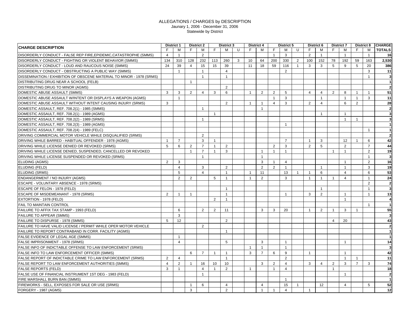| М<br>М<br>F<br>M<br>U<br>M<br>F<br>М<br>U<br>M<br>M<br><b>TOTALS</b><br>F.<br>F.<br>F.<br>F.<br>F.<br>М<br>F.<br>$\overline{4}$<br>2<br>3<br>2<br>$\overline{1}$<br>$\overline{1}$<br>$\mathbf{1}$<br>$\mathbf{1}$<br>$\mathbf{1}$<br>134<br>330<br>310<br>128<br>232<br>113<br>260<br>3<br>10<br>64<br>200<br>2<br>100<br>152<br>78<br>192<br>59<br>163<br>24<br>39<br>15<br>39<br>18<br>59<br>116<br>3<br>5<br>5<br>20<br>$\overline{4}$<br>15<br>11<br>$\mathbf{1}$<br>3<br>9<br>$\overline{2}$<br>3<br>$\overline{1}$<br>$\overline{1}$<br>$\overline{4}$<br>$\overline{1}$<br>$\overline{1}$<br>$\overline{1}$<br>2<br>3<br>3<br>2<br>6<br>$\overline{2}$<br>2<br>5<br>$\overline{2}$<br>$\overline{4}$<br>3<br>$\overline{1}$<br>$\overline{4}$<br>$\overline{4}$<br>8<br>$\overline{1}$<br>$\overline{1}$<br>$\overline{1}$<br>$\mathbf{1}$<br>3<br>$\mathbf{1}$<br>$\overline{1}$<br>3<br>$\overline{1}$<br>3<br>3<br>2<br>$\overline{4}$<br>2<br>$\overline{4}$<br>$\overline{2}$<br>$\overline{1}$<br>6<br>$\overline{1}$<br>$\overline{1}$<br>$\mathbf{1}$<br>$\overline{1}$<br>$\overline{1}$<br>$\overline{1}$<br>$\overline{1}$<br>$\overline{1}$<br>$\overline{1}$<br>$\mathbf{1}$<br>2<br>3<br>$\overline{7}$<br>$\overline{7}$<br>3<br>12<br>6<br>$\overline{1}$<br>$\mathbf{1}$<br>$\overline{1}$<br>-1<br>$5^{\circ}$<br>$\overline{7}$<br>5<br>DRIVING WHILE LICENSE DENIED OR REVOKED (SRMS)<br>6<br>2<br>2<br>2<br>3<br>$\overline{2}$<br>$\overline{7}$<br>$\mathbf{1}$<br>2<br>$\overline{7}$<br>3<br>$\overline{2}$<br>$\mathbf{1}$<br>$\mathbf{1}$<br>$\mathbf{1}$<br>$\overline{1}$<br>$\mathbf{1}$<br>$\mathbf{1}$<br>$\mathbf{1}$<br>$\mathbf{1}$<br>$\overline{1}$<br>$\mathbf{1}$<br>$\overline{2}$<br>3<br>$\overline{2}$<br>3<br>$\overline{4}$<br>$\mathbf{1}$<br>$\overline{1}$<br>3<br>2<br>$\overline{2}$<br>2<br>3<br>$\overline{4}$<br>$\mathbf{1}$<br>$\overline{1}$<br>$\mathbf{1}$<br>$5\overline{5}$<br>$\overline{4}$<br>6<br>6<br>$\overline{1}$<br>$\overline{1}$<br>11<br>13<br>$\overline{4}$<br>$\overline{1}$<br>$\mathbf{1}$<br>$\overline{2}$<br>$\overline{2}$<br>5<br>$\overline{2}$<br>3<br>$\overline{1}$<br>$\overline{4}$<br>$\overline{1}$<br>$\overline{1}$<br>$\mathbf{1}$<br>$\mathbf{1}$<br>$\mathbf{1}$<br>2<br>$\mathbf{1}$<br>$\mathbf{1}$<br>$\overline{1}$<br>$\overline{2}$<br>3<br>$\overline{2}$<br>$\overline{1}$<br>$\overline{1}$<br>$\overline{1}$<br>$\mathbf{1}$<br>$\overline{\mathbf{1}}$<br>$\mathbf{1}$<br>2<br>$\overline{1}$<br>$\mathbf{1}$<br>$\mathbf{1}$<br>2<br>6<br>2<br>11<br>3<br>3<br>20<br>$\overline{1}$<br>$\overline{2}$<br>$\overline{1}$<br>3<br>$\overline{1}$<br>3<br>5<br>12<br>2<br>$\overline{4}$<br>20<br>$\overline{2}$<br>$\overline{1}$<br>$\overline{1}$<br>$\mathbf 1$<br>$\overline{4}$<br>5<br>3<br>$\overline{1}$<br>$\mathbf{1}$<br>FALSE INFO OF INDICTABLE OFFENSE TO LAW ENFORCEMENT (SRMS)<br>$\overline{1}$<br>$\mathbf{1}$<br>$\overline{1}$<br>$\overline{7}$<br>3<br>$\overline{7}$<br>9<br>6<br>6<br>$\mathbf{1}$<br>$\mathbf{1}$<br>$\overline{1}$<br>$\overline{1}$<br>2<br>$\overline{2}$<br>$\overline{4}$<br>$\overline{1}$<br>$\overline{1}$<br>$\overline{4}$<br>2<br>16<br>10<br>2<br>$\overline{2}$<br>3<br>$\overline{7}$<br>3<br>10<br>3<br>$\overline{4}$<br>3<br>$\overline{4}$<br>$\mathbf{1}$<br>3<br>2<br>$\overline{1}$<br>$\overline{4}$<br>$\overline{1}$<br>$\overline{1}$<br>$\mathbf{1}$<br>$\overline{4}$<br>$\mathbf{1}$<br>$\overline{1}$<br>$\overline{1}$<br>$\overline{\mathbf{1}}$<br>6<br>15<br>12<br>5<br>$\overline{4}$<br>$\overline{4}$<br>$\overline{4}$<br>$\overline{1}$<br>$\overline{1}$<br>FORGERY - 1987 (AGMS)<br>3<br>$\overline{2}$<br>$\overline{4}$<br>$\overline{1}$<br>$\overline{1}$<br>$\overline{1}$ | <b>CHARGE DESCRIPTION</b>                                             | <b>District 1</b> | <b>District 2</b> |  | <b>District 3</b> | <b>District 4</b> |  | <b>District 5</b> |  | District 6 | <b>District 7</b> |  | <b>CHARGE</b><br><b>District 8</b> |  |
|-----------------------------------------------------------------------------------------------------------------------------------------------------------------------------------------------------------------------------------------------------------------------------------------------------------------------------------------------------------------------------------------------------------------------------------------------------------------------------------------------------------------------------------------------------------------------------------------------------------------------------------------------------------------------------------------------------------------------------------------------------------------------------------------------------------------------------------------------------------------------------------------------------------------------------------------------------------------------------------------------------------------------------------------------------------------------------------------------------------------------------------------------------------------------------------------------------------------------------------------------------------------------------------------------------------------------------------------------------------------------------------------------------------------------------------------------------------------------------------------------------------------------------------------------------------------------------------------------------------------------------------------------------------------------------------------------------------------------------------------------------------------------------------------------------------------------------------------------------------------------------------------------------------------------------------------------------------------------------------------------------------------------------------------------------------------------------------------------------------------------------------------------------------------------------------------------------------------------------------------------------------------------------------------------------------------------------------------------------------------------------------------------------------------------------------------------------------------------------------------------------------------------------------------------------------------------------------------------------------------------------------------------------------------------------------------------------------------------------------------------------------------------------------------------------------------------------------------------------------------------------------------------------------------------------------------------------------------------------------------------------------------------------------------------------------------------------------------------------------------------------------------------------------------------------------------------------------------------------------------------------------------------------------------------------------------------------------------------------------------------------------------------------------------------------------------------------------------------------------------------------------------------------------------------------------------------------------------------------------------------------------------------------------------------------------------------------------------------------------------------------------------------------------|-----------------------------------------------------------------------|-------------------|-------------------|--|-------------------|-------------------|--|-------------------|--|------------|-------------------|--|------------------------------------|--|
| 16<br>2,530<br>386<br>11<br>$\mathbf{3}$<br>$\overline{1}$<br>$\overline{2}$<br>51<br>11<br>28<br>$\overline{2}$<br>$\overline{\mathbf{3}}$<br>$\mathbf{3}$<br>$\overline{1}$<br>$\overline{2}$<br>42<br>44<br>19<br>$\overline{\mathbf{3}}$<br>16<br>19<br>53<br>24<br>$\overline{2}$<br>$\mathbf{3}$<br>13<br>$\overline{4}$<br>$\overline{1}$<br>55<br>$\mathbf{3}$<br>43<br>$\mathbf{2}$<br>$\overline{1}$<br>14<br>42<br>11<br>74<br>18<br>$\overline{2}$<br>$\vert$ 1<br>52<br>12                                                                                                                                                                                                                                                                                                                                                                                                                                                                                                                                                                                                                                                                                                                                                                                                                                                                                                                                                                                                                                                                                                                                                                                                                                                                                                                                                                                                                                                                                                                                                                                                                                                                                                                                                                                                                                                                                                                                                                                                                                                                                                                                                                                                                                                                                                                                                                                                                                                                                                                                                                                                                                                                                                                                                                                                                                                                                                                                                                                                                                                                                                                                                                                                                                                                                           |                                                                       |                   |                   |  |                   |                   |  |                   |  |            |                   |  |                                    |  |
|                                                                                                                                                                                                                                                                                                                                                                                                                                                                                                                                                                                                                                                                                                                                                                                                                                                                                                                                                                                                                                                                                                                                                                                                                                                                                                                                                                                                                                                                                                                                                                                                                                                                                                                                                                                                                                                                                                                                                                                                                                                                                                                                                                                                                                                                                                                                                                                                                                                                                                                                                                                                                                                                                                                                                                                                                                                                                                                                                                                                                                                                                                                                                                                                                                                                                                                                                                                                                                                                                                                                                                                                                                                                                                                                                                                   | DISORDERLY CONDUCT - FALSE REP FIRE, EPIDEMIC, CATASTROPHE (SMMS)     |                   |                   |  |                   |                   |  |                   |  |            |                   |  |                                    |  |
|                                                                                                                                                                                                                                                                                                                                                                                                                                                                                                                                                                                                                                                                                                                                                                                                                                                                                                                                                                                                                                                                                                                                                                                                                                                                                                                                                                                                                                                                                                                                                                                                                                                                                                                                                                                                                                                                                                                                                                                                                                                                                                                                                                                                                                                                                                                                                                                                                                                                                                                                                                                                                                                                                                                                                                                                                                                                                                                                                                                                                                                                                                                                                                                                                                                                                                                                                                                                                                                                                                                                                                                                                                                                                                                                                                                   | DISORDERLY CONDUCT - FIGHTING OR VIOLENT BEHAVIOR (SMMS)              |                   |                   |  |                   |                   |  |                   |  |            |                   |  |                                    |  |
|                                                                                                                                                                                                                                                                                                                                                                                                                                                                                                                                                                                                                                                                                                                                                                                                                                                                                                                                                                                                                                                                                                                                                                                                                                                                                                                                                                                                                                                                                                                                                                                                                                                                                                                                                                                                                                                                                                                                                                                                                                                                                                                                                                                                                                                                                                                                                                                                                                                                                                                                                                                                                                                                                                                                                                                                                                                                                                                                                                                                                                                                                                                                                                                                                                                                                                                                                                                                                                                                                                                                                                                                                                                                                                                                                                                   | DISORDERLY CONDUCT - LOUD AND RAUCOUS NOISE (SMMS)                    |                   |                   |  |                   |                   |  |                   |  |            |                   |  |                                    |  |
|                                                                                                                                                                                                                                                                                                                                                                                                                                                                                                                                                                                                                                                                                                                                                                                                                                                                                                                                                                                                                                                                                                                                                                                                                                                                                                                                                                                                                                                                                                                                                                                                                                                                                                                                                                                                                                                                                                                                                                                                                                                                                                                                                                                                                                                                                                                                                                                                                                                                                                                                                                                                                                                                                                                                                                                                                                                                                                                                                                                                                                                                                                                                                                                                                                                                                                                                                                                                                                                                                                                                                                                                                                                                                                                                                                                   | DISORDERLY CONDUCT - OBSTRUCTING A PUBLIC WAY (SMMS)                  |                   |                   |  |                   |                   |  |                   |  |            |                   |  |                                    |  |
|                                                                                                                                                                                                                                                                                                                                                                                                                                                                                                                                                                                                                                                                                                                                                                                                                                                                                                                                                                                                                                                                                                                                                                                                                                                                                                                                                                                                                                                                                                                                                                                                                                                                                                                                                                                                                                                                                                                                                                                                                                                                                                                                                                                                                                                                                                                                                                                                                                                                                                                                                                                                                                                                                                                                                                                                                                                                                                                                                                                                                                                                                                                                                                                                                                                                                                                                                                                                                                                                                                                                                                                                                                                                                                                                                                                   | DISSEMINATION / EXHIBITION OF OBSCENE MATERIAL TO MINOR - 1978 (SRMS) |                   |                   |  |                   |                   |  |                   |  |            |                   |  |                                    |  |
|                                                                                                                                                                                                                                                                                                                                                                                                                                                                                                                                                                                                                                                                                                                                                                                                                                                                                                                                                                                                                                                                                                                                                                                                                                                                                                                                                                                                                                                                                                                                                                                                                                                                                                                                                                                                                                                                                                                                                                                                                                                                                                                                                                                                                                                                                                                                                                                                                                                                                                                                                                                                                                                                                                                                                                                                                                                                                                                                                                                                                                                                                                                                                                                                                                                                                                                                                                                                                                                                                                                                                                                                                                                                                                                                                                                   | <b>DISTRIBUTING DRUG NEAR A SCHOOL (FELB)</b>                         |                   |                   |  |                   |                   |  |                   |  |            |                   |  |                                    |  |
|                                                                                                                                                                                                                                                                                                                                                                                                                                                                                                                                                                                                                                                                                                                                                                                                                                                                                                                                                                                                                                                                                                                                                                                                                                                                                                                                                                                                                                                                                                                                                                                                                                                                                                                                                                                                                                                                                                                                                                                                                                                                                                                                                                                                                                                                                                                                                                                                                                                                                                                                                                                                                                                                                                                                                                                                                                                                                                                                                                                                                                                                                                                                                                                                                                                                                                                                                                                                                                                                                                                                                                                                                                                                                                                                                                                   | DISTRIBUTING DRUG TO MINOR (AGMS)                                     |                   |                   |  |                   |                   |  |                   |  |            |                   |  |                                    |  |
|                                                                                                                                                                                                                                                                                                                                                                                                                                                                                                                                                                                                                                                                                                                                                                                                                                                                                                                                                                                                                                                                                                                                                                                                                                                                                                                                                                                                                                                                                                                                                                                                                                                                                                                                                                                                                                                                                                                                                                                                                                                                                                                                                                                                                                                                                                                                                                                                                                                                                                                                                                                                                                                                                                                                                                                                                                                                                                                                                                                                                                                                                                                                                                                                                                                                                                                                                                                                                                                                                                                                                                                                                                                                                                                                                                                   | DOMESTIC ABUSE ASSAULT (SMMS)                                         |                   |                   |  |                   |                   |  |                   |  |            |                   |  |                                    |  |
|                                                                                                                                                                                                                                                                                                                                                                                                                                                                                                                                                                                                                                                                                                                                                                                                                                                                                                                                                                                                                                                                                                                                                                                                                                                                                                                                                                                                                                                                                                                                                                                                                                                                                                                                                                                                                                                                                                                                                                                                                                                                                                                                                                                                                                                                                                                                                                                                                                                                                                                                                                                                                                                                                                                                                                                                                                                                                                                                                                                                                                                                                                                                                                                                                                                                                                                                                                                                                                                                                                                                                                                                                                                                                                                                                                                   | DOMESTIC ABUSE ASSAULT W/INTENT OR DISPLAYS A WEAPON (AGMS)           |                   |                   |  |                   |                   |  |                   |  |            |                   |  |                                    |  |
|                                                                                                                                                                                                                                                                                                                                                                                                                                                                                                                                                                                                                                                                                                                                                                                                                                                                                                                                                                                                                                                                                                                                                                                                                                                                                                                                                                                                                                                                                                                                                                                                                                                                                                                                                                                                                                                                                                                                                                                                                                                                                                                                                                                                                                                                                                                                                                                                                                                                                                                                                                                                                                                                                                                                                                                                                                                                                                                                                                                                                                                                                                                                                                                                                                                                                                                                                                                                                                                                                                                                                                                                                                                                                                                                                                                   | DOMESTIC ABUSE ASSAULT WITHOUT INTENT CAUSING INJURY (SRMS)           |                   |                   |  |                   |                   |  |                   |  |            |                   |  |                                    |  |
|                                                                                                                                                                                                                                                                                                                                                                                                                                                                                                                                                                                                                                                                                                                                                                                                                                                                                                                                                                                                                                                                                                                                                                                                                                                                                                                                                                                                                                                                                                                                                                                                                                                                                                                                                                                                                                                                                                                                                                                                                                                                                                                                                                                                                                                                                                                                                                                                                                                                                                                                                                                                                                                                                                                                                                                                                                                                                                                                                                                                                                                                                                                                                                                                                                                                                                                                                                                                                                                                                                                                                                                                                                                                                                                                                                                   | DOMESTIC ASSAULT, REF. 708.2(1) - 1985 (SMMS)                         |                   |                   |  |                   |                   |  |                   |  |            |                   |  |                                    |  |
|                                                                                                                                                                                                                                                                                                                                                                                                                                                                                                                                                                                                                                                                                                                                                                                                                                                                                                                                                                                                                                                                                                                                                                                                                                                                                                                                                                                                                                                                                                                                                                                                                                                                                                                                                                                                                                                                                                                                                                                                                                                                                                                                                                                                                                                                                                                                                                                                                                                                                                                                                                                                                                                                                                                                                                                                                                                                                                                                                                                                                                                                                                                                                                                                                                                                                                                                                                                                                                                                                                                                                                                                                                                                                                                                                                                   | DOMESTIC ASSAULT, REF. 708.2(1) - 1989 (AGMS)                         |                   |                   |  |                   |                   |  |                   |  |            |                   |  |                                    |  |
|                                                                                                                                                                                                                                                                                                                                                                                                                                                                                                                                                                                                                                                                                                                                                                                                                                                                                                                                                                                                                                                                                                                                                                                                                                                                                                                                                                                                                                                                                                                                                                                                                                                                                                                                                                                                                                                                                                                                                                                                                                                                                                                                                                                                                                                                                                                                                                                                                                                                                                                                                                                                                                                                                                                                                                                                                                                                                                                                                                                                                                                                                                                                                                                                                                                                                                                                                                                                                                                                                                                                                                                                                                                                                                                                                                                   | DOMESTIC ASSAULT, REF. 708.2(2) - 1989 (SRMS)                         |                   |                   |  |                   |                   |  |                   |  |            |                   |  |                                    |  |
|                                                                                                                                                                                                                                                                                                                                                                                                                                                                                                                                                                                                                                                                                                                                                                                                                                                                                                                                                                                                                                                                                                                                                                                                                                                                                                                                                                                                                                                                                                                                                                                                                                                                                                                                                                                                                                                                                                                                                                                                                                                                                                                                                                                                                                                                                                                                                                                                                                                                                                                                                                                                                                                                                                                                                                                                                                                                                                                                                                                                                                                                                                                                                                                                                                                                                                                                                                                                                                                                                                                                                                                                                                                                                                                                                                                   | DOMESTIC ASSAULT, REF. 708.2(3) - 1989 (AGMS)                         |                   |                   |  |                   |                   |  |                   |  |            |                   |  |                                    |  |
|                                                                                                                                                                                                                                                                                                                                                                                                                                                                                                                                                                                                                                                                                                                                                                                                                                                                                                                                                                                                                                                                                                                                                                                                                                                                                                                                                                                                                                                                                                                                                                                                                                                                                                                                                                                                                                                                                                                                                                                                                                                                                                                                                                                                                                                                                                                                                                                                                                                                                                                                                                                                                                                                                                                                                                                                                                                                                                                                                                                                                                                                                                                                                                                                                                                                                                                                                                                                                                                                                                                                                                                                                                                                                                                                                                                   | DOMESTIC ASSAULT, REF. 708.2(4) - 1989 (FELC)                         |                   |                   |  |                   |                   |  |                   |  |            |                   |  |                                    |  |
|                                                                                                                                                                                                                                                                                                                                                                                                                                                                                                                                                                                                                                                                                                                                                                                                                                                                                                                                                                                                                                                                                                                                                                                                                                                                                                                                                                                                                                                                                                                                                                                                                                                                                                                                                                                                                                                                                                                                                                                                                                                                                                                                                                                                                                                                                                                                                                                                                                                                                                                                                                                                                                                                                                                                                                                                                                                                                                                                                                                                                                                                                                                                                                                                                                                                                                                                                                                                                                                                                                                                                                                                                                                                                                                                                                                   | DRIVING COMMERCIAL MOTOR VEHICLE WHILE DISQUALIFIED (SRMS)            |                   |                   |  |                   |                   |  |                   |  |            |                   |  |                                    |  |
|                                                                                                                                                                                                                                                                                                                                                                                                                                                                                                                                                                                                                                                                                                                                                                                                                                                                                                                                                                                                                                                                                                                                                                                                                                                                                                                                                                                                                                                                                                                                                                                                                                                                                                                                                                                                                                                                                                                                                                                                                                                                                                                                                                                                                                                                                                                                                                                                                                                                                                                                                                                                                                                                                                                                                                                                                                                                                                                                                                                                                                                                                                                                                                                                                                                                                                                                                                                                                                                                                                                                                                                                                                                                                                                                                                                   | DRIVING WHILE BARRED - HABITUAL OFFENDER - 1978 (AGMS)                |                   |                   |  |                   |                   |  |                   |  |            |                   |  |                                    |  |
|                                                                                                                                                                                                                                                                                                                                                                                                                                                                                                                                                                                                                                                                                                                                                                                                                                                                                                                                                                                                                                                                                                                                                                                                                                                                                                                                                                                                                                                                                                                                                                                                                                                                                                                                                                                                                                                                                                                                                                                                                                                                                                                                                                                                                                                                                                                                                                                                                                                                                                                                                                                                                                                                                                                                                                                                                                                                                                                                                                                                                                                                                                                                                                                                                                                                                                                                                                                                                                                                                                                                                                                                                                                                                                                                                                                   |                                                                       |                   |                   |  |                   |                   |  |                   |  |            |                   |  |                                    |  |
|                                                                                                                                                                                                                                                                                                                                                                                                                                                                                                                                                                                                                                                                                                                                                                                                                                                                                                                                                                                                                                                                                                                                                                                                                                                                                                                                                                                                                                                                                                                                                                                                                                                                                                                                                                                                                                                                                                                                                                                                                                                                                                                                                                                                                                                                                                                                                                                                                                                                                                                                                                                                                                                                                                                                                                                                                                                                                                                                                                                                                                                                                                                                                                                                                                                                                                                                                                                                                                                                                                                                                                                                                                                                                                                                                                                   | DRIVING WHILE LICENSE DENIED, SUSPENDED, CANCELLED OR REVOKED         |                   |                   |  |                   |                   |  |                   |  |            |                   |  |                                    |  |
|                                                                                                                                                                                                                                                                                                                                                                                                                                                                                                                                                                                                                                                                                                                                                                                                                                                                                                                                                                                                                                                                                                                                                                                                                                                                                                                                                                                                                                                                                                                                                                                                                                                                                                                                                                                                                                                                                                                                                                                                                                                                                                                                                                                                                                                                                                                                                                                                                                                                                                                                                                                                                                                                                                                                                                                                                                                                                                                                                                                                                                                                                                                                                                                                                                                                                                                                                                                                                                                                                                                                                                                                                                                                                                                                                                                   | DRIVING WHILE LICENSE SUSPENDED OR REVOKED (SRMS)                     |                   |                   |  |                   |                   |  |                   |  |            |                   |  |                                    |  |
|                                                                                                                                                                                                                                                                                                                                                                                                                                                                                                                                                                                                                                                                                                                                                                                                                                                                                                                                                                                                                                                                                                                                                                                                                                                                                                                                                                                                                                                                                                                                                                                                                                                                                                                                                                                                                                                                                                                                                                                                                                                                                                                                                                                                                                                                                                                                                                                                                                                                                                                                                                                                                                                                                                                                                                                                                                                                                                                                                                                                                                                                                                                                                                                                                                                                                                                                                                                                                                                                                                                                                                                                                                                                                                                                                                                   | <b>ELUDING (AGMS)</b>                                                 |                   |                   |  |                   |                   |  |                   |  |            |                   |  |                                    |  |
|                                                                                                                                                                                                                                                                                                                                                                                                                                                                                                                                                                                                                                                                                                                                                                                                                                                                                                                                                                                                                                                                                                                                                                                                                                                                                                                                                                                                                                                                                                                                                                                                                                                                                                                                                                                                                                                                                                                                                                                                                                                                                                                                                                                                                                                                                                                                                                                                                                                                                                                                                                                                                                                                                                                                                                                                                                                                                                                                                                                                                                                                                                                                                                                                                                                                                                                                                                                                                                                                                                                                                                                                                                                                                                                                                                                   | ELUDING (FELD)                                                        |                   |                   |  |                   |                   |  |                   |  |            |                   |  |                                    |  |
|                                                                                                                                                                                                                                                                                                                                                                                                                                                                                                                                                                                                                                                                                                                                                                                                                                                                                                                                                                                                                                                                                                                                                                                                                                                                                                                                                                                                                                                                                                                                                                                                                                                                                                                                                                                                                                                                                                                                                                                                                                                                                                                                                                                                                                                                                                                                                                                                                                                                                                                                                                                                                                                                                                                                                                                                                                                                                                                                                                                                                                                                                                                                                                                                                                                                                                                                                                                                                                                                                                                                                                                                                                                                                                                                                                                   | ELUDING (SRMS)                                                        |                   |                   |  |                   |                   |  |                   |  |            |                   |  |                                    |  |
|                                                                                                                                                                                                                                                                                                                                                                                                                                                                                                                                                                                                                                                                                                                                                                                                                                                                                                                                                                                                                                                                                                                                                                                                                                                                                                                                                                                                                                                                                                                                                                                                                                                                                                                                                                                                                                                                                                                                                                                                                                                                                                                                                                                                                                                                                                                                                                                                                                                                                                                                                                                                                                                                                                                                                                                                                                                                                                                                                                                                                                                                                                                                                                                                                                                                                                                                                                                                                                                                                                                                                                                                                                                                                                                                                                                   | <b>ENDANGERMENT / NO INJURY (AGMS)</b>                                |                   |                   |  |                   |                   |  |                   |  |            |                   |  |                                    |  |
|                                                                                                                                                                                                                                                                                                                                                                                                                                                                                                                                                                                                                                                                                                                                                                                                                                                                                                                                                                                                                                                                                                                                                                                                                                                                                                                                                                                                                                                                                                                                                                                                                                                                                                                                                                                                                                                                                                                                                                                                                                                                                                                                                                                                                                                                                                                                                                                                                                                                                                                                                                                                                                                                                                                                                                                                                                                                                                                                                                                                                                                                                                                                                                                                                                                                                                                                                                                                                                                                                                                                                                                                                                                                                                                                                                                   | ESCAPE - VOLUNTARY ABSENCE - 1978 (SRMS)                              |                   |                   |  |                   |                   |  |                   |  |            |                   |  |                                    |  |
|                                                                                                                                                                                                                                                                                                                                                                                                                                                                                                                                                                                                                                                                                                                                                                                                                                                                                                                                                                                                                                                                                                                                                                                                                                                                                                                                                                                                                                                                                                                                                                                                                                                                                                                                                                                                                                                                                                                                                                                                                                                                                                                                                                                                                                                                                                                                                                                                                                                                                                                                                                                                                                                                                                                                                                                                                                                                                                                                                                                                                                                                                                                                                                                                                                                                                                                                                                                                                                                                                                                                                                                                                                                                                                                                                                                   | <b>ESCAPE OF FELON - 1978 (FELD)</b>                                  |                   |                   |  |                   |                   |  |                   |  |            |                   |  |                                    |  |
|                                                                                                                                                                                                                                                                                                                                                                                                                                                                                                                                                                                                                                                                                                                                                                                                                                                                                                                                                                                                                                                                                                                                                                                                                                                                                                                                                                                                                                                                                                                                                                                                                                                                                                                                                                                                                                                                                                                                                                                                                                                                                                                                                                                                                                                                                                                                                                                                                                                                                                                                                                                                                                                                                                                                                                                                                                                                                                                                                                                                                                                                                                                                                                                                                                                                                                                                                                                                                                                                                                                                                                                                                                                                                                                                                                                   | ESCAPE OF MISDEMEANANT - 1978 (SRMS)                                  |                   |                   |  |                   |                   |  |                   |  |            |                   |  |                                    |  |
|                                                                                                                                                                                                                                                                                                                                                                                                                                                                                                                                                                                                                                                                                                                                                                                                                                                                                                                                                                                                                                                                                                                                                                                                                                                                                                                                                                                                                                                                                                                                                                                                                                                                                                                                                                                                                                                                                                                                                                                                                                                                                                                                                                                                                                                                                                                                                                                                                                                                                                                                                                                                                                                                                                                                                                                                                                                                                                                                                                                                                                                                                                                                                                                                                                                                                                                                                                                                                                                                                                                                                                                                                                                                                                                                                                                   | EXTORTION - 1978 (FELD)                                               |                   |                   |  |                   |                   |  |                   |  |            |                   |  |                                    |  |
|                                                                                                                                                                                                                                                                                                                                                                                                                                                                                                                                                                                                                                                                                                                                                                                                                                                                                                                                                                                                                                                                                                                                                                                                                                                                                                                                                                                                                                                                                                                                                                                                                                                                                                                                                                                                                                                                                                                                                                                                                                                                                                                                                                                                                                                                                                                                                                                                                                                                                                                                                                                                                                                                                                                                                                                                                                                                                                                                                                                                                                                                                                                                                                                                                                                                                                                                                                                                                                                                                                                                                                                                                                                                                                                                                                                   | <b>FAIL TO MAINTAIN CONTROL</b>                                       |                   |                   |  |                   |                   |  |                   |  |            |                   |  |                                    |  |
|                                                                                                                                                                                                                                                                                                                                                                                                                                                                                                                                                                                                                                                                                                                                                                                                                                                                                                                                                                                                                                                                                                                                                                                                                                                                                                                                                                                                                                                                                                                                                                                                                                                                                                                                                                                                                                                                                                                                                                                                                                                                                                                                                                                                                                                                                                                                                                                                                                                                                                                                                                                                                                                                                                                                                                                                                                                                                                                                                                                                                                                                                                                                                                                                                                                                                                                                                                                                                                                                                                                                                                                                                                                                                                                                                                                   | FAILURE TO AFFIX TAX STAMP - 1993 (FELD)                              |                   |                   |  |                   |                   |  |                   |  |            |                   |  |                                    |  |
|                                                                                                                                                                                                                                                                                                                                                                                                                                                                                                                                                                                                                                                                                                                                                                                                                                                                                                                                                                                                                                                                                                                                                                                                                                                                                                                                                                                                                                                                                                                                                                                                                                                                                                                                                                                                                                                                                                                                                                                                                                                                                                                                                                                                                                                                                                                                                                                                                                                                                                                                                                                                                                                                                                                                                                                                                                                                                                                                                                                                                                                                                                                                                                                                                                                                                                                                                                                                                                                                                                                                                                                                                                                                                                                                                                                   | <b>FAILURE TO APPEAR (SMMS)</b>                                       |                   |                   |  |                   |                   |  |                   |  |            |                   |  |                                    |  |
|                                                                                                                                                                                                                                                                                                                                                                                                                                                                                                                                                                                                                                                                                                                                                                                                                                                                                                                                                                                                                                                                                                                                                                                                                                                                                                                                                                                                                                                                                                                                                                                                                                                                                                                                                                                                                                                                                                                                                                                                                                                                                                                                                                                                                                                                                                                                                                                                                                                                                                                                                                                                                                                                                                                                                                                                                                                                                                                                                                                                                                                                                                                                                                                                                                                                                                                                                                                                                                                                                                                                                                                                                                                                                                                                                                                   | FAILURE TO DISPURSE - 1978 (SMMS)                                     |                   |                   |  |                   |                   |  |                   |  |            |                   |  |                                    |  |
|                                                                                                                                                                                                                                                                                                                                                                                                                                                                                                                                                                                                                                                                                                                                                                                                                                                                                                                                                                                                                                                                                                                                                                                                                                                                                                                                                                                                                                                                                                                                                                                                                                                                                                                                                                                                                                                                                                                                                                                                                                                                                                                                                                                                                                                                                                                                                                                                                                                                                                                                                                                                                                                                                                                                                                                                                                                                                                                                                                                                                                                                                                                                                                                                                                                                                                                                                                                                                                                                                                                                                                                                                                                                                                                                                                                   | FAILURE TO HAVE VALID LICENSE / PERMIT WHILE OPER MOTOR VEHICLE       |                   |                   |  |                   |                   |  |                   |  |            |                   |  |                                    |  |
|                                                                                                                                                                                                                                                                                                                                                                                                                                                                                                                                                                                                                                                                                                                                                                                                                                                                                                                                                                                                                                                                                                                                                                                                                                                                                                                                                                                                                                                                                                                                                                                                                                                                                                                                                                                                                                                                                                                                                                                                                                                                                                                                                                                                                                                                                                                                                                                                                                                                                                                                                                                                                                                                                                                                                                                                                                                                                                                                                                                                                                                                                                                                                                                                                                                                                                                                                                                                                                                                                                                                                                                                                                                                                                                                                                                   | FAILURE TO REPORT CONTRABAND IN CORR. FACILITY (AGMS)                 |                   |                   |  |                   |                   |  |                   |  |            |                   |  |                                    |  |
|                                                                                                                                                                                                                                                                                                                                                                                                                                                                                                                                                                                                                                                                                                                                                                                                                                                                                                                                                                                                                                                                                                                                                                                                                                                                                                                                                                                                                                                                                                                                                                                                                                                                                                                                                                                                                                                                                                                                                                                                                                                                                                                                                                                                                                                                                                                                                                                                                                                                                                                                                                                                                                                                                                                                                                                                                                                                                                                                                                                                                                                                                                                                                                                                                                                                                                                                                                                                                                                                                                                                                                                                                                                                                                                                                                                   | FALSE EVIDENCE OF LEGAL AGE (SMMS)                                    |                   |                   |  |                   |                   |  |                   |  |            |                   |  |                                    |  |
|                                                                                                                                                                                                                                                                                                                                                                                                                                                                                                                                                                                                                                                                                                                                                                                                                                                                                                                                                                                                                                                                                                                                                                                                                                                                                                                                                                                                                                                                                                                                                                                                                                                                                                                                                                                                                                                                                                                                                                                                                                                                                                                                                                                                                                                                                                                                                                                                                                                                                                                                                                                                                                                                                                                                                                                                                                                                                                                                                                                                                                                                                                                                                                                                                                                                                                                                                                                                                                                                                                                                                                                                                                                                                                                                                                                   | FALSE IMPRISONMENT - 1978 (SRMS)                                      |                   |                   |  |                   |                   |  |                   |  |            |                   |  |                                    |  |
|                                                                                                                                                                                                                                                                                                                                                                                                                                                                                                                                                                                                                                                                                                                                                                                                                                                                                                                                                                                                                                                                                                                                                                                                                                                                                                                                                                                                                                                                                                                                                                                                                                                                                                                                                                                                                                                                                                                                                                                                                                                                                                                                                                                                                                                                                                                                                                                                                                                                                                                                                                                                                                                                                                                                                                                                                                                                                                                                                                                                                                                                                                                                                                                                                                                                                                                                                                                                                                                                                                                                                                                                                                                                                                                                                                                   |                                                                       |                   |                   |  |                   |                   |  |                   |  |            |                   |  |                                    |  |
|                                                                                                                                                                                                                                                                                                                                                                                                                                                                                                                                                                                                                                                                                                                                                                                                                                                                                                                                                                                                                                                                                                                                                                                                                                                                                                                                                                                                                                                                                                                                                                                                                                                                                                                                                                                                                                                                                                                                                                                                                                                                                                                                                                                                                                                                                                                                                                                                                                                                                                                                                                                                                                                                                                                                                                                                                                                                                                                                                                                                                                                                                                                                                                                                                                                                                                                                                                                                                                                                                                                                                                                                                                                                                                                                                                                   | FALSE INFO TO LAW ENFORCEMENT OFFICER (SMMS)                          |                   |                   |  |                   |                   |  |                   |  |            |                   |  |                                    |  |
|                                                                                                                                                                                                                                                                                                                                                                                                                                                                                                                                                                                                                                                                                                                                                                                                                                                                                                                                                                                                                                                                                                                                                                                                                                                                                                                                                                                                                                                                                                                                                                                                                                                                                                                                                                                                                                                                                                                                                                                                                                                                                                                                                                                                                                                                                                                                                                                                                                                                                                                                                                                                                                                                                                                                                                                                                                                                                                                                                                                                                                                                                                                                                                                                                                                                                                                                                                                                                                                                                                                                                                                                                                                                                                                                                                                   | FALSE REPORT OF INDICTABLE CRIME TO LAW ENFORCEMENT (SRMS)            |                   |                   |  |                   |                   |  |                   |  |            |                   |  |                                    |  |
|                                                                                                                                                                                                                                                                                                                                                                                                                                                                                                                                                                                                                                                                                                                                                                                                                                                                                                                                                                                                                                                                                                                                                                                                                                                                                                                                                                                                                                                                                                                                                                                                                                                                                                                                                                                                                                                                                                                                                                                                                                                                                                                                                                                                                                                                                                                                                                                                                                                                                                                                                                                                                                                                                                                                                                                                                                                                                                                                                                                                                                                                                                                                                                                                                                                                                                                                                                                                                                                                                                                                                                                                                                                                                                                                                                                   | FALSE REPORT TO LAW ENFORCEMENT AUTHORITIES (SMMS)                    |                   |                   |  |                   |                   |  |                   |  |            |                   |  |                                    |  |
|                                                                                                                                                                                                                                                                                                                                                                                                                                                                                                                                                                                                                                                                                                                                                                                                                                                                                                                                                                                                                                                                                                                                                                                                                                                                                                                                                                                                                                                                                                                                                                                                                                                                                                                                                                                                                                                                                                                                                                                                                                                                                                                                                                                                                                                                                                                                                                                                                                                                                                                                                                                                                                                                                                                                                                                                                                                                                                                                                                                                                                                                                                                                                                                                                                                                                                                                                                                                                                                                                                                                                                                                                                                                                                                                                                                   | <b>FALSE REPORTS (FELD)</b>                                           |                   |                   |  |                   |                   |  |                   |  |            |                   |  |                                    |  |
|                                                                                                                                                                                                                                                                                                                                                                                                                                                                                                                                                                                                                                                                                                                                                                                                                                                                                                                                                                                                                                                                                                                                                                                                                                                                                                                                                                                                                                                                                                                                                                                                                                                                                                                                                                                                                                                                                                                                                                                                                                                                                                                                                                                                                                                                                                                                                                                                                                                                                                                                                                                                                                                                                                                                                                                                                                                                                                                                                                                                                                                                                                                                                                                                                                                                                                                                                                                                                                                                                                                                                                                                                                                                                                                                                                                   | FALSE USE OF FINANCIAL INSTRUMENT 1ST DEG - 1983 (FELD)               |                   |                   |  |                   |                   |  |                   |  |            |                   |  |                                    |  |
|                                                                                                                                                                                                                                                                                                                                                                                                                                                                                                                                                                                                                                                                                                                                                                                                                                                                                                                                                                                                                                                                                                                                                                                                                                                                                                                                                                                                                                                                                                                                                                                                                                                                                                                                                                                                                                                                                                                                                                                                                                                                                                                                                                                                                                                                                                                                                                                                                                                                                                                                                                                                                                                                                                                                                                                                                                                                                                                                                                                                                                                                                                                                                                                                                                                                                                                                                                                                                                                                                                                                                                                                                                                                                                                                                                                   | FIRE MARSHALL BURN BAN (SMMS)                                         |                   |                   |  |                   |                   |  |                   |  |            |                   |  |                                    |  |
|                                                                                                                                                                                                                                                                                                                                                                                                                                                                                                                                                                                                                                                                                                                                                                                                                                                                                                                                                                                                                                                                                                                                                                                                                                                                                                                                                                                                                                                                                                                                                                                                                                                                                                                                                                                                                                                                                                                                                                                                                                                                                                                                                                                                                                                                                                                                                                                                                                                                                                                                                                                                                                                                                                                                                                                                                                                                                                                                                                                                                                                                                                                                                                                                                                                                                                                                                                                                                                                                                                                                                                                                                                                                                                                                                                                   | FIREWORKS - SELL. EXPOSES FOR SALE OR USE (SRMS)                      |                   |                   |  |                   |                   |  |                   |  |            |                   |  |                                    |  |
|                                                                                                                                                                                                                                                                                                                                                                                                                                                                                                                                                                                                                                                                                                                                                                                                                                                                                                                                                                                                                                                                                                                                                                                                                                                                                                                                                                                                                                                                                                                                                                                                                                                                                                                                                                                                                                                                                                                                                                                                                                                                                                                                                                                                                                                                                                                                                                                                                                                                                                                                                                                                                                                                                                                                                                                                                                                                                                                                                                                                                                                                                                                                                                                                                                                                                                                                                                                                                                                                                                                                                                                                                                                                                                                                                                                   |                                                                       |                   |                   |  |                   |                   |  |                   |  |            |                   |  |                                    |  |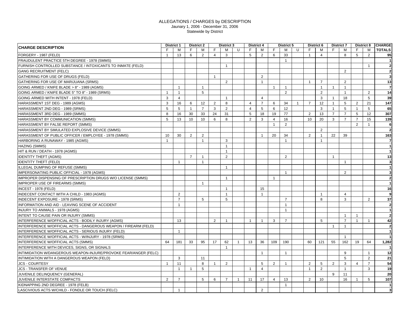| М<br>М<br>U<br>М<br>U<br>M<br>M<br><b>TOTALS</b><br>F<br>м<br>F.<br>F<br>F<br>м<br>F.<br>F.<br>F.<br>М<br>F.<br>FORGERY - 1987 (FELD)<br>$\overline{2}$<br>3<br>$5^{\circ}$<br>6<br>33<br>$5^{\circ}$<br>2<br>$\overline{1}$<br>13<br>6<br>$\overline{4}$<br>$\overline{2}$<br>$\overline{4}$<br>8<br>$\mathbf{1}$<br>95<br>$\vert$ 1<br>$\overline{1}$<br>$\overline{2}$<br>$\overline{1}$<br>$\overline{1}$<br>$\overline{2}$<br>2<br>3<br>$\mathbf{1}$<br>2<br>$\overline{1}$<br>$\overline{7}$<br>$\overline{2}$<br>13<br>$\overline{1}$<br>$\overline{7}$<br>$\overline{1}$<br>$\overline{1}$<br>$\overline{1}$<br>$\overline{1}$<br>$\mathbf{1}$<br>$\overline{1}$<br>$\mathbf{1}$<br>14<br>5<br>2<br>2<br>$\overline{1}$<br>$\overline{1}$<br>$\overline{1}$<br>$\overline{2}$<br>39<br>3<br>$\overline{4}$<br>3<br>18<br>5<br>$\overline{1}$<br>$\overline{4}$<br>$\overline{1}$<br>3<br>12<br>21<br>147<br>HARASSMENT 1ST DEG - 1989 (AGMS)<br>16<br>8<br>$\overline{7}$<br>$\overline{7}$<br>5<br>6<br>12<br>2<br>$\overline{4}$<br>6<br>34<br>2<br>$\mathbf{1}$<br>$\overline{1}$<br>5<br>5<br>$\overline{7}$<br>3<br>2<br>$\overline{4}$<br>5<br>6<br>12<br>3<br>5<br>5<br>65<br>$\overline{1}$<br>$\mathbf{1}$<br>$\overline{1}$<br>8<br>77<br>13<br>$\overline{7}$<br>$\overline{7}$<br>12<br>307<br>30<br>33<br>31<br>5<br>18<br>19<br>2<br>5<br>16<br>24<br>5<br>16<br>$\overline{7}$<br>15<br>13<br>10<br>10<br>8<br>2<br>$\overline{4}$<br>10 <sup>1</sup><br>20<br>3<br>139<br>6<br>3<br>$\overline{7}$<br>$\overline{1}$<br>$\overline{2}$<br>2<br>$\mathbf{1}$<br>6<br>$\overline{2}$<br>$\overline{2}$<br>10<br>2<br>$\overline{2}$<br>20<br>2<br>22<br>163<br>30<br>34<br>39<br>$\overline{1}$<br>$\mathbf{1}$<br>3<br>$\overline{1}$<br>$\overline{1}$<br>$\overline{1}$<br>$\mathbf{1}$<br>$\overline{1}$<br>$\overline{1}$<br>$\overline{2}$<br>13<br>$\overline{7}$<br>2<br>$\overline{1}$<br>-1<br>$\overline{1}$<br>$\mathbf{1}$<br>$\overline{1}$<br>3<br>$\overline{1}$<br>$\overline{1}$<br>$\overline{2}$<br>$\mathbf{1}$<br>-1<br>$\overline{1}$<br>16<br>15<br>2<br>$\overline{4}$<br>9<br>-1<br>$\overline{1}$<br>$\mathbf{1}$<br>$\overline{7}$<br>$5\overline{5}$<br>5<br>$\overline{7}$<br>8<br>3<br>2<br>37<br>$\overline{2}$<br>$\overline{1}$<br>$\overline{1}$<br>$\overline{1}$<br>$\overline{1}$<br>13<br>$\overline{7}$<br>42<br>2<br>3<br>$\overline{7}$<br>5<br>$\overline{1}$<br>$\mathbf{1}$<br>-1<br>-1<br>$\mathbf{1}$<br>$\overline{2}$<br>$\overline{1}$<br>$\overline{1}$<br>$\overline{1}$<br>$\overline{1}$<br>$\overline{1}$<br>181<br>33<br>95<br>17<br>13<br>36<br>109<br>190<br>121<br>55<br>162<br>64<br>1,282<br>64<br>62<br>$\overline{1}$<br>60<br>19<br>$\overline{1}$<br>12<br>$\overline{1}$<br>$\overline{1}$<br>9<br>$\mathbf{1}$<br>$\overline{2}$<br>5<br>21<br>$\mathbf{3}$<br>11<br>54<br>$\overline{7}$<br>11<br>$\overline{2}$<br>2<br>$\overline{2}$<br>3<br><b>JCS - COURTESY</b><br>$\overline{1}$<br>8<br>$\overline{1}$<br>2<br>-5<br>$\overline{1}$<br>5<br>$\overline{4}$<br>5<br>19<br>$\overline{1}$<br>$\overline{1}$<br>$\overline{1}$<br>2<br>$\overline{1}$<br>3<br>$\mathbf{1}$<br>$\overline{4}$<br>20<br>JUVENILE DELINQUENCY (GENERAL)<br>9<br>11<br>2<br>$\overline{7}$<br>5<br>2<br>10<br>5<br>107<br>6<br>$\overline{7}$<br>11<br>17<br>$\overline{4}$<br>13<br>16<br>$\mathbf{1}$<br>-1<br>$\overline{1}$<br>$\overline{1}$<br>$\overline{\mathbf{3}}$<br>2<br>$\overline{1}$ | <b>CHARGE DESCRIPTION</b>                                        | <b>District 1</b> | <b>District 2</b> | <b>District 3</b> |  | <b>District 4</b> | <b>District 5</b> |  | District 6 | <b>District 7</b> | <b>District 8</b> | <b>CHARGE</b> |
|--------------------------------------------------------------------------------------------------------------------------------------------------------------------------------------------------------------------------------------------------------------------------------------------------------------------------------------------------------------------------------------------------------------------------------------------------------------------------------------------------------------------------------------------------------------------------------------------------------------------------------------------------------------------------------------------------------------------------------------------------------------------------------------------------------------------------------------------------------------------------------------------------------------------------------------------------------------------------------------------------------------------------------------------------------------------------------------------------------------------------------------------------------------------------------------------------------------------------------------------------------------------------------------------------------------------------------------------------------------------------------------------------------------------------------------------------------------------------------------------------------------------------------------------------------------------------------------------------------------------------------------------------------------------------------------------------------------------------------------------------------------------------------------------------------------------------------------------------------------------------------------------------------------------------------------------------------------------------------------------------------------------------------------------------------------------------------------------------------------------------------------------------------------------------------------------------------------------------------------------------------------------------------------------------------------------------------------------------------------------------------------------------------------------------------------------------------------------------------------------------------------------------------------------------------------------------------------------------------------------------------------------------------------------------------------------------------------------------------------------------------------------------------------------------------------------------------------------------------------------------------------------------------------------------------------------------------------------------------------------------------------------------------------------------------------------------------------------------------------------------------------------------------------------------------------------------------------------------------------------------------------------------------------------------------------------------------------------------------------------------------------------------------------------------------------------------------------------------------|------------------------------------------------------------------|-------------------|-------------------|-------------------|--|-------------------|-------------------|--|------------|-------------------|-------------------|---------------|
|                                                                                                                                                                                                                                                                                                                                                                                                                                                                                                                                                                                                                                                                                                                                                                                                                                                                                                                                                                                                                                                                                                                                                                                                                                                                                                                                                                                                                                                                                                                                                                                                                                                                                                                                                                                                                                                                                                                                                                                                                                                                                                                                                                                                                                                                                                                                                                                                                                                                                                                                                                                                                                                                                                                                                                                                                                                                                                                                                                                                                                                                                                                                                                                                                                                                                                                                                                                                                                                                                |                                                                  |                   |                   |                   |  |                   |                   |  |            |                   |                   |               |
|                                                                                                                                                                                                                                                                                                                                                                                                                                                                                                                                                                                                                                                                                                                                                                                                                                                                                                                                                                                                                                                                                                                                                                                                                                                                                                                                                                                                                                                                                                                                                                                                                                                                                                                                                                                                                                                                                                                                                                                                                                                                                                                                                                                                                                                                                                                                                                                                                                                                                                                                                                                                                                                                                                                                                                                                                                                                                                                                                                                                                                                                                                                                                                                                                                                                                                                                                                                                                                                                                |                                                                  |                   |                   |                   |  |                   |                   |  |            |                   |                   |               |
|                                                                                                                                                                                                                                                                                                                                                                                                                                                                                                                                                                                                                                                                                                                                                                                                                                                                                                                                                                                                                                                                                                                                                                                                                                                                                                                                                                                                                                                                                                                                                                                                                                                                                                                                                                                                                                                                                                                                                                                                                                                                                                                                                                                                                                                                                                                                                                                                                                                                                                                                                                                                                                                                                                                                                                                                                                                                                                                                                                                                                                                                                                                                                                                                                                                                                                                                                                                                                                                                                | FRAUDULENT PRACTICE 5TH DEGREE - 1978 (SMMS)                     |                   |                   |                   |  |                   |                   |  |            |                   |                   |               |
|                                                                                                                                                                                                                                                                                                                                                                                                                                                                                                                                                                                                                                                                                                                                                                                                                                                                                                                                                                                                                                                                                                                                                                                                                                                                                                                                                                                                                                                                                                                                                                                                                                                                                                                                                                                                                                                                                                                                                                                                                                                                                                                                                                                                                                                                                                                                                                                                                                                                                                                                                                                                                                                                                                                                                                                                                                                                                                                                                                                                                                                                                                                                                                                                                                                                                                                                                                                                                                                                                | FURNISH CONTROLLED SUBSTANCE / INTOXICANTS TO INMATE (FELD)      |                   |                   |                   |  |                   |                   |  |            |                   |                   |               |
|                                                                                                                                                                                                                                                                                                                                                                                                                                                                                                                                                                                                                                                                                                                                                                                                                                                                                                                                                                                                                                                                                                                                                                                                                                                                                                                                                                                                                                                                                                                                                                                                                                                                                                                                                                                                                                                                                                                                                                                                                                                                                                                                                                                                                                                                                                                                                                                                                                                                                                                                                                                                                                                                                                                                                                                                                                                                                                                                                                                                                                                                                                                                                                                                                                                                                                                                                                                                                                                                                | <b>GANG RECRUITMENT (FELC)</b>                                   |                   |                   |                   |  |                   |                   |  |            |                   |                   |               |
|                                                                                                                                                                                                                                                                                                                                                                                                                                                                                                                                                                                                                                                                                                                                                                                                                                                                                                                                                                                                                                                                                                                                                                                                                                                                                                                                                                                                                                                                                                                                                                                                                                                                                                                                                                                                                                                                                                                                                                                                                                                                                                                                                                                                                                                                                                                                                                                                                                                                                                                                                                                                                                                                                                                                                                                                                                                                                                                                                                                                                                                                                                                                                                                                                                                                                                                                                                                                                                                                                | GATHERING FOR USE OF DRUGS (FELD)                                |                   |                   |                   |  |                   |                   |  |            |                   |                   |               |
|                                                                                                                                                                                                                                                                                                                                                                                                                                                                                                                                                                                                                                                                                                                                                                                                                                                                                                                                                                                                                                                                                                                                                                                                                                                                                                                                                                                                                                                                                                                                                                                                                                                                                                                                                                                                                                                                                                                                                                                                                                                                                                                                                                                                                                                                                                                                                                                                                                                                                                                                                                                                                                                                                                                                                                                                                                                                                                                                                                                                                                                                                                                                                                                                                                                                                                                                                                                                                                                                                | GATHERING FOR USE OF MARIJUANA (SRMS)                            |                   |                   |                   |  |                   |                   |  |            |                   |                   |               |
|                                                                                                                                                                                                                                                                                                                                                                                                                                                                                                                                                                                                                                                                                                                                                                                                                                                                                                                                                                                                                                                                                                                                                                                                                                                                                                                                                                                                                                                                                                                                                                                                                                                                                                                                                                                                                                                                                                                                                                                                                                                                                                                                                                                                                                                                                                                                                                                                                                                                                                                                                                                                                                                                                                                                                                                                                                                                                                                                                                                                                                                                                                                                                                                                                                                                                                                                                                                                                                                                                | GOING ARMED / KNIFE BLADE > 8" - 1989 (AGMS)                     |                   |                   |                   |  |                   |                   |  |            |                   |                   |               |
|                                                                                                                                                                                                                                                                                                                                                                                                                                                                                                                                                                                                                                                                                                                                                                                                                                                                                                                                                                                                                                                                                                                                                                                                                                                                                                                                                                                                                                                                                                                                                                                                                                                                                                                                                                                                                                                                                                                                                                                                                                                                                                                                                                                                                                                                                                                                                                                                                                                                                                                                                                                                                                                                                                                                                                                                                                                                                                                                                                                                                                                                                                                                                                                                                                                                                                                                                                                                                                                                                | GOING ARMED / KNIFE BLADE 5" TO 8" - 1989 (SRMS)                 |                   |                   |                   |  |                   |                   |  |            |                   |                   |               |
|                                                                                                                                                                                                                                                                                                                                                                                                                                                                                                                                                                                                                                                                                                                                                                                                                                                                                                                                                                                                                                                                                                                                                                                                                                                                                                                                                                                                                                                                                                                                                                                                                                                                                                                                                                                                                                                                                                                                                                                                                                                                                                                                                                                                                                                                                                                                                                                                                                                                                                                                                                                                                                                                                                                                                                                                                                                                                                                                                                                                                                                                                                                                                                                                                                                                                                                                                                                                                                                                                | GOING ARMED WITH INTENT - 1978 (FELD)                            |                   |                   |                   |  |                   |                   |  |            |                   |                   |               |
|                                                                                                                                                                                                                                                                                                                                                                                                                                                                                                                                                                                                                                                                                                                                                                                                                                                                                                                                                                                                                                                                                                                                                                                                                                                                                                                                                                                                                                                                                                                                                                                                                                                                                                                                                                                                                                                                                                                                                                                                                                                                                                                                                                                                                                                                                                                                                                                                                                                                                                                                                                                                                                                                                                                                                                                                                                                                                                                                                                                                                                                                                                                                                                                                                                                                                                                                                                                                                                                                                |                                                                  |                   |                   |                   |  |                   |                   |  |            |                   |                   |               |
|                                                                                                                                                                                                                                                                                                                                                                                                                                                                                                                                                                                                                                                                                                                                                                                                                                                                                                                                                                                                                                                                                                                                                                                                                                                                                                                                                                                                                                                                                                                                                                                                                                                                                                                                                                                                                                                                                                                                                                                                                                                                                                                                                                                                                                                                                                                                                                                                                                                                                                                                                                                                                                                                                                                                                                                                                                                                                                                                                                                                                                                                                                                                                                                                                                                                                                                                                                                                                                                                                | HARASSMENT 2ND DEG - 1989 (SRMS)                                 |                   |                   |                   |  |                   |                   |  |            |                   |                   |               |
|                                                                                                                                                                                                                                                                                                                                                                                                                                                                                                                                                                                                                                                                                                                                                                                                                                                                                                                                                                                                                                                                                                                                                                                                                                                                                                                                                                                                                                                                                                                                                                                                                                                                                                                                                                                                                                                                                                                                                                                                                                                                                                                                                                                                                                                                                                                                                                                                                                                                                                                                                                                                                                                                                                                                                                                                                                                                                                                                                                                                                                                                                                                                                                                                                                                                                                                                                                                                                                                                                | HARASSMENT 3RD DEG - 1989 (SMMS)                                 |                   |                   |                   |  |                   |                   |  |            |                   |                   |               |
|                                                                                                                                                                                                                                                                                                                                                                                                                                                                                                                                                                                                                                                                                                                                                                                                                                                                                                                                                                                                                                                                                                                                                                                                                                                                                                                                                                                                                                                                                                                                                                                                                                                                                                                                                                                                                                                                                                                                                                                                                                                                                                                                                                                                                                                                                                                                                                                                                                                                                                                                                                                                                                                                                                                                                                                                                                                                                                                                                                                                                                                                                                                                                                                                                                                                                                                                                                                                                                                                                | HARASSMENT BY COMMUNICATION (SMMS)                               |                   |                   |                   |  |                   |                   |  |            |                   |                   |               |
|                                                                                                                                                                                                                                                                                                                                                                                                                                                                                                                                                                                                                                                                                                                                                                                                                                                                                                                                                                                                                                                                                                                                                                                                                                                                                                                                                                                                                                                                                                                                                                                                                                                                                                                                                                                                                                                                                                                                                                                                                                                                                                                                                                                                                                                                                                                                                                                                                                                                                                                                                                                                                                                                                                                                                                                                                                                                                                                                                                                                                                                                                                                                                                                                                                                                                                                                                                                                                                                                                | HARASSMENT BY FALSE REPORT (SMMS)                                |                   |                   |                   |  |                   |                   |  |            |                   |                   |               |
|                                                                                                                                                                                                                                                                                                                                                                                                                                                                                                                                                                                                                                                                                                                                                                                                                                                                                                                                                                                                                                                                                                                                                                                                                                                                                                                                                                                                                                                                                                                                                                                                                                                                                                                                                                                                                                                                                                                                                                                                                                                                                                                                                                                                                                                                                                                                                                                                                                                                                                                                                                                                                                                                                                                                                                                                                                                                                                                                                                                                                                                                                                                                                                                                                                                                                                                                                                                                                                                                                | HARASSMENT BY SIMULATED EXPLOSIVE DEVICE (SMMS)                  |                   |                   |                   |  |                   |                   |  |            |                   |                   |               |
|                                                                                                                                                                                                                                                                                                                                                                                                                                                                                                                                                                                                                                                                                                                                                                                                                                                                                                                                                                                                                                                                                                                                                                                                                                                                                                                                                                                                                                                                                                                                                                                                                                                                                                                                                                                                                                                                                                                                                                                                                                                                                                                                                                                                                                                                                                                                                                                                                                                                                                                                                                                                                                                                                                                                                                                                                                                                                                                                                                                                                                                                                                                                                                                                                                                                                                                                                                                                                                                                                | HARASSMENT OF PUBLIC OFFICER / EMPLOYEE - 1978 (SMMS)            |                   |                   |                   |  |                   |                   |  |            |                   |                   |               |
|                                                                                                                                                                                                                                                                                                                                                                                                                                                                                                                                                                                                                                                                                                                                                                                                                                                                                                                                                                                                                                                                                                                                                                                                                                                                                                                                                                                                                                                                                                                                                                                                                                                                                                                                                                                                                                                                                                                                                                                                                                                                                                                                                                                                                                                                                                                                                                                                                                                                                                                                                                                                                                                                                                                                                                                                                                                                                                                                                                                                                                                                                                                                                                                                                                                                                                                                                                                                                                                                                | HARBORING A RUNAWAY - 1985 (AGMS)                                |                   |                   |                   |  |                   |                   |  |            |                   |                   |               |
|                                                                                                                                                                                                                                                                                                                                                                                                                                                                                                                                                                                                                                                                                                                                                                                                                                                                                                                                                                                                                                                                                                                                                                                                                                                                                                                                                                                                                                                                                                                                                                                                                                                                                                                                                                                                                                                                                                                                                                                                                                                                                                                                                                                                                                                                                                                                                                                                                                                                                                                                                                                                                                                                                                                                                                                                                                                                                                                                                                                                                                                                                                                                                                                                                                                                                                                                                                                                                                                                                | <b>HAZING (SMMS)</b>                                             |                   |                   |                   |  |                   |                   |  |            |                   |                   |               |
|                                                                                                                                                                                                                                                                                                                                                                                                                                                                                                                                                                                                                                                                                                                                                                                                                                                                                                                                                                                                                                                                                                                                                                                                                                                                                                                                                                                                                                                                                                                                                                                                                                                                                                                                                                                                                                                                                                                                                                                                                                                                                                                                                                                                                                                                                                                                                                                                                                                                                                                                                                                                                                                                                                                                                                                                                                                                                                                                                                                                                                                                                                                                                                                                                                                                                                                                                                                                                                                                                | HIT & RUN / DEATH - 1978 (AGMS)                                  |                   |                   |                   |  |                   |                   |  |            |                   |                   |               |
|                                                                                                                                                                                                                                                                                                                                                                                                                                                                                                                                                                                                                                                                                                                                                                                                                                                                                                                                                                                                                                                                                                                                                                                                                                                                                                                                                                                                                                                                                                                                                                                                                                                                                                                                                                                                                                                                                                                                                                                                                                                                                                                                                                                                                                                                                                                                                                                                                                                                                                                                                                                                                                                                                                                                                                                                                                                                                                                                                                                                                                                                                                                                                                                                                                                                                                                                                                                                                                                                                | <b>IDENTITY THEFT (AGMS)</b>                                     |                   |                   |                   |  |                   |                   |  |            |                   |                   |               |
|                                                                                                                                                                                                                                                                                                                                                                                                                                                                                                                                                                                                                                                                                                                                                                                                                                                                                                                                                                                                                                                                                                                                                                                                                                                                                                                                                                                                                                                                                                                                                                                                                                                                                                                                                                                                                                                                                                                                                                                                                                                                                                                                                                                                                                                                                                                                                                                                                                                                                                                                                                                                                                                                                                                                                                                                                                                                                                                                                                                                                                                                                                                                                                                                                                                                                                                                                                                                                                                                                | <b>IDENTITY THEFT (FELD)</b>                                     |                   |                   |                   |  |                   |                   |  |            |                   |                   |               |
|                                                                                                                                                                                                                                                                                                                                                                                                                                                                                                                                                                                                                                                                                                                                                                                                                                                                                                                                                                                                                                                                                                                                                                                                                                                                                                                                                                                                                                                                                                                                                                                                                                                                                                                                                                                                                                                                                                                                                                                                                                                                                                                                                                                                                                                                                                                                                                                                                                                                                                                                                                                                                                                                                                                                                                                                                                                                                                                                                                                                                                                                                                                                                                                                                                                                                                                                                                                                                                                                                | ILLEGAL DUMPING OF REFUSE (SMMS)                                 |                   |                   |                   |  |                   |                   |  |            |                   |                   |               |
|                                                                                                                                                                                                                                                                                                                                                                                                                                                                                                                                                                                                                                                                                                                                                                                                                                                                                                                                                                                                                                                                                                                                                                                                                                                                                                                                                                                                                                                                                                                                                                                                                                                                                                                                                                                                                                                                                                                                                                                                                                                                                                                                                                                                                                                                                                                                                                                                                                                                                                                                                                                                                                                                                                                                                                                                                                                                                                                                                                                                                                                                                                                                                                                                                                                                                                                                                                                                                                                                                | IMPERSONATING PUBLIC OFFICIAL - 1978 (AGMS)                      |                   |                   |                   |  |                   |                   |  |            |                   |                   |               |
|                                                                                                                                                                                                                                                                                                                                                                                                                                                                                                                                                                                                                                                                                                                                                                                                                                                                                                                                                                                                                                                                                                                                                                                                                                                                                                                                                                                                                                                                                                                                                                                                                                                                                                                                                                                                                                                                                                                                                                                                                                                                                                                                                                                                                                                                                                                                                                                                                                                                                                                                                                                                                                                                                                                                                                                                                                                                                                                                                                                                                                                                                                                                                                                                                                                                                                                                                                                                                                                                                | IMPROPER DISPENSING OF PRESCRIPTION DRUGS W/O LICENSE (SMMS)     |                   |                   |                   |  |                   |                   |  |            |                   |                   |               |
|                                                                                                                                                                                                                                                                                                                                                                                                                                                                                                                                                                                                                                                                                                                                                                                                                                                                                                                                                                                                                                                                                                                                                                                                                                                                                                                                                                                                                                                                                                                                                                                                                                                                                                                                                                                                                                                                                                                                                                                                                                                                                                                                                                                                                                                                                                                                                                                                                                                                                                                                                                                                                                                                                                                                                                                                                                                                                                                                                                                                                                                                                                                                                                                                                                                                                                                                                                                                                                                                                | <b>IMPROPER USE OF FIREARMS (SMMS)</b>                           |                   |                   |                   |  |                   |                   |  |            |                   |                   |               |
|                                                                                                                                                                                                                                                                                                                                                                                                                                                                                                                                                                                                                                                                                                                                                                                                                                                                                                                                                                                                                                                                                                                                                                                                                                                                                                                                                                                                                                                                                                                                                                                                                                                                                                                                                                                                                                                                                                                                                                                                                                                                                                                                                                                                                                                                                                                                                                                                                                                                                                                                                                                                                                                                                                                                                                                                                                                                                                                                                                                                                                                                                                                                                                                                                                                                                                                                                                                                                                                                                | <b>INCEST - 1978 (FELD)</b>                                      |                   |                   |                   |  |                   |                   |  |            |                   |                   |               |
|                                                                                                                                                                                                                                                                                                                                                                                                                                                                                                                                                                                                                                                                                                                                                                                                                                                                                                                                                                                                                                                                                                                                                                                                                                                                                                                                                                                                                                                                                                                                                                                                                                                                                                                                                                                                                                                                                                                                                                                                                                                                                                                                                                                                                                                                                                                                                                                                                                                                                                                                                                                                                                                                                                                                                                                                                                                                                                                                                                                                                                                                                                                                                                                                                                                                                                                                                                                                                                                                                | INDECENT CONTACT WITH A CHILD - 1983 (AGMS)                      |                   |                   |                   |  |                   |                   |  |            |                   |                   |               |
|                                                                                                                                                                                                                                                                                                                                                                                                                                                                                                                                                                                                                                                                                                                                                                                                                                                                                                                                                                                                                                                                                                                                                                                                                                                                                                                                                                                                                                                                                                                                                                                                                                                                                                                                                                                                                                                                                                                                                                                                                                                                                                                                                                                                                                                                                                                                                                                                                                                                                                                                                                                                                                                                                                                                                                                                                                                                                                                                                                                                                                                                                                                                                                                                                                                                                                                                                                                                                                                                                | INDECENT EXPOSURE - 1978 (SRMS)                                  |                   |                   |                   |  |                   |                   |  |            |                   |                   |               |
|                                                                                                                                                                                                                                                                                                                                                                                                                                                                                                                                                                                                                                                                                                                                                                                                                                                                                                                                                                                                                                                                                                                                                                                                                                                                                                                                                                                                                                                                                                                                                                                                                                                                                                                                                                                                                                                                                                                                                                                                                                                                                                                                                                                                                                                                                                                                                                                                                                                                                                                                                                                                                                                                                                                                                                                                                                                                                                                                                                                                                                                                                                                                                                                                                                                                                                                                                                                                                                                                                | INFORMATION AND AID - LEAVING SCENE OF ACCIDENT                  |                   |                   |                   |  |                   |                   |  |            |                   |                   |               |
|                                                                                                                                                                                                                                                                                                                                                                                                                                                                                                                                                                                                                                                                                                                                                                                                                                                                                                                                                                                                                                                                                                                                                                                                                                                                                                                                                                                                                                                                                                                                                                                                                                                                                                                                                                                                                                                                                                                                                                                                                                                                                                                                                                                                                                                                                                                                                                                                                                                                                                                                                                                                                                                                                                                                                                                                                                                                                                                                                                                                                                                                                                                                                                                                                                                                                                                                                                                                                                                                                | INJURY TO ANIMALS - 1978 (AGMS)                                  |                   |                   |                   |  |                   |                   |  |            |                   |                   |               |
|                                                                                                                                                                                                                                                                                                                                                                                                                                                                                                                                                                                                                                                                                                                                                                                                                                                                                                                                                                                                                                                                                                                                                                                                                                                                                                                                                                                                                                                                                                                                                                                                                                                                                                                                                                                                                                                                                                                                                                                                                                                                                                                                                                                                                                                                                                                                                                                                                                                                                                                                                                                                                                                                                                                                                                                                                                                                                                                                                                                                                                                                                                                                                                                                                                                                                                                                                                                                                                                                                | INTENT TO CAUSE PAIN OR INJURY (SMMS)                            |                   |                   |                   |  |                   |                   |  |            |                   |                   |               |
|                                                                                                                                                                                                                                                                                                                                                                                                                                                                                                                                                                                                                                                                                                                                                                                                                                                                                                                                                                                                                                                                                                                                                                                                                                                                                                                                                                                                                                                                                                                                                                                                                                                                                                                                                                                                                                                                                                                                                                                                                                                                                                                                                                                                                                                                                                                                                                                                                                                                                                                                                                                                                                                                                                                                                                                                                                                                                                                                                                                                                                                                                                                                                                                                                                                                                                                                                                                                                                                                                | INTERFERENCE W/OFFICIAL ACTS - BODILY INJURY (AGMS)              |                   |                   |                   |  |                   |                   |  |            |                   |                   |               |
|                                                                                                                                                                                                                                                                                                                                                                                                                                                                                                                                                                                                                                                                                                                                                                                                                                                                                                                                                                                                                                                                                                                                                                                                                                                                                                                                                                                                                                                                                                                                                                                                                                                                                                                                                                                                                                                                                                                                                                                                                                                                                                                                                                                                                                                                                                                                                                                                                                                                                                                                                                                                                                                                                                                                                                                                                                                                                                                                                                                                                                                                                                                                                                                                                                                                                                                                                                                                                                                                                | INTERFERENCE W/OFFICIAL ACTS - DANGEROUS WEAPON / FIREARM (FELD) |                   |                   |                   |  |                   |                   |  |            |                   |                   |               |
|                                                                                                                                                                                                                                                                                                                                                                                                                                                                                                                                                                                                                                                                                                                                                                                                                                                                                                                                                                                                                                                                                                                                                                                                                                                                                                                                                                                                                                                                                                                                                                                                                                                                                                                                                                                                                                                                                                                                                                                                                                                                                                                                                                                                                                                                                                                                                                                                                                                                                                                                                                                                                                                                                                                                                                                                                                                                                                                                                                                                                                                                                                                                                                                                                                                                                                                                                                                                                                                                                | INTERFERENCE W/OFFICIAL ACTS - SERIOUS INJURY (FELD)             |                   |                   |                   |  |                   |                   |  |            |                   |                   |               |
|                                                                                                                                                                                                                                                                                                                                                                                                                                                                                                                                                                                                                                                                                                                                                                                                                                                                                                                                                                                                                                                                                                                                                                                                                                                                                                                                                                                                                                                                                                                                                                                                                                                                                                                                                                                                                                                                                                                                                                                                                                                                                                                                                                                                                                                                                                                                                                                                                                                                                                                                                                                                                                                                                                                                                                                                                                                                                                                                                                                                                                                                                                                                                                                                                                                                                                                                                                                                                                                                                | INTERFERENCE W/OFFICIAL ACTS - W/INJURY - 1978 (SRMS)            |                   |                   |                   |  |                   |                   |  |            |                   |                   |               |
|                                                                                                                                                                                                                                                                                                                                                                                                                                                                                                                                                                                                                                                                                                                                                                                                                                                                                                                                                                                                                                                                                                                                                                                                                                                                                                                                                                                                                                                                                                                                                                                                                                                                                                                                                                                                                                                                                                                                                                                                                                                                                                                                                                                                                                                                                                                                                                                                                                                                                                                                                                                                                                                                                                                                                                                                                                                                                                                                                                                                                                                                                                                                                                                                                                                                                                                                                                                                                                                                                | INTERFERENCE W/OFFICIAL ACTS (SMMS)                              |                   |                   |                   |  |                   |                   |  |            |                   |                   |               |
|                                                                                                                                                                                                                                                                                                                                                                                                                                                                                                                                                                                                                                                                                                                                                                                                                                                                                                                                                                                                                                                                                                                                                                                                                                                                                                                                                                                                                                                                                                                                                                                                                                                                                                                                                                                                                                                                                                                                                                                                                                                                                                                                                                                                                                                                                                                                                                                                                                                                                                                                                                                                                                                                                                                                                                                                                                                                                                                                                                                                                                                                                                                                                                                                                                                                                                                                                                                                                                                                                | INTERFERENCE WITH DEVICES, SIGNS, OR SIGNALS                     |                   |                   |                   |  |                   |                   |  |            |                   |                   |               |
|                                                                                                                                                                                                                                                                                                                                                                                                                                                                                                                                                                                                                                                                                                                                                                                                                                                                                                                                                                                                                                                                                                                                                                                                                                                                                                                                                                                                                                                                                                                                                                                                                                                                                                                                                                                                                                                                                                                                                                                                                                                                                                                                                                                                                                                                                                                                                                                                                                                                                                                                                                                                                                                                                                                                                                                                                                                                                                                                                                                                                                                                                                                                                                                                                                                                                                                                                                                                                                                                                | INTIMIDATION W/DANGEROUS WEAPON-INJURE/PROVOKE FEAR/ANGER (FELC) |                   |                   |                   |  |                   |                   |  |            |                   |                   |               |
|                                                                                                                                                                                                                                                                                                                                                                                                                                                                                                                                                                                                                                                                                                                                                                                                                                                                                                                                                                                                                                                                                                                                                                                                                                                                                                                                                                                                                                                                                                                                                                                                                                                                                                                                                                                                                                                                                                                                                                                                                                                                                                                                                                                                                                                                                                                                                                                                                                                                                                                                                                                                                                                                                                                                                                                                                                                                                                                                                                                                                                                                                                                                                                                                                                                                                                                                                                                                                                                                                | INTIMIDATION WITH A DANGEROUS WEAPON (FELD)                      |                   |                   |                   |  |                   |                   |  |            |                   |                   |               |
|                                                                                                                                                                                                                                                                                                                                                                                                                                                                                                                                                                                                                                                                                                                                                                                                                                                                                                                                                                                                                                                                                                                                                                                                                                                                                                                                                                                                                                                                                                                                                                                                                                                                                                                                                                                                                                                                                                                                                                                                                                                                                                                                                                                                                                                                                                                                                                                                                                                                                                                                                                                                                                                                                                                                                                                                                                                                                                                                                                                                                                                                                                                                                                                                                                                                                                                                                                                                                                                                                |                                                                  |                   |                   |                   |  |                   |                   |  |            |                   |                   |               |
|                                                                                                                                                                                                                                                                                                                                                                                                                                                                                                                                                                                                                                                                                                                                                                                                                                                                                                                                                                                                                                                                                                                                                                                                                                                                                                                                                                                                                                                                                                                                                                                                                                                                                                                                                                                                                                                                                                                                                                                                                                                                                                                                                                                                                                                                                                                                                                                                                                                                                                                                                                                                                                                                                                                                                                                                                                                                                                                                                                                                                                                                                                                                                                                                                                                                                                                                                                                                                                                                                | <b>JCS - TRANSFER OF VENUE</b>                                   |                   |                   |                   |  |                   |                   |  |            |                   |                   |               |
|                                                                                                                                                                                                                                                                                                                                                                                                                                                                                                                                                                                                                                                                                                                                                                                                                                                                                                                                                                                                                                                                                                                                                                                                                                                                                                                                                                                                                                                                                                                                                                                                                                                                                                                                                                                                                                                                                                                                                                                                                                                                                                                                                                                                                                                                                                                                                                                                                                                                                                                                                                                                                                                                                                                                                                                                                                                                                                                                                                                                                                                                                                                                                                                                                                                                                                                                                                                                                                                                                |                                                                  |                   |                   |                   |  |                   |                   |  |            |                   |                   |               |
|                                                                                                                                                                                                                                                                                                                                                                                                                                                                                                                                                                                                                                                                                                                                                                                                                                                                                                                                                                                                                                                                                                                                                                                                                                                                                                                                                                                                                                                                                                                                                                                                                                                                                                                                                                                                                                                                                                                                                                                                                                                                                                                                                                                                                                                                                                                                                                                                                                                                                                                                                                                                                                                                                                                                                                                                                                                                                                                                                                                                                                                                                                                                                                                                                                                                                                                                                                                                                                                                                | JUVENILE INTERSTATE COMPACTS                                     |                   |                   |                   |  |                   |                   |  |            |                   |                   |               |
|                                                                                                                                                                                                                                                                                                                                                                                                                                                                                                                                                                                                                                                                                                                                                                                                                                                                                                                                                                                                                                                                                                                                                                                                                                                                                                                                                                                                                                                                                                                                                                                                                                                                                                                                                                                                                                                                                                                                                                                                                                                                                                                                                                                                                                                                                                                                                                                                                                                                                                                                                                                                                                                                                                                                                                                                                                                                                                                                                                                                                                                                                                                                                                                                                                                                                                                                                                                                                                                                                | KIDNAPPING 2ND DEGREE - 1978 (FELB)                              |                   |                   |                   |  |                   |                   |  |            |                   |                   |               |
|                                                                                                                                                                                                                                                                                                                                                                                                                                                                                                                                                                                                                                                                                                                                                                                                                                                                                                                                                                                                                                                                                                                                                                                                                                                                                                                                                                                                                                                                                                                                                                                                                                                                                                                                                                                                                                                                                                                                                                                                                                                                                                                                                                                                                                                                                                                                                                                                                                                                                                                                                                                                                                                                                                                                                                                                                                                                                                                                                                                                                                                                                                                                                                                                                                                                                                                                                                                                                                                                                | LASCIVIOUS ACTS W/CHILD - FONDLE OR TOUCH (FELC)                 |                   |                   |                   |  |                   |                   |  |            |                   |                   |               |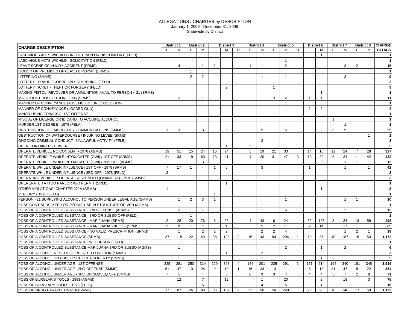| <b>CHARGE DESCRIPTION</b><br>F<br>M<br>U<br>E<br>M<br>F.<br>F<br>M<br><b>TOTALS</b><br>F.<br>м<br>F.<br>м<br>M<br>F.<br>U<br>F<br>M<br>м<br>LASCIVIOUS ACTS W/CHILD - INFLICT PAIN OR DISCOMFORT (FELD)<br>$\mathbf{1}$<br>LASCIVIOUS ACTS W/CHILD - SOLICITATION (FELD)<br>$\overline{1}$<br>$\overline{2}$<br>LEAVE SCENE OF INJURY ACCIDENT (SRMS)<br>$\mathbf{1}$<br>3<br>16<br>$\overline{4}$<br>$\overline{1}$<br>$\overline{1}$<br>$\overline{1}$<br>2<br>$\overline{1}$<br>LIQUOR ON PREMISES OF CLASS B PERMIT (SRMS)<br>$\overline{1}$<br><b>LITTERING (SMMS)</b><br>2<br>2<br>3<br>$\overline{1}$<br>$\overline{1}$<br>LOTTERY - FRAUD / COERCION / TAMPERING (FELD)<br>$\overline{1}$<br>$\overline{1}$<br>LOTTERY TICKET - THEFT OR FORGERY (FELD)<br>$\overline{1}$<br>2<br>MAKING PISTOL, REVOLVER OR AMMUNITION AVAIL TO PERSON < 21 (SRMS)<br>$\mathbf{1}$<br>$\overline{2}$<br>MALICIOUS PROSECUTION - 1985 (SRMS)<br>3<br>$\overline{2}$<br>$\mathbf{1}$<br>$\overline{1}$<br>$\overline{1}$<br>$\overline{1}$<br>11<br>MANNER OF CONVEYANCE (ASSEMBLED, UNLOADED GUN)<br>$\mathbf{1}$<br>MANNER OF CONVEYANCE (LOADED GUN)<br>2<br>2<br>MINOR USING TOBACCO 1ST OFFENSE<br>$\overline{1}$<br>MISUSE OF LICENSE OR ID CARD TO ACQUIRE ALCOHOL<br>$\overline{1}$<br>MURDER 1ST DEGREE - 1978 (FELA)<br>OBSTRUCTION OF EMERGENCY COMMUNICATIONS (SMMS)<br>3<br>2<br>5<br>5<br>$\overline{2}$<br>3<br>5<br>29<br>3<br>OBSTRUCTION OF WATERCOURSE / INJURING LEVEE (SRMS)<br>$\overline{1}$<br>$\overline{1}$<br>$\overline{\mathbf{3}}$<br>ONGOING CRIMINAL CONDUCT - UNLAWFUL ACTIVITY (FELB)<br>3<br>$\overline{5}$<br>OPEN CONTAINER - DRIVER<br>2<br>$\overline{1}$<br>$\overline{1}$<br>$\overline{1}$<br>$5\phantom{.0}$<br>28<br>327<br>OPERATE VEHICLE NO CONSENT - 1978 (AGMS)<br>19<br>51<br>15<br>24<br>16<br>24<br>19<br>21<br>33<br>14<br>15<br>12<br>24<br>$\overline{7}$<br>21<br>60<br>31<br>32<br>432<br>OPERATE VEHICLE WHILE INTOXICATED (OWI) / 1ST OFF (SRMS)<br>33<br>19<br>13<br>41<br>20<br>47<br>3<br>13<br>8<br>34<br>42<br>$\overline{4}$<br>11<br>3<br>OPERATE VEHICLE WHILE INTOXICATED (OWI) / 2ND OFF (AGMS)<br>$\mathbf{1}$<br>3<br>$\mathbf{1}$<br>12<br>$\mathbf{1}$<br>$\overline{1}$<br>$\overline{1}$<br>$\overline{1}$<br>OPERATE WHILE UNDER INFLUENCE / 1ST OFF - 1978 (SRMS)<br>$\overline{7}$<br>$\overline{4}$<br>3<br>42<br>$\mathbf{1}$<br>6<br>$\overline{1}$<br>17<br>$\overline{1}$<br>$\overline{1}$<br>$\mathbf{1}$<br>$\overline{2}$<br>$\overline{2}$<br>OPERATE WHILE UNDER INFLUENCE / 3RD OFF - 1978 (FELD)<br>OPERATING VEHICLE / LICENSE SUSPENDED (FINANCIAL) - 1978 (SMMS)<br>3<br>OPERERATE TATTOO PARLOR W/O PERMIT (SRMS)<br>OTHER VIOLATIONS CHAPTER 321A (SRMS)<br>$\overline{1}$<br>$\mathbf{1}$<br>$\mathbf{1}$<br>PERJURY - 1978 (FELD)<br>$\overline{1}$<br>PERSON <21 SUPPLYING ALCOHOL TO PERSON UNDER LEGAL AGE (SMMS)<br>3<br>10<br>$\overline{1}$<br>2<br>$\mathbf{1}$<br>$\overline{1}$<br>$\overline{1}$<br>$\overline{1}$<br>POSS CONT SUBS, KEEP OR PERMIT USE IN STRUCTURE OR VEH (AGMS)<br>$\overline{1}$<br>15<br>POSS OF A CONTROLLED SUBSTANCE - 2ND OFFENSE (AGMS)<br>2<br>$\overline{1}$<br>6<br>3<br>$\overline{2}$<br>$\overline{1}$<br>$\overline{1}$ |
|--------------------------------------------------------------------------------------------------------------------------------------------------------------------------------------------------------------------------------------------------------------------------------------------------------------------------------------------------------------------------------------------------------------------------------------------------------------------------------------------------------------------------------------------------------------------------------------------------------------------------------------------------------------------------------------------------------------------------------------------------------------------------------------------------------------------------------------------------------------------------------------------------------------------------------------------------------------------------------------------------------------------------------------------------------------------------------------------------------------------------------------------------------------------------------------------------------------------------------------------------------------------------------------------------------------------------------------------------------------------------------------------------------------------------------------------------------------------------------------------------------------------------------------------------------------------------------------------------------------------------------------------------------------------------------------------------------------------------------------------------------------------------------------------------------------------------------------------------------------------------------------------------------------------------------------------------------------------------------------------------------------------------------------------------------------------------------------------------------------------------------------------------------------------------------------------------------------------------------------------------------------------------------------------------------------------------------------------------------------------------------------------------------------------------------------------------------------------------------------------------------------------------------------------------------------------------------------------------------------------------------------------------------------------------------------------------------------------------------------------------------------------------------------------------------------------------------------------------------------------------------------------------------------------------------------------------------------------------------------------------------------------------------------------------------------------------------------------------------------------------------------------------------------------------------------------------------------------------------------------------------------|
|                                                                                                                                                                                                                                                                                                                                                                                                                                                                                                                                                                                                                                                                                                                                                                                                                                                                                                                                                                                                                                                                                                                                                                                                                                                                                                                                                                                                                                                                                                                                                                                                                                                                                                                                                                                                                                                                                                                                                                                                                                                                                                                                                                                                                                                                                                                                                                                                                                                                                                                                                                                                                                                                                                                                                                                                                                                                                                                                                                                                                                                                                                                                                                                                                                                              |
|                                                                                                                                                                                                                                                                                                                                                                                                                                                                                                                                                                                                                                                                                                                                                                                                                                                                                                                                                                                                                                                                                                                                                                                                                                                                                                                                                                                                                                                                                                                                                                                                                                                                                                                                                                                                                                                                                                                                                                                                                                                                                                                                                                                                                                                                                                                                                                                                                                                                                                                                                                                                                                                                                                                                                                                                                                                                                                                                                                                                                                                                                                                                                                                                                                                              |
|                                                                                                                                                                                                                                                                                                                                                                                                                                                                                                                                                                                                                                                                                                                                                                                                                                                                                                                                                                                                                                                                                                                                                                                                                                                                                                                                                                                                                                                                                                                                                                                                                                                                                                                                                                                                                                                                                                                                                                                                                                                                                                                                                                                                                                                                                                                                                                                                                                                                                                                                                                                                                                                                                                                                                                                                                                                                                                                                                                                                                                                                                                                                                                                                                                                              |
|                                                                                                                                                                                                                                                                                                                                                                                                                                                                                                                                                                                                                                                                                                                                                                                                                                                                                                                                                                                                                                                                                                                                                                                                                                                                                                                                                                                                                                                                                                                                                                                                                                                                                                                                                                                                                                                                                                                                                                                                                                                                                                                                                                                                                                                                                                                                                                                                                                                                                                                                                                                                                                                                                                                                                                                                                                                                                                                                                                                                                                                                                                                                                                                                                                                              |
|                                                                                                                                                                                                                                                                                                                                                                                                                                                                                                                                                                                                                                                                                                                                                                                                                                                                                                                                                                                                                                                                                                                                                                                                                                                                                                                                                                                                                                                                                                                                                                                                                                                                                                                                                                                                                                                                                                                                                                                                                                                                                                                                                                                                                                                                                                                                                                                                                                                                                                                                                                                                                                                                                                                                                                                                                                                                                                                                                                                                                                                                                                                                                                                                                                                              |
|                                                                                                                                                                                                                                                                                                                                                                                                                                                                                                                                                                                                                                                                                                                                                                                                                                                                                                                                                                                                                                                                                                                                                                                                                                                                                                                                                                                                                                                                                                                                                                                                                                                                                                                                                                                                                                                                                                                                                                                                                                                                                                                                                                                                                                                                                                                                                                                                                                                                                                                                                                                                                                                                                                                                                                                                                                                                                                                                                                                                                                                                                                                                                                                                                                                              |
|                                                                                                                                                                                                                                                                                                                                                                                                                                                                                                                                                                                                                                                                                                                                                                                                                                                                                                                                                                                                                                                                                                                                                                                                                                                                                                                                                                                                                                                                                                                                                                                                                                                                                                                                                                                                                                                                                                                                                                                                                                                                                                                                                                                                                                                                                                                                                                                                                                                                                                                                                                                                                                                                                                                                                                                                                                                                                                                                                                                                                                                                                                                                                                                                                                                              |
|                                                                                                                                                                                                                                                                                                                                                                                                                                                                                                                                                                                                                                                                                                                                                                                                                                                                                                                                                                                                                                                                                                                                                                                                                                                                                                                                                                                                                                                                                                                                                                                                                                                                                                                                                                                                                                                                                                                                                                                                                                                                                                                                                                                                                                                                                                                                                                                                                                                                                                                                                                                                                                                                                                                                                                                                                                                                                                                                                                                                                                                                                                                                                                                                                                                              |
|                                                                                                                                                                                                                                                                                                                                                                                                                                                                                                                                                                                                                                                                                                                                                                                                                                                                                                                                                                                                                                                                                                                                                                                                                                                                                                                                                                                                                                                                                                                                                                                                                                                                                                                                                                                                                                                                                                                                                                                                                                                                                                                                                                                                                                                                                                                                                                                                                                                                                                                                                                                                                                                                                                                                                                                                                                                                                                                                                                                                                                                                                                                                                                                                                                                              |
|                                                                                                                                                                                                                                                                                                                                                                                                                                                                                                                                                                                                                                                                                                                                                                                                                                                                                                                                                                                                                                                                                                                                                                                                                                                                                                                                                                                                                                                                                                                                                                                                                                                                                                                                                                                                                                                                                                                                                                                                                                                                                                                                                                                                                                                                                                                                                                                                                                                                                                                                                                                                                                                                                                                                                                                                                                                                                                                                                                                                                                                                                                                                                                                                                                                              |
|                                                                                                                                                                                                                                                                                                                                                                                                                                                                                                                                                                                                                                                                                                                                                                                                                                                                                                                                                                                                                                                                                                                                                                                                                                                                                                                                                                                                                                                                                                                                                                                                                                                                                                                                                                                                                                                                                                                                                                                                                                                                                                                                                                                                                                                                                                                                                                                                                                                                                                                                                                                                                                                                                                                                                                                                                                                                                                                                                                                                                                                                                                                                                                                                                                                              |
|                                                                                                                                                                                                                                                                                                                                                                                                                                                                                                                                                                                                                                                                                                                                                                                                                                                                                                                                                                                                                                                                                                                                                                                                                                                                                                                                                                                                                                                                                                                                                                                                                                                                                                                                                                                                                                                                                                                                                                                                                                                                                                                                                                                                                                                                                                                                                                                                                                                                                                                                                                                                                                                                                                                                                                                                                                                                                                                                                                                                                                                                                                                                                                                                                                                              |
|                                                                                                                                                                                                                                                                                                                                                                                                                                                                                                                                                                                                                                                                                                                                                                                                                                                                                                                                                                                                                                                                                                                                                                                                                                                                                                                                                                                                                                                                                                                                                                                                                                                                                                                                                                                                                                                                                                                                                                                                                                                                                                                                                                                                                                                                                                                                                                                                                                                                                                                                                                                                                                                                                                                                                                                                                                                                                                                                                                                                                                                                                                                                                                                                                                                              |
|                                                                                                                                                                                                                                                                                                                                                                                                                                                                                                                                                                                                                                                                                                                                                                                                                                                                                                                                                                                                                                                                                                                                                                                                                                                                                                                                                                                                                                                                                                                                                                                                                                                                                                                                                                                                                                                                                                                                                                                                                                                                                                                                                                                                                                                                                                                                                                                                                                                                                                                                                                                                                                                                                                                                                                                                                                                                                                                                                                                                                                                                                                                                                                                                                                                              |
|                                                                                                                                                                                                                                                                                                                                                                                                                                                                                                                                                                                                                                                                                                                                                                                                                                                                                                                                                                                                                                                                                                                                                                                                                                                                                                                                                                                                                                                                                                                                                                                                                                                                                                                                                                                                                                                                                                                                                                                                                                                                                                                                                                                                                                                                                                                                                                                                                                                                                                                                                                                                                                                                                                                                                                                                                                                                                                                                                                                                                                                                                                                                                                                                                                                              |
|                                                                                                                                                                                                                                                                                                                                                                                                                                                                                                                                                                                                                                                                                                                                                                                                                                                                                                                                                                                                                                                                                                                                                                                                                                                                                                                                                                                                                                                                                                                                                                                                                                                                                                                                                                                                                                                                                                                                                                                                                                                                                                                                                                                                                                                                                                                                                                                                                                                                                                                                                                                                                                                                                                                                                                                                                                                                                                                                                                                                                                                                                                                                                                                                                                                              |
|                                                                                                                                                                                                                                                                                                                                                                                                                                                                                                                                                                                                                                                                                                                                                                                                                                                                                                                                                                                                                                                                                                                                                                                                                                                                                                                                                                                                                                                                                                                                                                                                                                                                                                                                                                                                                                                                                                                                                                                                                                                                                                                                                                                                                                                                                                                                                                                                                                                                                                                                                                                                                                                                                                                                                                                                                                                                                                                                                                                                                                                                                                                                                                                                                                                              |
|                                                                                                                                                                                                                                                                                                                                                                                                                                                                                                                                                                                                                                                                                                                                                                                                                                                                                                                                                                                                                                                                                                                                                                                                                                                                                                                                                                                                                                                                                                                                                                                                                                                                                                                                                                                                                                                                                                                                                                                                                                                                                                                                                                                                                                                                                                                                                                                                                                                                                                                                                                                                                                                                                                                                                                                                                                                                                                                                                                                                                                                                                                                                                                                                                                                              |
|                                                                                                                                                                                                                                                                                                                                                                                                                                                                                                                                                                                                                                                                                                                                                                                                                                                                                                                                                                                                                                                                                                                                                                                                                                                                                                                                                                                                                                                                                                                                                                                                                                                                                                                                                                                                                                                                                                                                                                                                                                                                                                                                                                                                                                                                                                                                                                                                                                                                                                                                                                                                                                                                                                                                                                                                                                                                                                                                                                                                                                                                                                                                                                                                                                                              |
|                                                                                                                                                                                                                                                                                                                                                                                                                                                                                                                                                                                                                                                                                                                                                                                                                                                                                                                                                                                                                                                                                                                                                                                                                                                                                                                                                                                                                                                                                                                                                                                                                                                                                                                                                                                                                                                                                                                                                                                                                                                                                                                                                                                                                                                                                                                                                                                                                                                                                                                                                                                                                                                                                                                                                                                                                                                                                                                                                                                                                                                                                                                                                                                                                                                              |
|                                                                                                                                                                                                                                                                                                                                                                                                                                                                                                                                                                                                                                                                                                                                                                                                                                                                                                                                                                                                                                                                                                                                                                                                                                                                                                                                                                                                                                                                                                                                                                                                                                                                                                                                                                                                                                                                                                                                                                                                                                                                                                                                                                                                                                                                                                                                                                                                                                                                                                                                                                                                                                                                                                                                                                                                                                                                                                                                                                                                                                                                                                                                                                                                                                                              |
|                                                                                                                                                                                                                                                                                                                                                                                                                                                                                                                                                                                                                                                                                                                                                                                                                                                                                                                                                                                                                                                                                                                                                                                                                                                                                                                                                                                                                                                                                                                                                                                                                                                                                                                                                                                                                                                                                                                                                                                                                                                                                                                                                                                                                                                                                                                                                                                                                                                                                                                                                                                                                                                                                                                                                                                                                                                                                                                                                                                                                                                                                                                                                                                                                                                              |
|                                                                                                                                                                                                                                                                                                                                                                                                                                                                                                                                                                                                                                                                                                                                                                                                                                                                                                                                                                                                                                                                                                                                                                                                                                                                                                                                                                                                                                                                                                                                                                                                                                                                                                                                                                                                                                                                                                                                                                                                                                                                                                                                                                                                                                                                                                                                                                                                                                                                                                                                                                                                                                                                                                                                                                                                                                                                                                                                                                                                                                                                                                                                                                                                                                                              |
|                                                                                                                                                                                                                                                                                                                                                                                                                                                                                                                                                                                                                                                                                                                                                                                                                                                                                                                                                                                                                                                                                                                                                                                                                                                                                                                                                                                                                                                                                                                                                                                                                                                                                                                                                                                                                                                                                                                                                                                                                                                                                                                                                                                                                                                                                                                                                                                                                                                                                                                                                                                                                                                                                                                                                                                                                                                                                                                                                                                                                                                                                                                                                                                                                                                              |
|                                                                                                                                                                                                                                                                                                                                                                                                                                                                                                                                                                                                                                                                                                                                                                                                                                                                                                                                                                                                                                                                                                                                                                                                                                                                                                                                                                                                                                                                                                                                                                                                                                                                                                                                                                                                                                                                                                                                                                                                                                                                                                                                                                                                                                                                                                                                                                                                                                                                                                                                                                                                                                                                                                                                                                                                                                                                                                                                                                                                                                                                                                                                                                                                                                                              |
|                                                                                                                                                                                                                                                                                                                                                                                                                                                                                                                                                                                                                                                                                                                                                                                                                                                                                                                                                                                                                                                                                                                                                                                                                                                                                                                                                                                                                                                                                                                                                                                                                                                                                                                                                                                                                                                                                                                                                                                                                                                                                                                                                                                                                                                                                                                                                                                                                                                                                                                                                                                                                                                                                                                                                                                                                                                                                                                                                                                                                                                                                                                                                                                                                                                              |
|                                                                                                                                                                                                                                                                                                                                                                                                                                                                                                                                                                                                                                                                                                                                                                                                                                                                                                                                                                                                                                                                                                                                                                                                                                                                                                                                                                                                                                                                                                                                                                                                                                                                                                                                                                                                                                                                                                                                                                                                                                                                                                                                                                                                                                                                                                                                                                                                                                                                                                                                                                                                                                                                                                                                                                                                                                                                                                                                                                                                                                                                                                                                                                                                                                                              |
|                                                                                                                                                                                                                                                                                                                                                                                                                                                                                                                                                                                                                                                                                                                                                                                                                                                                                                                                                                                                                                                                                                                                                                                                                                                                                                                                                                                                                                                                                                                                                                                                                                                                                                                                                                                                                                                                                                                                                                                                                                                                                                                                                                                                                                                                                                                                                                                                                                                                                                                                                                                                                                                                                                                                                                                                                                                                                                                                                                                                                                                                                                                                                                                                                                                              |
|                                                                                                                                                                                                                                                                                                                                                                                                                                                                                                                                                                                                                                                                                                                                                                                                                                                                                                                                                                                                                                                                                                                                                                                                                                                                                                                                                                                                                                                                                                                                                                                                                                                                                                                                                                                                                                                                                                                                                                                                                                                                                                                                                                                                                                                                                                                                                                                                                                                                                                                                                                                                                                                                                                                                                                                                                                                                                                                                                                                                                                                                                                                                                                                                                                                              |
|                                                                                                                                                                                                                                                                                                                                                                                                                                                                                                                                                                                                                                                                                                                                                                                                                                                                                                                                                                                                                                                                                                                                                                                                                                                                                                                                                                                                                                                                                                                                                                                                                                                                                                                                                                                                                                                                                                                                                                                                                                                                                                                                                                                                                                                                                                                                                                                                                                                                                                                                                                                                                                                                                                                                                                                                                                                                                                                                                                                                                                                                                                                                                                                                                                                              |
|                                                                                                                                                                                                                                                                                                                                                                                                                                                                                                                                                                                                                                                                                                                                                                                                                                                                                                                                                                                                                                                                                                                                                                                                                                                                                                                                                                                                                                                                                                                                                                                                                                                                                                                                                                                                                                                                                                                                                                                                                                                                                                                                                                                                                                                                                                                                                                                                                                                                                                                                                                                                                                                                                                                                                                                                                                                                                                                                                                                                                                                                                                                                                                                                                                                              |
| POSS OF A CONTROLLED SUBSTANCE - 3RD OR SUBSQ OFF (FELD)                                                                                                                                                                                                                                                                                                                                                                                                                                                                                                                                                                                                                                                                                                                                                                                                                                                                                                                                                                                                                                                                                                                                                                                                                                                                                                                                                                                                                                                                                                                                                                                                                                                                                                                                                                                                                                                                                                                                                                                                                                                                                                                                                                                                                                                                                                                                                                                                                                                                                                                                                                                                                                                                                                                                                                                                                                                                                                                                                                                                                                                                                                                                                                                                     |
| POSS OF A CONTROLLED SUBSTANCE - MARIJUANA (SRMS)<br>2<br>20<br>76<br>43<br>125<br>59<br>498<br>28<br>6<br>23<br>$\overline{4}$<br>6<br>24<br>32<br>3<br>34<br>13                                                                                                                                                                                                                                                                                                                                                                                                                                                                                                                                                                                                                                                                                                                                                                                                                                                                                                                                                                                                                                                                                                                                                                                                                                                                                                                                                                                                                                                                                                                                                                                                                                                                                                                                                                                                                                                                                                                                                                                                                                                                                                                                                                                                                                                                                                                                                                                                                                                                                                                                                                                                                                                                                                                                                                                                                                                                                                                                                                                                                                                                                            |
| $\overline{2}$<br>5<br>$\overline{2}$<br>65<br>POSS OF A CONTROLLED SUBSTANCE - MARIJUANA 2ND OFF(SRMS)<br>9<br>$\overline{1}$<br>$\overline{1}$<br>11<br>2<br>14<br>$\overline{1}$<br>17                                                                                                                                                                                                                                                                                                                                                                                                                                                                                                                                                                                                                                                                                                                                                                                                                                                                                                                                                                                                                                                                                                                                                                                                                                                                                                                                                                                                                                                                                                                                                                                                                                                                                                                                                                                                                                                                                                                                                                                                                                                                                                                                                                                                                                                                                                                                                                                                                                                                                                                                                                                                                                                                                                                                                                                                                                                                                                                                                                                                                                                                    |
| $\overline{2}$<br>$\mathfrak{p}$<br>19<br>POSS OF A CONTROLLED SUBSTANCE - NO VALID PRESCRIPTION (SRMS)<br>2<br>2<br>$\overline{4}$<br>$\mathbf{1}$<br>$\mathcal{P}$<br>$\overline{1}$<br>2<br>$\mathbf{1}$                                                                                                                                                                                                                                                                                                                                                                                                                                                                                                                                                                                                                                                                                                                                                                                                                                                                                                                                                                                                                                                                                                                                                                                                                                                                                                                                                                                                                                                                                                                                                                                                                                                                                                                                                                                                                                                                                                                                                                                                                                                                                                                                                                                                                                                                                                                                                                                                                                                                                                                                                                                                                                                                                                                                                                                                                                                                                                                                                                                                                                                  |
| 43<br>POSS OF A CONTROLLED SUBSTANCE (SRMS)<br>37<br>115<br>22<br>38<br>128<br>$\overline{2}$<br>15<br>43<br>94<br>294<br>10<br>35<br>40<br>187<br>15<br>53<br>1,172<br>$\mathbf{1}$                                                                                                                                                                                                                                                                                                                                                                                                                                                                                                                                                                                                                                                                                                                                                                                                                                                                                                                                                                                                                                                                                                                                                                                                                                                                                                                                                                                                                                                                                                                                                                                                                                                                                                                                                                                                                                                                                                                                                                                                                                                                                                                                                                                                                                                                                                                                                                                                                                                                                                                                                                                                                                                                                                                                                                                                                                                                                                                                                                                                                                                                         |
| POSS OF A CONTROLLED SUBSTANCE PRECURSOR (FELD)<br>$\overline{1}$                                                                                                                                                                                                                                                                                                                                                                                                                                                                                                                                                                                                                                                                                                                                                                                                                                                                                                                                                                                                                                                                                                                                                                                                                                                                                                                                                                                                                                                                                                                                                                                                                                                                                                                                                                                                                                                                                                                                                                                                                                                                                                                                                                                                                                                                                                                                                                                                                                                                                                                                                                                                                                                                                                                                                                                                                                                                                                                                                                                                                                                                                                                                                                                            |
| 2<br>$\overline{2}$<br>POSS OF A CONTROLLED SUBSTANCE-MARIJUANA-3RD OR SUBSQ (AGMS)<br>$\overline{1}$<br>$\mathbf{1}$<br>6                                                                                                                                                                                                                                                                                                                                                                                                                                                                                                                                                                                                                                                                                                                                                                                                                                                                                                                                                                                                                                                                                                                                                                                                                                                                                                                                                                                                                                                                                                                                                                                                                                                                                                                                                                                                                                                                                                                                                                                                                                                                                                                                                                                                                                                                                                                                                                                                                                                                                                                                                                                                                                                                                                                                                                                                                                                                                                                                                                                                                                                                                                                                   |
| 2<br>POSS OF ALCOHOL AT SCHOOL RELATED FUNCTION (SMMS)<br>$\overline{1}$<br>$\overline{\mathbf{3}}$                                                                                                                                                                                                                                                                                                                                                                                                                                                                                                                                                                                                                                                                                                                                                                                                                                                                                                                                                                                                                                                                                                                                                                                                                                                                                                                                                                                                                                                                                                                                                                                                                                                                                                                                                                                                                                                                                                                                                                                                                                                                                                                                                                                                                                                                                                                                                                                                                                                                                                                                                                                                                                                                                                                                                                                                                                                                                                                                                                                                                                                                                                                                                          |
| $\overline{5}$<br>POSS OF ALCOHOL ON PUBLIC SCHOOL PROPERTY (SMMS)<br>$\overline{1}$<br>2<br>$\overline{1}$<br>$\overline{1}$                                                                                                                                                                                                                                                                                                                                                                                                                                                                                                                                                                                                                                                                                                                                                                                                                                                                                                                                                                                                                                                                                                                                                                                                                                                                                                                                                                                                                                                                                                                                                                                                                                                                                                                                                                                                                                                                                                                                                                                                                                                                                                                                                                                                                                                                                                                                                                                                                                                                                                                                                                                                                                                                                                                                                                                                                                                                                                                                                                                                                                                                                                                                |
| POSS OF ALCOHOL UNDER AGE - 1ST OFFENSE<br>225<br>281<br>229<br>201<br>291<br>214<br>194<br>3,919<br>250<br>314<br>328<br>$\overline{4}$<br>144<br>225<br>2<br>151<br>340<br>181<br>345                                                                                                                                                                                                                                                                                                                                                                                                                                                                                                                                                                                                                                                                                                                                                                                                                                                                                                                                                                                                                                                                                                                                                                                                                                                                                                                                                                                                                                                                                                                                                                                                                                                                                                                                                                                                                                                                                                                                                                                                                                                                                                                                                                                                                                                                                                                                                                                                                                                                                                                                                                                                                                                                                                                                                                                                                                                                                                                                                                                                                                                                      |
| 51<br>47<br>13<br>24<br>9<br>10<br>33<br>13<br>5<br>13<br>31<br>47<br>8<br>22<br>354<br>POSS OF ALCOHOL UNDER AGE - 2ND OFFENSE (SMMS)<br>$\mathbf{1}$<br>16<br>11                                                                                                                                                                                                                                                                                                                                                                                                                                                                                                                                                                                                                                                                                                                                                                                                                                                                                                                                                                                                                                                                                                                                                                                                                                                                                                                                                                                                                                                                                                                                                                                                                                                                                                                                                                                                                                                                                                                                                                                                                                                                                                                                                                                                                                                                                                                                                                                                                                                                                                                                                                                                                                                                                                                                                                                                                                                                                                                                                                                                                                                                                           |
| $\overline{7}$<br>$\overline{3}$<br>5<br>5<br>$\overline{4}$<br>3<br>9<br>$\overline{7}$<br>2<br>8<br>71<br>6<br>$\overline{4}$<br>$\overline{4}$<br>$\overline{4}$<br>POSS OF ALCOHOL UNDER AGE - 3RD OR SUBSEQ OFF (SMMS)                                                                                                                                                                                                                                                                                                                                                                                                                                                                                                                                                                                                                                                                                                                                                                                                                                                                                                                                                                                                                                                                                                                                                                                                                                                                                                                                                                                                                                                                                                                                                                                                                                                                                                                                                                                                                                                                                                                                                                                                                                                                                                                                                                                                                                                                                                                                                                                                                                                                                                                                                                                                                                                                                                                                                                                                                                                                                                                                                                                                                                  |
| $\overline{7}$<br>75<br>12<br>20<br>2<br>3<br>POSS OF BURGLAR'S TOOLS - 1983 (AGMS)<br>12<br>$\overline{1}$<br>18                                                                                                                                                                                                                                                                                                                                                                                                                                                                                                                                                                                                                                                                                                                                                                                                                                                                                                                                                                                                                                                                                                                                                                                                                                                                                                                                                                                                                                                                                                                                                                                                                                                                                                                                                                                                                                                                                                                                                                                                                                                                                                                                                                                                                                                                                                                                                                                                                                                                                                                                                                                                                                                                                                                                                                                                                                                                                                                                                                                                                                                                                                                                            |
| $5\overline{)}$<br>$\overline{5}$<br>16<br>$\overline{4}$<br>POSS OF BURGLARY TOOLS - 1978 (FELC)<br>$\mathbf{1}$<br>$\mathbf{1}$                                                                                                                                                                                                                                                                                                                                                                                                                                                                                                                                                                                                                                                                                                                                                                                                                                                                                                                                                                                                                                                                                                                                                                                                                                                                                                                                                                                                                                                                                                                                                                                                                                                                                                                                                                                                                                                                                                                                                                                                                                                                                                                                                                                                                                                                                                                                                                                                                                                                                                                                                                                                                                                                                                                                                                                                                                                                                                                                                                                                                                                                                                                            |
| 17<br>99<br>58<br>POSS OF DRUG PARAPHERNALIA (SMMS)<br>87<br>26<br>33<br>2<br>22<br>90<br>240<br>20<br>93<br>18<br>146<br>59<br>1,129<br>102<br>17                                                                                                                                                                                                                                                                                                                                                                                                                                                                                                                                                                                                                                                                                                                                                                                                                                                                                                                                                                                                                                                                                                                                                                                                                                                                                                                                                                                                                                                                                                                                                                                                                                                                                                                                                                                                                                                                                                                                                                                                                                                                                                                                                                                                                                                                                                                                                                                                                                                                                                                                                                                                                                                                                                                                                                                                                                                                                                                                                                                                                                                                                                           |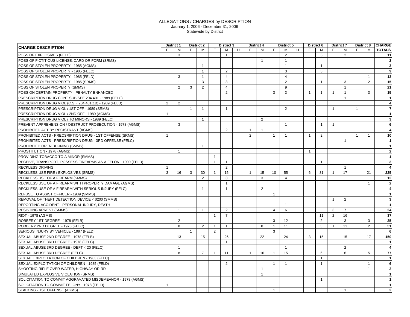| <b>CHARGE DESCRIPTION</b><br>F.<br>F<br>M<br>F.<br>U<br>F<br>F<br>M<br>F.<br>M<br><b>TOTALS</b><br>м<br>м<br>м<br>U<br>F.<br>М<br>F.<br>M<br>POSS OF EXPLOSIVES (FELC)<br>2<br>3<br>3<br>2<br>$\overline{1}$<br>POSS OF FICTITIOUS LICENSE, CARD OR FORM (SRMS)<br>$\mathbf{1}$<br>$\overline{1}$<br>POSS OF STOLEN PROPERTY - 1985 (AGMS)<br>$\overline{1}$<br>$\overline{1}$<br>$\overline{1}$<br>2<br>3<br>3<br>POSS OF STOLEN PROPERTY - 1985 (FELC)<br>$\overline{1}$<br>POSS OF STOLEN PROPERTY - 1985 (FELD)<br>3<br>$\mathbf{1}$<br>$\overline{4}$<br>$\overline{4}$<br>$\mathbf{1}$<br>3<br>3<br>$\overline{2}$<br>POSS OF STOLEN PROPERTY - 1985 (SRMS)<br>3<br>2<br>$\overline{1}$<br>$\overline{1}$<br>POSS OF STOLEN PROPERTY (SMMS)<br>2<br>3<br>2<br>9<br>$\overline{4}$<br>$\mathbf{1}$<br>POSS ON CERTAIN PROPERTY - PENALTY ENHANCED<br>$\overline{2}$<br>3<br>3<br>$\overline{1}$<br>$\overline{1}$<br>$\mathbf{1}$<br>$\overline{1}$<br>3<br>PRESCRIPTION DRUG CONT SUB SEE 204.401 - 1989 (FELC)<br>$\mathbf{1}$<br>PRESCRIPTION DRUG VIOL (C.S.), 204.401(1B) - 1989 (FELD)<br>$\overline{2}$<br>2<br>PRESCRIPTION DRUG VIOL / 1ST OFF - 1989 (SRMS)<br>2<br>$\overline{1}$<br>$\overline{1}$<br>$\mathbf{1}$<br>$\overline{1}$<br>$\overline{1}$<br>PRESCRIPTION DRUG VIOL / 2ND OFF - 1989 (AGMS)<br>$\mathbf{1}$<br>PRESCRIPTION DRUG VIOL / TO MINORS - 1989 (FELC)<br>$\overline{1}$<br>2<br>PREVENT APPREHENSION / OBSTRUCT PROSECUTION - 1978 (AGMS)<br>3<br>$\overline{1}$<br>$\overline{1}$<br>$\overline{1}$<br>PROHIBITED ACT BY REGISTRANT (AGMS)<br>2<br>$\overline{1}$<br>$\overline{1}$<br>PROHIBITED ACTS - PRECSRIPTION DRUG - 1ST OFFENSE (SRMS)<br>2<br>$\overline{1}$<br>$\overline{1}$<br>2<br>$\overline{1}$<br>$\overline{1}$<br>$\overline{1}$<br>$\overline{1}$<br>PROHIBITED ACTS - PRESCRIPTION DRUG - 3RD OFFENSE (FELC)<br>$\overline{1}$<br>PROHIBITED OPEN BURNING (SMMS)<br>$\mathbf{1}$ |
|------------------------------------------------------------------------------------------------------------------------------------------------------------------------------------------------------------------------------------------------------------------------------------------------------------------------------------------------------------------------------------------------------------------------------------------------------------------------------------------------------------------------------------------------------------------------------------------------------------------------------------------------------------------------------------------------------------------------------------------------------------------------------------------------------------------------------------------------------------------------------------------------------------------------------------------------------------------------------------------------------------------------------------------------------------------------------------------------------------------------------------------------------------------------------------------------------------------------------------------------------------------------------------------------------------------------------------------------------------------------------------------------------------------------------------------------------------------------------------------------------------------------------------------------------------------------------------------------------------------------------------------------------------------------------------------------------------------------------------------------------------------------------------------------------------------------------------------------------------------------------------------------------------------------------------------------|
| 11<br>$\overline{2}$<br>$\mathbf{3}$<br>9<br>13<br>15<br>21<br>15<br>$\mathbf{1}$<br>$\overline{4}$<br>$\overline{7}$<br>10                                                                                                                                                                                                                                                                                                                                                                                                                                                                                                                                                                                                                                                                                                                                                                                                                                                                                                                                                                                                                                                                                                                                                                                                                                                                                                                                                                                                                                                                                                                                                                                                                                                                                                                                                                                                                    |
|                                                                                                                                                                                                                                                                                                                                                                                                                                                                                                                                                                                                                                                                                                                                                                                                                                                                                                                                                                                                                                                                                                                                                                                                                                                                                                                                                                                                                                                                                                                                                                                                                                                                                                                                                                                                                                                                                                                                                |
|                                                                                                                                                                                                                                                                                                                                                                                                                                                                                                                                                                                                                                                                                                                                                                                                                                                                                                                                                                                                                                                                                                                                                                                                                                                                                                                                                                                                                                                                                                                                                                                                                                                                                                                                                                                                                                                                                                                                                |
|                                                                                                                                                                                                                                                                                                                                                                                                                                                                                                                                                                                                                                                                                                                                                                                                                                                                                                                                                                                                                                                                                                                                                                                                                                                                                                                                                                                                                                                                                                                                                                                                                                                                                                                                                                                                                                                                                                                                                |
|                                                                                                                                                                                                                                                                                                                                                                                                                                                                                                                                                                                                                                                                                                                                                                                                                                                                                                                                                                                                                                                                                                                                                                                                                                                                                                                                                                                                                                                                                                                                                                                                                                                                                                                                                                                                                                                                                                                                                |
|                                                                                                                                                                                                                                                                                                                                                                                                                                                                                                                                                                                                                                                                                                                                                                                                                                                                                                                                                                                                                                                                                                                                                                                                                                                                                                                                                                                                                                                                                                                                                                                                                                                                                                                                                                                                                                                                                                                                                |
|                                                                                                                                                                                                                                                                                                                                                                                                                                                                                                                                                                                                                                                                                                                                                                                                                                                                                                                                                                                                                                                                                                                                                                                                                                                                                                                                                                                                                                                                                                                                                                                                                                                                                                                                                                                                                                                                                                                                                |
|                                                                                                                                                                                                                                                                                                                                                                                                                                                                                                                                                                                                                                                                                                                                                                                                                                                                                                                                                                                                                                                                                                                                                                                                                                                                                                                                                                                                                                                                                                                                                                                                                                                                                                                                                                                                                                                                                                                                                |
|                                                                                                                                                                                                                                                                                                                                                                                                                                                                                                                                                                                                                                                                                                                                                                                                                                                                                                                                                                                                                                                                                                                                                                                                                                                                                                                                                                                                                                                                                                                                                                                                                                                                                                                                                                                                                                                                                                                                                |
|                                                                                                                                                                                                                                                                                                                                                                                                                                                                                                                                                                                                                                                                                                                                                                                                                                                                                                                                                                                                                                                                                                                                                                                                                                                                                                                                                                                                                                                                                                                                                                                                                                                                                                                                                                                                                                                                                                                                                |
|                                                                                                                                                                                                                                                                                                                                                                                                                                                                                                                                                                                                                                                                                                                                                                                                                                                                                                                                                                                                                                                                                                                                                                                                                                                                                                                                                                                                                                                                                                                                                                                                                                                                                                                                                                                                                                                                                                                                                |
|                                                                                                                                                                                                                                                                                                                                                                                                                                                                                                                                                                                                                                                                                                                                                                                                                                                                                                                                                                                                                                                                                                                                                                                                                                                                                                                                                                                                                                                                                                                                                                                                                                                                                                                                                                                                                                                                                                                                                |
|                                                                                                                                                                                                                                                                                                                                                                                                                                                                                                                                                                                                                                                                                                                                                                                                                                                                                                                                                                                                                                                                                                                                                                                                                                                                                                                                                                                                                                                                                                                                                                                                                                                                                                                                                                                                                                                                                                                                                |
|                                                                                                                                                                                                                                                                                                                                                                                                                                                                                                                                                                                                                                                                                                                                                                                                                                                                                                                                                                                                                                                                                                                                                                                                                                                                                                                                                                                                                                                                                                                                                                                                                                                                                                                                                                                                                                                                                                                                                |
|                                                                                                                                                                                                                                                                                                                                                                                                                                                                                                                                                                                                                                                                                                                                                                                                                                                                                                                                                                                                                                                                                                                                                                                                                                                                                                                                                                                                                                                                                                                                                                                                                                                                                                                                                                                                                                                                                                                                                |
|                                                                                                                                                                                                                                                                                                                                                                                                                                                                                                                                                                                                                                                                                                                                                                                                                                                                                                                                                                                                                                                                                                                                                                                                                                                                                                                                                                                                                                                                                                                                                                                                                                                                                                                                                                                                                                                                                                                                                |
|                                                                                                                                                                                                                                                                                                                                                                                                                                                                                                                                                                                                                                                                                                                                                                                                                                                                                                                                                                                                                                                                                                                                                                                                                                                                                                                                                                                                                                                                                                                                                                                                                                                                                                                                                                                                                                                                                                                                                |
|                                                                                                                                                                                                                                                                                                                                                                                                                                                                                                                                                                                                                                                                                                                                                                                                                                                                                                                                                                                                                                                                                                                                                                                                                                                                                                                                                                                                                                                                                                                                                                                                                                                                                                                                                                                                                                                                                                                                                |
|                                                                                                                                                                                                                                                                                                                                                                                                                                                                                                                                                                                                                                                                                                                                                                                                                                                                                                                                                                                                                                                                                                                                                                                                                                                                                                                                                                                                                                                                                                                                                                                                                                                                                                                                                                                                                                                                                                                                                |
| <b>PROSTITUTION - 1978 (AGMS)</b><br>$\overline{1}$<br>$\overline{1}$                                                                                                                                                                                                                                                                                                                                                                                                                                                                                                                                                                                                                                                                                                                                                                                                                                                                                                                                                                                                                                                                                                                                                                                                                                                                                                                                                                                                                                                                                                                                                                                                                                                                                                                                                                                                                                                                          |
| PROVIDING TOBACCO TO A MINOR (SMMS)<br>$\overline{1}$                                                                                                                                                                                                                                                                                                                                                                                                                                                                                                                                                                                                                                                                                                                                                                                                                                                                                                                                                                                                                                                                                                                                                                                                                                                                                                                                                                                                                                                                                                                                                                                                                                                                                                                                                                                                                                                                                          |
| RECEIVE, TRANSPORT, POSSESS FIREARMS AS A FELON - 1990 (FELD)<br>$\overline{1}$<br>$\overline{1}$<br>$\overline{1}$<br>$\mathbf{3}$                                                                                                                                                                                                                                                                                                                                                                                                                                                                                                                                                                                                                                                                                                                                                                                                                                                                                                                                                                                                                                                                                                                                                                                                                                                                                                                                                                                                                                                                                                                                                                                                                                                                                                                                                                                                            |
| 2<br><b>RECKLESS DRIVING</b><br>$\overline{1}$<br>$\overline{a}$<br>$\mathbf{1}$                                                                                                                                                                                                                                                                                                                                                                                                                                                                                                                                                                                                                                                                                                                                                                                                                                                                                                                                                                                                                                                                                                                                                                                                                                                                                                                                                                                                                                                                                                                                                                                                                                                                                                                                                                                                                                                               |
| RECKLESS USE FIRE / EXPLOSIVES (SRMS)<br>3<br>15<br>225<br>16<br>3<br>30<br>$\mathbf{1}$<br>$\overline{1}$<br>15<br>10<br>55<br>6<br>17<br>21<br>31<br>$\overline{1}$                                                                                                                                                                                                                                                                                                                                                                                                                                                                                                                                                                                                                                                                                                                                                                                                                                                                                                                                                                                                                                                                                                                                                                                                                                                                                                                                                                                                                                                                                                                                                                                                                                                                                                                                                                          |
| RECKLESS USE OF A FIREARM (SMMS)<br>$\overline{2}$<br>3<br>3<br>$\overline{4}$<br>12                                                                                                                                                                                                                                                                                                                                                                                                                                                                                                                                                                                                                                                                                                                                                                                                                                                                                                                                                                                                                                                                                                                                                                                                                                                                                                                                                                                                                                                                                                                                                                                                                                                                                                                                                                                                                                                           |
| RECKLESS USE OF A FIREARM WITH PROPERTY DAMAGE (AGMS)<br>$\overline{2}$<br>$\overline{1}$<br>$\mathbf{1}$                                                                                                                                                                                                                                                                                                                                                                                                                                                                                                                                                                                                                                                                                                                                                                                                                                                                                                                                                                                                                                                                                                                                                                                                                                                                                                                                                                                                                                                                                                                                                                                                                                                                                                                                                                                                                                      |
| RECKLESS USE OF A FIREARM WITH SERIOUS INJURY (FELC)<br>$\overline{2}$<br>$\overline{1}$<br>$\overline{4}$<br>$\overline{1}$                                                                                                                                                                                                                                                                                                                                                                                                                                                                                                                                                                                                                                                                                                                                                                                                                                                                                                                                                                                                                                                                                                                                                                                                                                                                                                                                                                                                                                                                                                                                                                                                                                                                                                                                                                                                                   |
| REFUSE TO ASSIST OFFICER - 1989 (SMMS)<br>$\overline{1}$<br>$\overline{1}$                                                                                                                                                                                                                                                                                                                                                                                                                                                                                                                                                                                                                                                                                                                                                                                                                                                                                                                                                                                                                                                                                                                                                                                                                                                                                                                                                                                                                                                                                                                                                                                                                                                                                                                                                                                                                                                                     |
| REMOVAL OF THEFT DETECTION DEVICE < \$200 (SMMS)<br>2<br>3 <sup>1</sup><br>$\overline{1}$                                                                                                                                                                                                                                                                                                                                                                                                                                                                                                                                                                                                                                                                                                                                                                                                                                                                                                                                                                                                                                                                                                                                                                                                                                                                                                                                                                                                                                                                                                                                                                                                                                                                                                                                                                                                                                                      |
| REPORTING ACCIDENT - PERSONAL INJURY, DEATH<br>$\overline{1}$<br>$\vert$ 1                                                                                                                                                                                                                                                                                                                                                                                                                                                                                                                                                                                                                                                                                                                                                                                                                                                                                                                                                                                                                                                                                                                                                                                                                                                                                                                                                                                                                                                                                                                                                                                                                                                                                                                                                                                                                                                                     |
| $\overline{7}$<br>24<br><b>RESISTING ARREST (SMMS)</b><br>2<br>$\overline{4}$<br>6<br>3<br>$\overline{1}$<br>$\overline{1}$                                                                                                                                                                                                                                                                                                                                                                                                                                                                                                                                                                                                                                                                                                                                                                                                                                                                                                                                                                                                                                                                                                                                                                                                                                                                                                                                                                                                                                                                                                                                                                                                                                                                                                                                                                                                                    |
| $\overline{7}$<br>$\overline{2}$<br>37<br>RIOT - 1978 (AGMS)<br>$\overline{1}$<br>16<br>11                                                                                                                                                                                                                                                                                                                                                                                                                                                                                                                                                                                                                                                                                                                                                                                                                                                                                                                                                                                                                                                                                                                                                                                                                                                                                                                                                                                                                                                                                                                                                                                                                                                                                                                                                                                                                                                     |
| 25<br>ROBBERY 1ST DEGREE - 1978 (FELB)<br>2<br>3<br>12<br>2<br>3<br>3                                                                                                                                                                                                                                                                                                                                                                                                                                                                                                                                                                                                                                                                                                                                                                                                                                                                                                                                                                                                                                                                                                                                                                                                                                                                                                                                                                                                                                                                                                                                                                                                                                                                                                                                                                                                                                                                          |
| 51<br>ROBBERY 2ND DEGREE - 1978 (FELC)<br>$\overline{2}$<br>5<br>$\overline{2}$<br>8<br>$\overline{1}$<br>8<br>$\overline{1}$<br>11<br>11<br>$\overline{1}$<br>$\mathbf{1}$                                                                                                                                                                                                                                                                                                                                                                                                                                                                                                                                                                                                                                                                                                                                                                                                                                                                                                                                                                                                                                                                                                                                                                                                                                                                                                                                                                                                                                                                                                                                                                                                                                                                                                                                                                    |
| SERIOUS INJURY BY VEHICLE - 1997 (FELD)<br>$\overline{2}$<br>3<br>$6\phantom{.}6$<br>$\overline{1}$                                                                                                                                                                                                                                                                                                                                                                                                                                                                                                                                                                                                                                                                                                                                                                                                                                                                                                                                                                                                                                                                                                                                                                                                                                                                                                                                                                                                                                                                                                                                                                                                                                                                                                                                                                                                                                            |
| SEXUAL ABUSE 2ND DEGREE - 1978 (FELB)<br>150<br>13<br>15<br>22<br>24<br>3<br>15<br>15<br>26<br>17                                                                                                                                                                                                                                                                                                                                                                                                                                                                                                                                                                                                                                                                                                                                                                                                                                                                                                                                                                                                                                                                                                                                                                                                                                                                                                                                                                                                                                                                                                                                                                                                                                                                                                                                                                                                                                              |
| SEXUAL ABUSE 3RD DEGREE - 1978 (FELC)<br>$\overline{1}$<br>-11                                                                                                                                                                                                                                                                                                                                                                                                                                                                                                                                                                                                                                                                                                                                                                                                                                                                                                                                                                                                                                                                                                                                                                                                                                                                                                                                                                                                                                                                                                                                                                                                                                                                                                                                                                                                                                                                                 |
| SEXUAL ABUSE 3RD DEGREE - DEFT < 20 (FELC)<br>2<br>$\overline{4}$<br>$\overline{1}$<br>$\overline{1}$                                                                                                                                                                                                                                                                                                                                                                                                                                                                                                                                                                                                                                                                                                                                                                                                                                                                                                                                                                                                                                                                                                                                                                                                                                                                                                                                                                                                                                                                                                                                                                                                                                                                                                                                                                                                                                          |
| $\overline{7}$<br>5<br>SEXUAL ABUSE 3RD DEGREE (FELC)<br>8<br>15<br>6<br>6<br>77<br>$\overline{1}$<br>11<br>$\overline{1}$<br>16<br>$\overline{1}$                                                                                                                                                                                                                                                                                                                                                                                                                                                                                                                                                                                                                                                                                                                                                                                                                                                                                                                                                                                                                                                                                                                                                                                                                                                                                                                                                                                                                                                                                                                                                                                                                                                                                                                                                                                             |
| SEXUAL EXPLOITATION OF CHILDREN - 1983 (FELC)<br>$\mathbf{1}$<br>$\overline{1}$                                                                                                                                                                                                                                                                                                                                                                                                                                                                                                                                                                                                                                                                                                                                                                                                                                                                                                                                                                                                                                                                                                                                                                                                                                                                                                                                                                                                                                                                                                                                                                                                                                                                                                                                                                                                                                                                |
| SEXUAL EXPLOITATION OF CHILDREN - 1985 (FELD)<br>$\overline{2}$<br>$\overline{1}$<br>$\overline{1}$<br>$\mathbf{1}$<br>6<br>$\mathbf{1}$                                                                                                                                                                                                                                                                                                                                                                                                                                                                                                                                                                                                                                                                                                                                                                                                                                                                                                                                                                                                                                                                                                                                                                                                                                                                                                                                                                                                                                                                                                                                                                                                                                                                                                                                                                                                       |
| SHOOTING RIFLE OVER WATER, HIGHWAY OR RR -<br>$\overline{1}$<br>$\mathbf{1}$<br>$\overline{2}$                                                                                                                                                                                                                                                                                                                                                                                                                                                                                                                                                                                                                                                                                                                                                                                                                                                                                                                                                                                                                                                                                                                                                                                                                                                                                                                                                                                                                                                                                                                                                                                                                                                                                                                                                                                                                                                 |
| SIMULATED EXPLOSIVE VIOLATION (SRMS)<br>$\overline{1}$                                                                                                                                                                                                                                                                                                                                                                                                                                                                                                                                                                                                                                                                                                                                                                                                                                                                                                                                                                                                                                                                                                                                                                                                                                                                                                                                                                                                                                                                                                                                                                                                                                                                                                                                                                                                                                                                                         |
| SOLICITATION TO COMMIT AGGRAVATED MISDEMEANOR - 1978 (AGMS)<br>$\overline{1}$                                                                                                                                                                                                                                                                                                                                                                                                                                                                                                                                                                                                                                                                                                                                                                                                                                                                                                                                                                                                                                                                                                                                                                                                                                                                                                                                                                                                                                                                                                                                                                                                                                                                                                                                                                                                                                                                  |
| SOLICITATION TO COMMIT FELONY - 1978 (FELD)<br>$\overline{1}$                                                                                                                                                                                                                                                                                                                                                                                                                                                                                                                                                                                                                                                                                                                                                                                                                                                                                                                                                                                                                                                                                                                                                                                                                                                                                                                                                                                                                                                                                                                                                                                                                                                                                                                                                                                                                                                                                  |
| STALKING - 1ST OFFENSE (AGMS)<br>$\overline{1}$<br>$\overline{1}$<br>$\overline{2}$                                                                                                                                                                                                                                                                                                                                                                                                                                                                                                                                                                                                                                                                                                                                                                                                                                                                                                                                                                                                                                                                                                                                                                                                                                                                                                                                                                                                                                                                                                                                                                                                                                                                                                                                                                                                                                                            |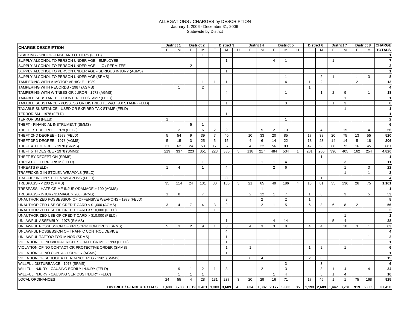| <b>CHARGE DESCRIPTION</b>                                                |                | <b>District 1</b> | <b>District 2</b> |                |                 | <b>District 3</b>       |                 |                | <b>District 4</b> |                             | <b>District 5</b> |                |                | District 6     | <b>District 7</b>          |                | <b>District 8</b>       |                | <b>CHARGE</b>  |
|--------------------------------------------------------------------------|----------------|-------------------|-------------------|----------------|-----------------|-------------------------|-----------------|----------------|-------------------|-----------------------------|-------------------|----------------|----------------|----------------|----------------------------|----------------|-------------------------|----------------|----------------|
|                                                                          | F.             | M                 | F.                | M              | F.              | М                       | U               | E              | М                 | E                           | M                 | U              | E              | M              | F                          | M              | E                       | M              | <b>TOTALS</b>  |
| STALKING - 2ND OFFENSE AND OTHERS (FELD)                                 |                |                   |                   | $\mathbf{1}$   |                 |                         |                 |                |                   |                             |                   |                |                |                |                            |                |                         |                |                |
| SUPPLY ALCOHOL TO PERSON UNDER AGE - EMPLOYEE                            |                |                   |                   |                |                 | $\overline{1}$          |                 |                |                   | $\overline{4}$              | $\overline{1}$    |                |                |                | $\overline{1}$             |                |                         |                | $\overline{7}$ |
| SUPPLY ALCOHOL TO PERSON UNDER AGE - LIC / PERMITEE                      |                |                   | $\overline{2}$    |                |                 |                         |                 |                |                   |                             |                   |                |                |                |                            |                |                         |                |                |
| SUPPLY ALCOHOL TO PERSON UNDER AGE - SERIOUS INJURY (AGMS)               |                |                   |                   |                |                 | $\overline{1}$          |                 |                |                   |                             |                   |                |                |                |                            |                |                         |                |                |
| SUPPLY ALCOHOL TO PERSON UNDER AGE (SRMS)                                |                |                   |                   |                |                 |                         |                 |                |                   |                             | $\overline{1}$    |                |                | 2              | $\mathbf{1}$               |                | $\overline{\mathbf{1}}$ | 3              | 8              |
| TAMPERING WITH A MOTOR VEHICLE - 1989                                    |                |                   |                   | $\overline{1}$ | $\overline{1}$  | $\overline{1}$          |                 |                |                   |                             | $\overline{4}$    |                | $\overline{1}$ | 2              |                            |                | 2                       | $\mathbf{1}$   | 13             |
| TAMPERING WITH RECORDS - 1987 (AGMS)                                     |                | $\overline{1}$    |                   | $\overline{2}$ |                 |                         |                 |                |                   |                             |                   |                | $\mathbf{1}$   |                |                            |                |                         |                |                |
| TAMPERING WITH WITNESS OR JUROR - 1978 (AGMS)                            |                |                   |                   |                |                 | $\overline{4}$          |                 |                |                   |                             | $\overline{1}$    |                |                | $\overline{1}$ | $\overline{2}$             | 9              |                         | $\overline{1}$ | 18             |
| TAXABLE SUBSTANCE - COUNTERFEIT STAMP (FELD)                             |                |                   |                   |                |                 |                         |                 |                |                   |                             |                   |                |                |                |                            | $\overline{1}$ |                         |                | $\overline{1}$ |
| TAXABLE SUBSTANCE - POSSESS OR DISTRIBUTE W/O TAX STAMP (FELD)           |                |                   |                   |                |                 | $\overline{1}$          |                 |                |                   |                             | 3                 |                |                |                | $\overline{1}$             | 3              |                         |                | 8              |
| TAXABLE SUBSTANCE - USED OR EXPIRED TAX STAMP (FELD)                     |                |                   |                   |                |                 |                         |                 |                |                   |                             |                   |                |                |                |                            | $\mathbf{1}$   |                         |                |                |
| TERRORISM - 1978 (FELD)                                                  |                |                   |                   |                |                 | $\overline{1}$          |                 |                |                   |                             |                   |                |                |                |                            |                |                         |                |                |
| TERRORISM (FELB)                                                         | $\overline{1}$ |                   |                   |                |                 |                         |                 |                |                   |                             | $\overline{1}$    |                |                |                |                            |                |                         |                | $\overline{2}$ |
| THEFT - FINANCIAL INSTRUMENT (SMMS)                                      |                |                   | 5                 | $\mathbf{1}$   |                 |                         |                 |                |                   |                             |                   |                |                |                |                            |                |                         |                | 6              |
| THEFT 1ST DEGREE - 1978 (FELC)                                           |                | 2                 | $\overline{1}$    | 6              | $\overline{2}$  | 2                       |                 |                | 5                 | 2                           | 13                |                |                | $\overline{4}$ |                            | 15             |                         | $\overline{4}$ | 56             |
| THEFT 2ND DEGREE - 1978 (FELD)                                           | 5              | 54                | 9                 | 39             | $\overline{7}$  | 40                      |                 | 10             | 33                | 20                          | 85                |                | 17             | 38             | 20                         | 75             | 13                      | 55             | 520            |
| THEFT 3RD DEGREE - 1978 (AGMS)                                           | 5              | 15                | 3                 | 25             | $5\overline{5}$ | 15                      |                 | $\overline{4}$ | 6                 | 14                          | 22                |                | 18             | 23             | 14                         | 14             | 5                       | 18             | 206            |
| THEFT 4TH DEGREE - 1978 (SRMS)                                           | 31             | 62                | 24                | 53             | 17              | 37                      |                 | $\overline{4}$ | 22                | 56                          | 83                |                | 42             | 55             | 68                         | 72             | 16                      | 45             | 687            |
| THEFT 5TH DEGREE - 1978 (SMMS)                                           | 219            | 337               | 223               | 351            | 223             | 330                     | $5\overline{5}$ | 118            | 217               | 484                         | 534               | $\mathbf{1}$   | 281            | 280            | 396                        | 405            | 162                     | 254            | 4,820          |
| THEFT BY DECEPTION (SRMS)                                                |                |                   |                   |                |                 |                         |                 |                |                   |                             |                   |                |                | $\overline{1}$ |                            |                |                         |                | -1             |
| THREAT OF TERRORISM (FELD)                                               |                |                   |                   | $\overline{1}$ |                 |                         |                 |                | $\overline{1}$    | $\overline{1}$              | $\overline{4}$    |                |                |                |                            | 3              |                         | $\overline{1}$ | 11             |
| THREATS (FELD)                                                           | $\overline{1}$ | $\overline{4}$    |                   | $\overline{1}$ |                 | $\overline{4}$          |                 |                |                   | $\overline{2}$              | 6                 |                |                |                |                            | $\overline{1}$ |                         | 3              | 22             |
| TRAFFICKING IN STOLEN WEAPONS (FELC)                                     |                |                   |                   |                |                 |                         |                 |                |                   |                             |                   |                |                |                |                            | $\overline{1}$ |                         | $\overline{1}$ | $\overline{2}$ |
| TRAFFICKING IN STOLEN WEAPONS (FELD)                                     |                |                   |                   |                |                 | 3                       |                 |                |                   |                             |                   |                |                | $\overline{1}$ |                            |                |                         |                |                |
| TRESPASS - < 200 (SMMS)                                                  | 35             | 114               | 24                | 131            | 30              | 130                     | 3               | 21             | 65                | 49                          | 186               | $\overline{4}$ | 16             | 81             | 35                         | 136            | 26                      | 75             | 1,161          |
| TRESPASS - HATE CRIME INJURY/DAMAGE > 100 (AGMS)                         |                |                   |                   |                |                 |                         |                 |                | $\overline{1}$    |                             |                   |                |                |                |                            |                |                         |                | -1             |
| TRESPASS - INJURY/DAMAGE > 200 (SRMS)                                    | $\overline{1}$ | 8                 |                   | $\overline{7}$ |                 |                         |                 | 2              | 12                | $\overline{1}$              | $\overline{7}$    |                | $\mathbf{1}$   | 6              |                            | 3              |                         | 5              | 53             |
| UNAUTHORIZED POSSESSION OF OFFENSIVE WEAPONS - 1978 (FELD)               |                |                   |                   |                |                 | 3                       |                 |                | $\overline{2}$    |                             | 2                 |                | $\mathbf{1}$   |                |                            |                |                         |                | 8              |
| UNAUTHORIZED USE OF CREDIT CARD < \$1,000 (AGMS)                         | 3              | $\overline{4}$    | $\overline{7}$    | $\overline{4}$ | 3               | 2                       |                 |                | $\overline{2}$    | $\mathbf{1}$                | 5                 |                | 6              | 3              | 6                          | 8              | $\overline{2}$          |                | 56             |
| UNAUTHORIZED USE OF CREDIT CARD < \$10,000 (FELD)                        |                |                   | $\overline{1}$    |                | $\overline{1}$  |                         |                 |                |                   |                             |                   |                |                |                |                            |                |                         |                | $\overline{2}$ |
| UNAUTHORIZED USE OF CREDIT CARD > \$10,000 (FELC)                        |                |                   |                   |                |                 |                         |                 |                |                   |                             |                   |                |                |                |                            | $\overline{1}$ |                         |                | $\mathbf{1}$   |
| UNLAWFUL ASSEMBLY - 1978 (SMMS)                                          |                |                   |                   |                |                 | $\overline{1}$          |                 |                |                   | $\overline{4}$              | 14                |                |                |                | 5                          | $\overline{4}$ |                         |                | 28             |
| UNLAWFUL POSSESSION OF PRESCRIPTION DRUG (SRMS)                          | 5              | 3                 | $\overline{2}$    | 9              | $\overline{1}$  | 3                       |                 | $\overline{4}$ | 3                 | 3                           | 8                 |                | $\overline{4}$ | $\overline{4}$ |                            | 10             | 3                       | $\overline{1}$ | 63             |
| UNLAWFUL POSSESSION OF TRAFFIC CONTROL DEVICE                            |                |                   |                   |                |                 | $\overline{4}$          |                 |                |                   |                             |                   |                |                |                |                            |                |                         |                |                |
| UNLAWFUL TATTOO FOR MINOR (SRMS)                                         |                |                   |                   |                |                 | $\overline{1}$          |                 |                |                   |                             |                   |                |                |                |                            |                |                         | $\overline{1}$ | $\overline{2}$ |
| VIOLATION OF INDIVIDUAL RIGHTS - HATE CRIME - 1993 (FELD)                |                |                   |                   |                |                 | $\overline{1}$          |                 |                |                   |                             |                   |                |                |                |                            |                |                         |                |                |
| VIOLATION OF NO CONTACT OR PROTECTIVE ORDER (SMMS)                       |                |                   |                   |                |                 |                         |                 | $\overline{1}$ |                   |                             |                   |                |                | 2              |                            | $\overline{1}$ |                         |                | 6              |
| VIOLATION OF NO CONTACT ORDER (AGMS)                                     |                |                   |                   |                |                 | $\overline{\mathbf{1}}$ |                 |                |                   |                             |                   |                |                |                |                            |                |                         |                | $\mathbf{1}$   |
| VIOLATION OF SCHOOL ATTENDANCE REG - 1985 (SMMS)                         |                |                   |                   |                |                 |                         |                 | 6              | $\overline{4}$    |                             |                   |                | 2              | 3              |                            |                |                         |                | 15             |
| WILLFUL DISTURBANCE - 1978 (SRMS)                                        |                |                   |                   |                |                 |                         |                 |                |                   |                             | 3                 |                |                | 3              |                            |                |                         |                | 6              |
| WILLFUL INJURY - CAUSING BODILY INJURY (FELD)                            |                | 9                 | $\overline{1}$    | 2              | $\overline{1}$  | 3                       |                 |                | $\overline{2}$    |                             | 3                 |                |                | 3              | $\overline{1}$             | $\overline{4}$ | $\overline{1}$          | $\overline{4}$ | 34             |
| WILLFUL INJURY - CAUSING SERIOUS INJURY (FELC)                           |                | $\mathbf{1}$      | -1                | $\overline{1}$ |                 |                         |                 |                |                   | -1                          | $\overline{4}$    |                |                | 3              | $\overline{1}$             | $\overline{4}$ |                         |                | 16             |
| <b>LOCAL ORDINANCES</b>                                                  | 24             | 55                | $\overline{4}$    | 28             | 131             | 237                     | 3               | 20             | 29                | 16                          | 71                |                | 17             | 45             | $\overline{1}$             | $\overline{1}$ | 75                      | 168            | 925            |
| DISTRICT / GENDER TOTALS   1,400   3,703   1,319   3,401   1,303   3,609 |                |                   |                   |                |                 |                         | 45              |                |                   | 634   1,887   2,177   5,303 |                   |                |                |                | 35 1.193 2.689 1.447 3.781 |                | 919                     | 2,605          | 37,450         |
|                                                                          |                |                   |                   |                |                 |                         |                 |                |                   |                             |                   |                |                |                |                            |                |                         |                |                |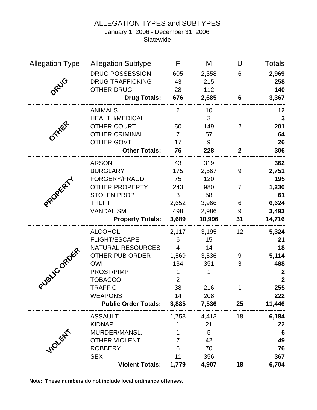# ALLEGATION TYPES and SUBTYPES January 1, 2006 - December 31, 2006

**Statewide** 

| <b>Allegation Type</b> | <b>Allegation Subtype</b>   | E              | <u>M</u> | <u>ប</u>       | <u>Totals</u>    |
|------------------------|-----------------------------|----------------|----------|----------------|------------------|
|                        | DRUG POSSESSION             | 605            | 2,358    | 6              | 2,969            |
|                        | <b>DRUG TRAFFICKING</b>     | 43             | 215      |                | 258              |
| DRUG                   | <b>OTHER DRUG</b>           | 28             | 112      |                | 140              |
|                        | <b>Drug Totals:</b>         | 676            | 2,685    | 6              | 3,367            |
|                        | <b>ANIMALS</b>              | 2              | 10       |                | 12               |
|                        | <b>HEALTH/MEDICAL</b>       |                | 3        |                | $\mathbf{3}$     |
| OTHER                  | <b>OTHER COURT</b>          | 50             | 149      | $\overline{2}$ | 201              |
|                        | <b>OTHER CRIMINAL</b>       | $\overline{7}$ | 57       |                | 64               |
|                        | <b>OTHER GOVT</b>           | 17             | $9\,$    |                | 26               |
|                        | <b>Other Totals:</b>        | 76             | 228      | $\overline{2}$ | 306              |
|                        | <b>ARSON</b>                | 43             | 319      |                | 362              |
|                        | <b>BURGLARY</b>             | 175            | 2,567    | 9              | 2,751            |
|                        | <b>FORGERY/FRAUD</b>        | 75             | 120      |                | 195              |
|                        | <b>OTHER PROPERTY</b>       | 243            | 980      | $\overline{7}$ | 1,230            |
|                        | <b>STOLEN PROP</b>          | 3              | 58       |                | 61               |
| PROPERT                | <b>THEFT</b>                | 2,652          | 3,966    | 6              | 6,624            |
|                        | <b>VANDALISM</b>            | 498            | 2,986    | 9              | 3,493            |
|                        |                             |                |          |                |                  |
|                        | <b>Property Totals:</b>     | 3,689          | 10,996   | 31             | 14,716           |
|                        | <b>ALCOHOL</b>              | 2,117          | 3,195    | 12             | 5,324            |
|                        | <b>FLIGHT/ESCAPE</b>        | 6              | 15       |                | 21               |
|                        | <b>NATURAL RESOURCES</b>    | 4              | 14       |                | 18               |
|                        | <b>OTHER PUB ORDER</b>      | 1,569          | 3,536    | 9              | 5,114            |
|                        | <b>OWI</b>                  | 134            | 351      | 3              | 488              |
|                        | PROST/PIMP                  | 1              | 1        |                | $\boldsymbol{2}$ |
|                        | <b>TOBACCO</b>              | $\overline{2}$ |          |                | $\boldsymbol{2}$ |
|                        | <b>TRAFFIC</b>              | 38             | 216      | 1              | 255              |
| PUBLIC ORDER           | <b>WEAPONS</b>              | 14             | 208      |                | 222              |
|                        | <b>Public Order Totals:</b> | 3,885          | 7,536    | 25             | 11,446           |
|                        | <b>ASSAULT</b>              | 1,753          | 4,413    | 18             | 6,184            |
|                        | <b>KIDNAP</b>               | 1              | 21       |                | 22               |
|                        | MURDER/MANSL.               | 1              | 5        |                | $6\phantom{1}6$  |
|                        | <b>OTHER VIOLENT</b>        | 7              | 42       |                | 49               |
|                        | <b>ROBBERY</b>              | 6              | 70       |                | 76               |
| <b>VIOLENT</b>         | <b>SEX</b>                  | 11             | 356      |                | 367              |

**Note: These numbers do not include local ordinance offenses.**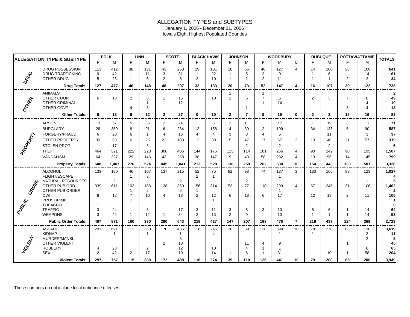#### ALLEGATION TYPES and SUBTYPES January 1, 2006 - December 31, 2006 Iowa's Eight Highest Populated Counties

|                  | <b>ALLEGATION TYPE &amp; SUBTYPE</b>      |                         | <b>POLK</b>    |                                | <b>LINN</b>          |                | <b>SCOTT</b>           |                                           | <b>BLACK HAWK</b> |                              | <b>JOHNSON</b> |                     | <b>WOODBURY</b>                |                 |                                | <b>DUBUQUE</b>            |                | <b>POTTAWATTAMIE</b>                             | <b>TOTALS</b>  |
|------------------|-------------------------------------------|-------------------------|----------------|--------------------------------|----------------------|----------------|------------------------|-------------------------------------------|-------------------|------------------------------|----------------|---------------------|--------------------------------|-----------------|--------------------------------|---------------------------|----------------|--------------------------------------------------|----------------|
|                  |                                           | F.                      | м              | E                              | M                    | F              | M                      | F                                         | M                 | F.                           | M              | F                   | M                              | U               | E                              | M                         | F.             | M                                                |                |
|                  | DRUG POSSESSION                           | 113                     | 412            | 38                             | 131                  | 43             | 258                    | 29                                        | 101               | 18                           | 66             | 48                  | 127                            | $\overline{4}$  | 14                             | 100                       | 28             | 106                                              | 641            |
| DRUG             | <b>DRUG TRAFFICKING</b><br>OTHER DRUG     | 9<br>5                  | 42<br>23       | $\mathbf{1}$<br>$\overline{1}$ | 11<br>6              | 3<br>2         | 31<br>8                | $\overline{1}$<br>$\overline{2}$          | 22<br>10          | $\mathbf{1}$<br>$\mathbf{1}$ | 5<br>2         | 2<br>$\overline{2}$ | 9<br>11                        |                 | $\mathbf{1}$<br>$\overline{1}$ | 6<br>$\mathbf{1}$         | $\overline{2}$ | 14<br>2                                          | 61<br>34       |
|                  | <b>Drug Totals:</b>                       | 127                     | 477            | 40                             | 148                  | 48             | 297                    | 32                                        | 133               | 20                           | 73             | 52                  | 147                            | 4               | 16                             | 107                       | 30             | 122                                              | 736            |
|                  | <b>ANIMALS</b>                            |                         |                |                                |                      |                |                        |                                           |                   | $\mathbf{1}$                 |                | $\mathbf{1}$        |                                |                 |                                |                           |                |                                                  | $\mathbf{2}$   |
|                  | OTHER COURT                               | 6                       | 13             | $\overline{2}$                 | 8                    |                | 15                     |                                           | 10                | $\mathbf{1}$                 | 6              | $\overline{7}$      | 5                              |                 | 2                              | 3                         | $\overline{7}$ | 8                                                | 49             |
| OTHER            | <b>OTHER CRIMINAL</b><br>OTHER GOVT       |                         |                | $\overline{4}$                 | $\mathbf{1}$<br>3    |                | 12                     |                                           |                   |                              | $\mathbf{1}$   | $\overline{1}$      | 14                             |                 |                                |                           | 8              | $\overline{\mathbf{A}}$<br>$\boldsymbol{\Delta}$ | 19<br>13       |
|                  | <b>Other Totals:</b>                      | 6                       | 13             | 6                              | 12                   | $\mathbf{2}$   | 27                     | $\bf{0}$                                  | 10                | $\mathbf{2}$                 | $\overline{7}$ | 9                   | 19                             | $\mathbf 0$     | $\mathbf{2}$                   | 3                         | 15             | 16                                               | 83             |
|                  | ARSON                                     | 13                      | 57             | 5                              | 35                   | $\overline{2}$ | 24                     | $\overline{1}$                            | 6                 | $\overline{2}$               | 11             |                     | 17                             |                 | $\overline{1}$                 | 19                        | 3              | 11                                               | 71             |
|                  | <b>BURGLARY</b>                           | 28                      | 359            | 8                              | 91                   | 6              | 234                    | 13                                        | 158               | $\overline{4}$               | 39             | $\overline{2}$      | 109                            |                 | 34                             | 133                       | 5              | 90                                               | 587            |
| <b>PROPERTYL</b> | FORGERY/FRAUD                             | 6                       | 28             | 6                              | $\mathbf{1}$         | 4              | 16                     | 4                                         | $\overline{4}$    | 3                            | 3              | $\overline{4}$      | 5                              |                 |                                | 11                        |                | 3                                                | 37             |
|                  | OTHER PROPERTY                            | 33                      | 98             | 6                              | 25                   | 22             | 103                    | 12                                        | 38                | 5                            | 47             | 17                  | 67                             | 2               | 13                             | 40                        | 21             | 57                                               | 319            |
|                  | <b>STOLEN PROP</b>                        |                         | 17             |                                | 3                    |                |                        |                                           |                   |                              | $\overline{2}$ |                     | 2                              |                 |                                | $\overline{2}$            |                |                                                  | 6              |
|                  | <b>THEFT</b>                              | 464                     | 521            | 222                            | 223                  | 368            | 406                    | 144                                       | 175               | 113                          | 114            | 181                 | 256                            | 4               | 93                             | 142                       | 90             | 195                                              | 1,507          |
|                  | <b>VANDALISM</b>                          | 64                      | 327            | 29                             | 146                  | 43             | 258                    | 38                                        | 147               | 9                            | 43             | 58                  | 232                            | $\overline{4}$  | 13                             | 96                        | 14             | 145                                              | 799            |
|                  | <b>Property Totals:</b>                   | 608                     | 1.407          | 276                            | 524                  | 445            | 1,041                  | 212                                       | 528               | 136                          | 259            | 262                 | 688                            | 10              | 154                            | 443                       | 133            | 501                                              | 3,326          |
|                  | <b>ALCOHOL</b>                            | 133                     | 180            | 46                             | 107                  | 137            | 215                    | 52                                        | 75                | 82                           | 93             | 74                  | 137                            | 3               | 133                            | 166                       | 89             | 123                                              | 1,027          |
|                  | <b>FLIGHT/ESCAPE</b><br>NATURAL RESOURCES |                         | 2              | $\mathbf{1}$                   | 3                    |                | $\overline{2}$         | $\overline{2}$                            | $\mathbf{1}$      | $\mathbf{1}$                 | $\overline{2}$ |                     | $\mathbf{1}$<br>$\overline{1}$ |                 |                                |                           |                | $\mathbf{1}$                                     | 4<br>5         |
|                  | OTHER PUB ORD                             | 339                     | 611            | 103                            | 188                  | 138            | 360                    | 156                                       | 314               | 53                           | 77             | 110                 | 299                            | 4               | 67                             | 245                       | 31             | 106                                              | 1,462          |
| ORDER            | OTHER PUB ORDER<br>OWI                    | 8                       | 12             | $\mathbf{1}$<br>$\overline{7}$ | $\overline{2}$<br>10 | 4              | $\boldsymbol{2}$<br>13 | $\overline{\mathbf{1}}$<br>$\overline{2}$ | 12                | 6                            | 18             | 6                   | $\mathbf{1}$<br>17             |                 | 12                             | 19                        | 2              | 11                                               | 2<br>105       |
|                  | PROST/PIMP                                |                         |                |                                |                      |                |                        |                                           |                   |                              |                |                     |                                |                 |                                |                           |                |                                                  | $\overline{1}$ |
|                  | <b>TOBACCO</b>                            | $\overline{\mathbf{1}}$ |                |                                |                      |                |                        |                                           |                   |                              |                |                     |                                |                 |                                |                           |                |                                                  | $\mathbf{0}$   |
| PUBLIC           | <b>TRAFFIC</b><br><b>WEAPONS</b>          | 3<br>3                  | 24<br>42       | $\mathbf{1}$                   | 8<br>12              | -1             | 17<br>34               | 3<br>2                                    | 11<br>13          | 3<br>$\overline{2}$          | 8<br>9         | 3                   | 10<br>10                       |                 | 5<br>$\overline{\mathbf{1}}$   | 6<br>$\blacktriangleleft$ | -1             | 14<br>14                                         | 64<br>53       |
|                  | <b>Public Order Totals:</b>               | 487                     | 871            | 160                            | 330                  | 280            | 643                    | 218                                       | 427               | 147                          | 207            | 193                 | 476                            | $\overline{7}$  | 218                            | 437                       | 124            | 269                                              | 2,723          |
|                  | <b>ASSAULT</b>                            | 291                     | 691            | 113                            | 360                  | 170            | 435                    | 116                                       | 246               | 38                           | 89             | 120                 | 399                            | 10 <sup>°</sup> | 78                             | 270                       | 63             | 130                                              | 3,619          |
|                  | <b>KIDNAP</b>                             |                         | $\overline{1}$ |                                | $\mathbf{1}$         |                | $\mathbf{1}$           |                                           | $\overline{a}$    |                              |                |                     |                                |                 | $\overline{1}$                 |                           |                | 2                                                | 11             |
|                  | MURDER/MANSL.<br><b>OTHER VIOLENT</b>     |                         |                |                                |                      | 2              | 3<br>18                |                                           |                   |                              |                |                     |                                |                 |                                |                           |                | 2                                                | 5              |
| VOLENT           | <b>ROBBERY</b>                            | 4                       | 23             |                                | $\overline{2}$       |                | 12                     |                                           | 10                |                              | 11<br>4        | 4<br>-1             | 9                              |                 |                                |                           |                | 8                                                | 45<br>65       |
|                  | <b>SEX</b>                                | $\overline{2}$          | 42             | 2                              | 17                   |                | 19                     |                                           | 14                | $\mathbf{1}$                 | 6              | $\mathbf{1}$        | 31                             |                 |                                | 10                        |                | 58                                               | 204            |
|                  | <b>Violent Totals:</b>                    | 297                     | 757            | 115                            | 380                  | 172            | 488                    | 116                                       | 274               | 39                           | 110            | 126                 | 441                            | 10              | 79                             | 280                       | 65             | 200                                              | 3,949          |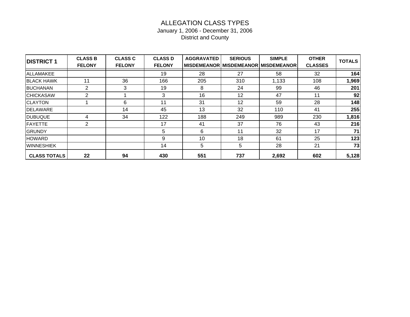| <b>DISTRICT 1</b>   | <b>CLASS B</b><br><b>FELONY</b> | <b>CLASS C</b><br><b>FELONY</b> | <b>CLASS D</b><br><b>FELONY</b> | <b>AGGRAVATED</b> | <b>SERIOUS</b> | <b>SIMPLE</b><br>MISDEMEANOR MISDEMEANOR MISDEMEANOR | <b>OTHER</b><br><b>CLASSES</b> | <b>TOTALS</b> |
|---------------------|---------------------------------|---------------------------------|---------------------------------|-------------------|----------------|------------------------------------------------------|--------------------------------|---------------|
| <b>ALLAMAKEE</b>    |                                 |                                 | 19                              | 28                | 27             | 58                                                   | 32                             | 164           |
| <b>BLACK HAWK</b>   | 11                              | 36                              | 166                             | 205               | 310            | 1,133                                                | 108                            | 1,969         |
| <b>BUCHANAN</b>     | 2                               | 3                               | 19                              | 8                 | 24             | 99                                                   | 46                             | 201           |
| <b>CHICKASAW</b>    | $\overline{2}$                  |                                 | 3                               | 16                | 12             | 47                                                   | 11                             | 92            |
| <b>CLAYTON</b>      |                                 | 6                               | 11                              | 31                | 12             | 59                                                   | 28                             | 148           |
| <b>IDELAWARE</b>    |                                 | 14                              | 45                              | 13                | 32             | 110                                                  | 41                             | 255           |
| <b>DUBUQUE</b>      | 4                               | 34                              | 122                             | 188               | 249            | 989                                                  | 230                            | 1,816         |
| <b>FAYETTE</b>      | $\overline{2}$                  |                                 | 17                              | 41                | 37             | 76                                                   | 43                             | 216           |
| <b>GRUNDY</b>       |                                 |                                 | 5                               | 6                 | 11             | 32                                                   | 17                             | 71            |
| <b>HOWARD</b>       |                                 |                                 | 9                               | 10                | 18             | 61                                                   | 25                             | 123           |
| <b>WINNESHIEK</b>   |                                 |                                 | 14                              | 5                 | 5              | 28                                                   | 21                             | 73            |
| <b>CLASS TOTALS</b> | 22                              | 94                              | 430                             | 551               | 737            | 2,692                                                | 602                            | 5,128         |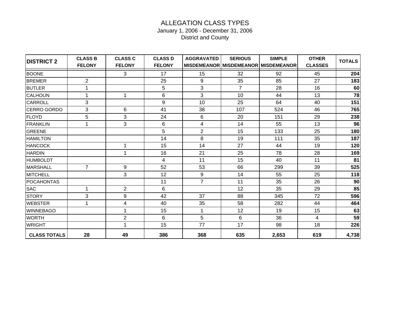|                     | <b>CLASS B</b> | <b>CLASS C</b> | <b>CLASS D</b> | <b>AGGRAVATED</b> | <b>SERIOUS</b> | <b>SIMPLE</b>                       | <b>OTHER</b>   | <b>TOTALS</b> |
|---------------------|----------------|----------------|----------------|-------------------|----------------|-------------------------------------|----------------|---------------|
| <b>DISTRICT 2</b>   | <b>FELONY</b>  | <b>FELONY</b>  | <b>FELONY</b>  |                   |                | MISDEMEANOR MISDEMEANOR MISDEMEANOR | <b>CLASSES</b> |               |
| <b>BOONE</b>        |                | 3              | 17             | 15                | 32             | 92                                  | 45             | 204           |
| <b>BREMER</b>       | $\overline{2}$ |                | 25             | 9                 | 35             | 85                                  | 27             | 183           |
| <b>BUTLER</b>       | 1              |                | 5              | 3                 | $\overline{7}$ | 28                                  | 16             | 60            |
| <b>CALHOUN</b>      | 1              | $\mathbf{1}$   | 6              | 3                 | 10             | 44                                  | 13             | 78            |
| <b>CARROLL</b>      | 3              |                | 9              | 10                | 25             | 64                                  | 40             | 151           |
| <b>CERRO GORDO</b>  | 3              | 6              | 41             | 38                | 107            | 524                                 | 46             | 765           |
| <b>FLOYD</b>        | 5              | 3              | 24             | 6                 | 20             | 151                                 | 29             | 238           |
| <b>FRANKLIN</b>     | 1              | 3              | 6              | 4                 | 14             | 55                                  | 13             | 96            |
| <b>GREENE</b>       |                |                | 5              | $\overline{2}$    | 15             | 133                                 | 25             | 180           |
| <b>HAMILTON</b>     |                |                | 14             | 8                 | 19             | 111                                 | 35             | 187           |
| <b>HANCOCK</b>      |                | 1              | 15             | 14                | 27             | 44                                  | 19             | 120           |
| <b>HARDIN</b>       |                | $\mathbf{1}$   | 16             | 21                | 25             | 78                                  | 28             | 169           |
| <b>HUMBOLDT</b>     |                |                | 4              | 11                | 15             | 40                                  | 11             | 81            |
| <b>MARSHALL</b>     | $\overline{7}$ | 9              | 52             | 53                | 66             | 299                                 | 39             | 525           |
| <b>MITCHELL</b>     |                | 3              | 12             | 9                 | 14             | 55                                  | 25             | 118           |
| <b>POCAHONTAS</b>   |                |                | 11             | $\overline{7}$    | 11             | 35                                  | 26             | 90            |
| <b>SAC</b>          | 1              | $\overline{2}$ | 6              |                   | 12             | 35                                  | 29             | 85            |
| <b>STORY</b>        | 3              | 9              | 42             | 37                | 88             | 345                                 | 72             | 596           |
| <b>WEBSTER</b>      | 1              | 4              | 40             | 35                | 58             | 282                                 | 44             | 464           |
| <b>WINNEBAGO</b>    |                | 1              | 15             | 1                 | 12             | 19                                  | 15             | 63            |
| <b>WORTH</b>        |                | $\overline{2}$ | 6              | 5                 | 6              | 36                                  | 4              | 59            |
| <b>WRIGHT</b>       |                | 1              | 15             | 77                | 17             | 98                                  | 18             | 226           |
| <b>CLASS TOTALS</b> | 28             | 49             | 386            | 368               | 635            | 2,653                               | 619            | 4,738         |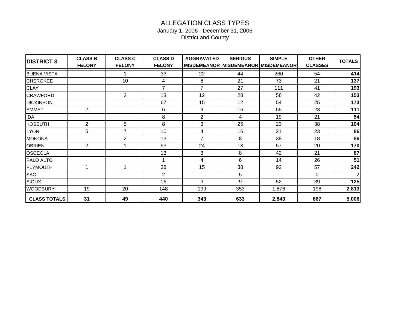| <b>DISTRICT 3</b>   | <b>CLASS B</b><br><b>FELONY</b> | <b>CLASS C</b><br><b>FELONY</b> | <b>CLASS D</b><br><b>FELONY</b> | <b>AGGRAVATED</b> | <b>SERIOUS</b> | <b>SIMPLE</b><br>MISDEMEANOR   MISDEMEANOR   MISDEMEANOR | <b>OTHER</b><br><b>CLASSES</b> | <b>TOTALS</b> |
|---------------------|---------------------------------|---------------------------------|---------------------------------|-------------------|----------------|----------------------------------------------------------|--------------------------------|---------------|
| <b>BUENA VISTA</b>  |                                 |                                 | 33                              | 22                | 44             | 260                                                      | 54                             | 414           |
| <b>ICHEROKEE</b>    |                                 | 10                              | 4                               | 8                 | 21             | 73                                                       | 21                             | 137           |
| <b>CLAY</b>         |                                 |                                 | $\overline{7}$                  | $\overline{7}$    | 27             | 111                                                      | 41                             | 193           |
| <b>CRAWFORD</b>     |                                 | $\overline{2}$                  | 13                              | 12                | 28             | 56                                                       | 42                             | 153           |
| <b>DICKINSON</b>    |                                 |                                 | 67                              | 15                | 12             | 54                                                       | 25                             | 173           |
| <b>EMMET</b>        | $\overline{2}$                  |                                 | 6                               | 9                 | 16             | 55                                                       | 23                             | 111           |
| <b>IDA</b>          |                                 |                                 | 8                               | $\overline{2}$    | 4              | 19                                                       | 21                             | 54            |
| <b>KOSSUTH</b>      | $\overline{2}$                  | 5                               | 8                               | 3                 | 25             | 23                                                       | 38                             | 104           |
| <b>LYON</b>         | 5                               | $\overline{7}$                  | 10                              | 4                 | 16             | 21                                                       | 23                             | 86            |
| <b>MONONA</b>       |                                 | $\overline{2}$                  | 13                              | $\overline{7}$    | 8              | 38                                                       | 18                             | 86            |
| <b>OBRIEN</b>       | $\overline{2}$                  | 1                               | 53                              | 24                | 13             | 57                                                       | 20                             | 170           |
| <b>OSCEOLA</b>      |                                 |                                 | 13                              | 3                 | 8              | 42                                                       | 21                             | 87            |
| <b>PALO ALTO</b>    |                                 |                                 | 1                               | 4                 | 6              | 14                                                       | 26                             | 51            |
| PLYMOUTH            |                                 |                                 | 38                              | 15                | 38             | 92                                                       | 57                             | 242           |
| <b>SAC</b>          |                                 |                                 | $\overline{2}$                  |                   | 5              |                                                          | $\mathbf{0}$                   |               |
| <b>SIOUX</b>        |                                 |                                 | 16                              | 9                 | 9              | 52                                                       | 39                             | 125           |
| <b>WOODBURY</b>     | 19                              | 20                              | 148                             | 199               | 353            | 1,876                                                    | 198                            | 2,813         |
| <b>CLASS TOTALS</b> | 31                              | 49                              | 440                             | 343               | 633            | 2,843                                                    | 667                            | 5,006         |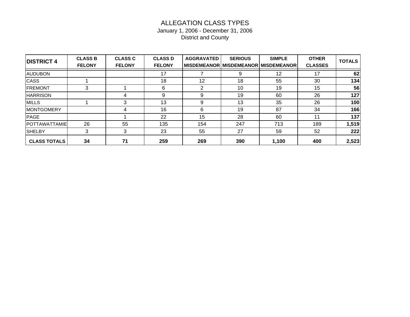| <b>DISTRICT 4</b>      | <b>CLASS B</b><br><b>FELONY</b> | <b>CLASS C</b><br><b>FELONY</b> | <b>CLASS D</b><br><b>FELONY</b> | <b>AGGRAVATED</b> | <b>SERIOUS</b> | <b>SIMPLE</b><br>MISDEMEANOR   MISDEMEANOR   MISDEMEANOR | <b>OTHER</b><br><b>CLASSES</b> | <b>TOTALS</b> |
|------------------------|---------------------------------|---------------------------------|---------------------------------|-------------------|----------------|----------------------------------------------------------|--------------------------------|---------------|
| <b>AUDUBON</b>         |                                 |                                 | 17                              |                   | 9              | 12                                                       | 17                             | 62            |
| CASS                   |                                 |                                 | 18                              | 12                | 18             | 55                                                       | 30                             | 134           |
| <b>IFREMONT</b>        | 3                               |                                 | 6                               |                   | 10             | 19                                                       | 15                             | 56            |
| <b>HARRISON</b>        |                                 | 4                               | 9                               | 9                 | 19             | 60                                                       | 26                             | 127           |
| <b>MILLS</b>           |                                 | 3                               | 13                              | 9                 | 13             | 35                                                       | 26                             | 100           |
| <b>IMONTGOMERY</b>     |                                 | 4                               | 16                              | 6                 | 19             | 87                                                       | 34                             | 166           |
| <b>PAGE</b>            |                                 |                                 | 22                              | 15                | 28             | 60                                                       | 11                             | 137           |
| <b>IPOTTAWATTAMIEI</b> | 26                              | 55                              | 135                             | 154               | 247            | 713                                                      | 189                            | 1,519         |
| <b>SHELBY</b>          | 3                               | 3                               | 23                              | 55                | 27             | 59                                                       | 52                             | 222           |
| <b>CLASS TOTALS</b>    | 34                              | 71                              | 259                             | 269               | 390            | 1,100                                                    | 400                            | 2,523         |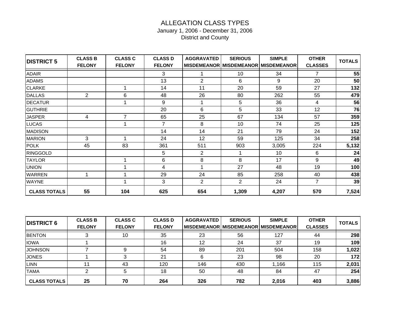| <b>DISTRICT 5</b>   | <b>CLASS B</b><br><b>FELONY</b> | <b>CLASS C</b><br><b>FELONY</b> | <b>CLASS D</b><br><b>FELONY</b> | <b>AGGRAVATED</b> | <b>SERIOUS</b> | <b>SIMPLE</b><br>MISDEMEANOR MISDEMEANOR MISDEMEANOR | <b>OTHER</b><br><b>CLASSES</b> | <b>TOTALS</b> |
|---------------------|---------------------------------|---------------------------------|---------------------------------|-------------------|----------------|------------------------------------------------------|--------------------------------|---------------|
| <b>ADAIR</b>        |                                 |                                 | 3                               |                   | 10             | 34                                                   | 7                              | 55            |
| <b>ADAMS</b>        |                                 |                                 | 13                              | $\overline{2}$    | 6              | 9                                                    | 20                             | 50            |
| <b>CLARKE</b>       |                                 |                                 | 14                              | 11                | 20             | 59                                                   | 27                             | 132           |
| <b>DALLAS</b>       | $\overline{2}$                  | 6                               | 48                              | 26                | 80             | 262                                                  | 55                             | 479           |
| <b>DECATUR</b>      |                                 |                                 | 9                               |                   | 5              | 36                                                   | 4                              | 56            |
| <b>GUTHRIE</b>      |                                 |                                 | 20                              | 6                 | 5              | 33                                                   | 12                             | 76            |
| <b>JASPER</b>       | 4                               | 7                               | 65                              | 25                | 67             | 134                                                  | 57                             | 359           |
| <b>LUCAS</b>        |                                 |                                 | $\overline{7}$                  | 8                 | 10             | 74                                                   | 25                             | 125           |
| <b>MADISON</b>      |                                 |                                 | 14                              | 14                | 21             | 79                                                   | 24                             | 152           |
| <b>MARION</b>       | 3                               |                                 | 24                              | 12                | 59             | 125                                                  | 34                             | 258           |
| <b>POLK</b>         | 45                              | 83                              | 361                             | 511               | 903            | 3,005                                                | 224                            | 5,132         |
| <b>RINGGOLD</b>     |                                 |                                 | 5                               | $\overline{2}$    |                | 10                                                   | 6                              | 24            |
| <b>TAYLOR</b>       |                                 |                                 | 6                               | 8                 | 8              | 17                                                   | 9                              | 49            |
| <b>UNION</b>        |                                 |                                 | 4                               |                   | 27             | 48                                                   | 19                             | 100           |
| <b>WARREN</b>       |                                 |                                 | 29                              | 24                | 85             | 258                                                  | 40                             | 438           |
| <b>WAYNE</b>        |                                 |                                 | 3                               | 2                 | $\overline{2}$ | 24                                                   | $\overline{7}$                 | 39            |
| <b>CLASS TOTALS</b> | 55                              | 104                             | 625                             | 654               | 1,309          | 4,207                                                | 570                            | 7,524         |

| <b>DISTRICT 6</b>   | <b>CLASS B</b><br><b>FELONY</b> | <b>CLASS C</b><br><b>FELONY</b> | <b>CLASS D</b><br><b>FELONY</b> | <b>AGGRAVATED</b> | <b>SERIOUS</b> | <b>SIMPLE</b><br>MISDEMEANOR MISDEMEANOR MISDEMEANOR | <b>OTHER</b><br><b>CLASSES</b> | <b>TOTALS</b> |
|---------------------|---------------------------------|---------------------------------|---------------------------------|-------------------|----------------|------------------------------------------------------|--------------------------------|---------------|
| <b>BENTON</b>       |                                 | 10                              | 35                              | 23                | 56             | 127                                                  | 44                             | 298           |
| <b>IOWA</b>         |                                 |                                 | 16                              | 12                | 24             | 37                                                   | 19                             | 109           |
| <b>JOHNSON</b>      |                                 |                                 | 54                              | 89                | 201            | 504                                                  | 158                            | 1,022         |
| <b>JONES</b>        |                                 |                                 | 21                              |                   | 23             | 98                                                   | 20                             | 172           |
| <b>LINN</b>         |                                 | 43                              | 120                             | 146               | 430            | 1,166                                                | 115                            | 2,031         |
| <b>TAMA</b>         |                                 |                                 | 18                              | 50                | 48             | 84                                                   | 47                             | 254           |
| <b>CLASS TOTALS</b> | 25                              | 70                              | 264                             | 326               | 782            | 2,016                                                | 403                            | 3,886         |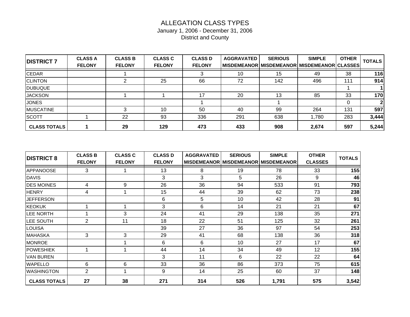| <b>DISTRICT 7</b>   | <b>CLASS A</b><br><b>FELONY</b> | <b>CLASS B</b><br><b>FELONY</b> | <b>CLASS C</b><br><b>FELONY</b> | <b>CLASS D</b><br><b>FELONY</b> | <b>AGGRAVATED</b> | <b>SERIOUS</b><br>MISDEMEANOR MISDEMEANOR MISDEMEANOR CLASSES | <b>SIMPLE</b> | <b>OTHER</b> | <b>TOTALS</b> |
|---------------------|---------------------------------|---------------------------------|---------------------------------|---------------------------------|-------------------|---------------------------------------------------------------|---------------|--------------|---------------|
| <b>CEDAR</b>        |                                 |                                 |                                 |                                 | 10                | 15                                                            | 49            | 38           | 116           |
| <b>CLINTON</b>      |                                 |                                 | 25                              | 66                              | 72                | 142                                                           | 496           | 111          | 914           |
| <b>IDUBUQUE</b>     |                                 |                                 |                                 |                                 |                   |                                                               |               |              | 11            |
| <b>JACKSON</b>      |                                 |                                 |                                 | 17                              | 20                | 13                                                            | 85            | 33           | 170           |
| <b>JONES</b>        |                                 |                                 |                                 |                                 |                   |                                                               |               |              | $\mathbf{2}$  |
| <b>IMUSCATINE</b>   |                                 |                                 | 10                              | 50                              | 40                | 99                                                            | 264           | 131          | 597           |
| <b>ISCOTT</b>       |                                 | 22                              | 93                              | 336                             | 291               | 638                                                           | 1,780         | 283          | 3,444         |
| <b>CLASS TOTALS</b> |                                 | 29                              | 129                             | 473                             | 433               | 908                                                           | 2,674         | 597          | 5,244         |

| <b>DISTRICT 8</b>   | <b>CLASS B</b><br><b>FELONY</b> | <b>CLASS C</b><br><b>FELONY</b> | <b>CLASS D</b><br><b>FELONY</b> | <b>AGGRAVATED</b> | <b>SERIOUS</b> | <b>SIMPLE</b><br>MISDEMEANOR MISDEMEANOR MISDEMEANOR | <b>OTHER</b><br><b>CLASSES</b> | <b>TOTALS</b> |
|---------------------|---------------------------------|---------------------------------|---------------------------------|-------------------|----------------|------------------------------------------------------|--------------------------------|---------------|
| <b>APPANOOSE</b>    | 3                               |                                 | 13                              | 8                 | 19             | 78                                                   | 33                             | 155           |
| <b>DAVIS</b>        |                                 |                                 | 3                               | 3                 | 5              | 26                                                   | 9                              | 46            |
| <b>DES MOINES</b>   | 4                               | 9                               | 26                              | 36                | 94             | 533                                                  | 91                             | 793           |
| <b>HENRY</b>        | 4                               |                                 | 15                              | 44                | 39             | 62                                                   | 73                             | 238           |
| <b>JEFFERSON</b>    |                                 |                                 | 6                               | 5                 | 10             | 42                                                   | 28                             | 91            |
| <b>KEOKUK</b>       |                                 |                                 | 3                               | 6                 | 14             | 21                                                   | 21                             | 67            |
| <b>LEE NORTH</b>    |                                 | 3                               | 24                              | 41                | 29             | 138                                                  | 35                             | 271           |
| <b>I</b> LEE SOUTH  | $\overline{2}$                  | 11                              | 18                              | 22                | 51             | 125                                                  | 32                             | 261           |
| <b>LOUISA</b>       |                                 |                                 | 39                              | 27                | 36             | 97                                                   | 54                             | 253           |
| <b>MAHASKA</b>      | 3                               | 3                               | 29                              | 41                | 68             | 138                                                  | 36                             | 318           |
| <b>MONROE</b>       |                                 |                                 | 6                               | 6                 | 10             | 27                                                   | 17                             | 67            |
| <b>POWESHIEK</b>    |                                 |                                 | 44                              | 14                | 34             | 49                                                   | 12                             | 155           |
| <b>VAN BUREN</b>    |                                 |                                 | 3                               | 11                | 6              | 22                                                   | 22                             | 64            |
| <b>WAPELLO</b>      | 6                               | 6                               | 33                              | 36                | 86             | 373                                                  | 75                             | 615           |
| <b>WASHINGTON</b>   | 2                               |                                 | 9                               | 14                | 25             | 60                                                   | 37                             | 148           |
| <b>CLASS TOTALS</b> | 27                              | 38                              | 271                             | 314               | 526            | 1,791                                                | 575                            | 3,542         |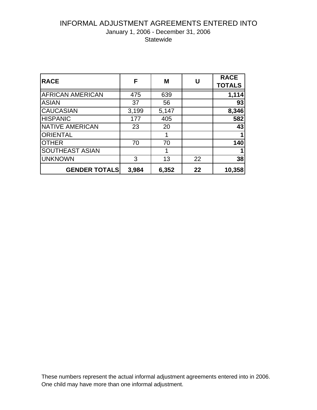## INFORMAL ADJUSTMENT AGREEMENTS ENTERED INTO January 1, 2006 - December 31, 2006 **Statewide**

| <b>RACE</b>             | F     | M     | U  | <b>RACE</b><br><b>TOTALS</b> |
|-------------------------|-------|-------|----|------------------------------|
| <b>AFRICAN AMERICAN</b> | 475   | 639   |    | 1,114                        |
| <b>ASIAN</b>            | 37    | 56    |    | 93                           |
| <b>CAUCASIAN</b>        | 3,199 | 5,147 |    | 8,346                        |
| <b>HISPANIC</b>         | 177   | 405   |    | 582                          |
| <b>NATIVE AMERICAN</b>  | 23    | 20    |    | 43                           |
| <b>ORIENTAL</b>         |       |       |    |                              |
| <b>OTHER</b>            | 70    | 70    |    | 140                          |
| SOUTHEAST ASIAN         |       |       |    |                              |
| <b>UNKNOWN</b>          | 3     | 13    | 22 | 38                           |
| <b>GENDER TOTALS</b>    | 3,984 | 6,352 | 22 | 10,358                       |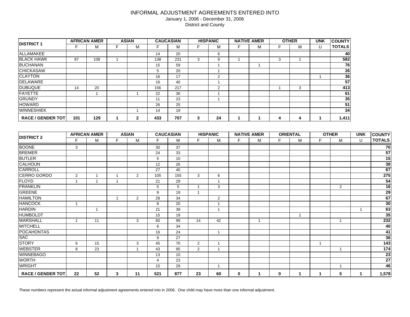|                          |                | <b>AFRICAN AMER</b> |                | <b>ASIAN</b>   |     | <b>CAUCASIAN</b> |                | <b>HISPANIC</b> |              | <b>NATIVE AMER</b> |                         | <b>OTHER</b>            | <b>UNK</b>   | <b>COUNTY</b>  |              |                 |
|--------------------------|----------------|---------------------|----------------|----------------|-----|------------------|----------------|-----------------|--------------|--------------------|-------------------------|-------------------------|--------------|----------------|--------------|-----------------|
| <b>DISTRICT 1</b>        | F              | M                   | F.             | м              | F   | M                | F.             | M               | F            | M                  | F.                      | M                       | $\mathbf{U}$ | <b>TOTALS</b>  |              |                 |
| <b>ALLAMAKEE</b>         |                |                     |                |                | 14  | 20               |                | 6               |              |                    |                         |                         |              | 40             |              |                 |
| <b>BLACK HAWK</b>        | 87             | 108                 | $\mathbf{1}$   |                | 138 | 231              | 3              | 9               | $\mathbf{1}$ |                    | 3                       | $\overline{1}$          |              | 582            |              |                 |
| <b>BUCHANAN</b>          |                |                     |                |                | 15  | 59               |                | $\mathbf{1}$    |              | $\mathbf{1}$       |                         |                         |              | 76             |              |                 |
| <b>CHICKASAW</b>         |                |                     |                |                | 5   | 20               |                | $\mathbf{1}$    |              |                    |                         |                         |              | 26             |              |                 |
| <b>CLAYTON</b>           |                |                     |                |                | 16  | 17               |                | $\overline{2}$  |              |                    |                         |                         | $\mathbf{1}$ | 36             |              |                 |
| <b>DELAWARE</b>          |                |                     |                |                | 16  | 40               |                | $\mathbf{1}$    |              |                    |                         |                         |              | 57             |              |                 |
| <b>DUBUQUE</b>           | 14             | 20                  |                |                | 156 | 217              |                | 2               |              |                    | $\mathbf{1}$            | 3                       |              | 413            |              |                 |
| <b>FAYETTE</b>           |                | $\mathbf{1}$        |                | $\overline{1}$ | 22  | 36               |                | $\mathbf{1}$    |              |                    |                         |                         |              | 61             |              |                 |
| <b>GRUNDY</b>            |                |                     |                |                | 11  | 23               |                | $\mathbf{1}$    |              |                    |                         |                         |              | 35             |              |                 |
| <b>HOWARD</b>            |                |                     |                |                | 26  | 25               |                |                 |              |                    |                         |                         |              | 51             |              |                 |
| <b>WINNESHIEK</b>        |                |                     |                | $\overline{1}$ | 14  | 19               |                |                 |              |                    |                         |                         |              | 34             |              |                 |
| <b>RACE / GENDER TOT</b> | 101            | 129                 | $\mathbf{1}$   | $\overline{2}$ | 433 | 707              | $\mathbf{3}$   | 24              | $\mathbf{1}$ | $\mathbf{1}$       | $\overline{\mathbf{4}}$ | $\overline{\mathbf{4}}$ | $\mathbf{1}$ | 1,411          |              |                 |
|                          |                |                     |                |                |     |                  |                |                 |              |                    |                         |                         |              |                |              |                 |
|                          |                | <b>AFRICAN AMER</b> |                | <b>ASIAN</b>   |     | <b>CAUCASIAN</b> |                | <b>HISPANIC</b> |              | <b>NATIVE AMER</b> |                         | <b>ORIENTAL</b>         |              | <b>OTHER</b>   | <b>UNK</b>   | <b>COUNTY</b>   |
| <b>DISTRICT 2</b>        | F              | м                   | F.             | M              | F   | M                | F              | M               | F            | M                  | F                       | M                       | F            | M              | U            | <b>TOTALS</b>   |
| <b>BOONE</b>             | 3              |                     |                |                | 30  | 37               |                |                 |              |                    |                         |                         |              |                |              | 70              |
| <b>BREMER</b>            |                |                     |                |                | 24  | 33               |                |                 |              |                    |                         |                         |              |                |              | 57              |
| <b>BUTLER</b>            |                |                     |                |                | 5   | 10               |                |                 |              |                    |                         |                         |              |                |              | 15              |
| <b>CALHOUN</b>           |                |                     |                |                | 12  | 26               |                |                 |              |                    |                         |                         |              |                |              | 38              |
| <b>CARROLL</b>           |                |                     |                |                | 27  | 40               |                |                 |              |                    |                         |                         |              |                |              | 67              |
| CERRO GORDO              | $\overline{2}$ | $\mathbf{1}$        | $\mathbf{1}$   | $\overline{2}$ | 105 | 155              | 3              | 6               |              |                    |                         |                         |              |                |              | 275             |
| <b>FLOYD</b>             | $\overline{1}$ | $\mathbf{1}$        | $\mathbf{1}$   |                | 21  | 29               |                | $\mathbf{1}$    |              |                    |                         |                         |              |                |              | 54              |
| <b>FRANKLIN</b>          |                |                     |                |                | 5   | $5\phantom{.0}$  | $\mathbf{1}$   | 3               |              |                    |                         |                         |              | $\overline{2}$ |              | 16              |
| <b>GREENE</b>            |                |                     |                |                | 9   | 19               | $\mathbf{1}$   |                 |              |                    |                         |                         |              |                |              | 29              |
| <b>HAMILTON</b>          |                |                     | $\overline{1}$ | 2              | 28  | 34               |                | $\overline{2}$  |              |                    |                         |                         |              |                |              | 67              |
| <b>HANCOCK</b>           | $\overline{1}$ |                     |                |                | 8   | 20               |                | $\mathbf{1}$    |              |                    |                         |                         |              |                |              | 30              |
| <b>HARDIN</b>            |                | $\mathbf{1}$        |                |                | 21  | 39               |                | $\mathbf{1}$    |              |                    |                         |                         |              |                | $\mathbf{1}$ | 63              |
| <b>HUMBOLDT</b>          |                |                     |                |                | 15  | 19               |                |                 |              |                    |                         | $\overline{1}$          |              |                |              | 35              |
| <b>MARSHALL</b>          | $\overline{1}$ | 11                  |                | $\mathbf{3}$   | 60  | 99               | 14             | 42              |              | $\mathbf{1}$       |                         |                         |              | $\mathbf{1}$   |              | 232             |
| <b>MITCHELL</b>          |                |                     |                |                | 6   | 34               |                |                 |              |                    |                         |                         |              |                |              | 40              |
| <b>POCAHONTAS</b>        |                |                     |                |                | 16  | 24               |                | $\mathbf{1}$    |              |                    |                         |                         |              |                |              | 41              |
| <b>SAC</b>               |                |                     |                |                | 9   | 27               |                |                 |              |                    |                         |                         |              |                |              | 36              |
| <b>STORY</b>             | 6              | 15                  |                | 3              | 45  | 70               | $\overline{2}$ | $\mathbf{1}$    |              |                    |                         |                         | $\mathbf{1}$ |                |              | $\frac{1}{43}$  |
| <b>WEBSTER</b>           | 8              | 23                  |                | $\overline{1}$ | 43  | 95               | $\overline{2}$ | $\mathbf{1}$    |              |                    |                         |                         |              | $\mathbf{1}$   |              | 174             |
| <b>WINNEBAGO</b>         |                |                     |                |                | 13  | 10               |                |                 |              |                    |                         |                         |              |                |              | $\overline{23}$ |
| <b>WORTH</b>             |                |                     |                |                | 4   | $\overline{23}$  |                |                 |              |                    |                         |                         |              |                |              | $\overline{27}$ |
| <b>WRIGHT</b>            |                |                     |                |                | 15  | 29               |                | $\mathbf{1}$    |              |                    |                         |                         |              | $\overline{1}$ |              | 46              |
| <b>RACE / GENDER TOT</b> | 22             | 52                  | 3              | 11             | 521 | 877              | 23             | 60              | $\mathbf 0$  | $\mathbf 1$        | $\mathbf 0$             | 1                       | 1            | 5              | $\mathbf{1}$ | 1,578           |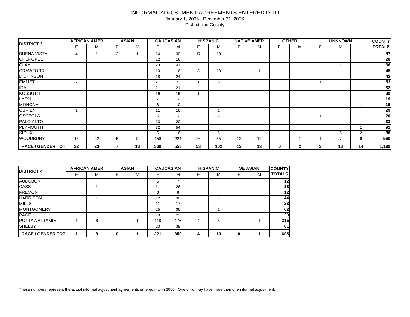|                          |                | <b>AFRICAN AMER</b> |   | <b>ASIAN</b> |                | <b>CAUCASIAN</b> |    | <b>HISPANIC</b> |    | <b>NATIVE AMER</b> |    | <b>OTHER</b> |   | <b>UNKNOWN</b> |                | <b>COUNTY</b>   |
|--------------------------|----------------|---------------------|---|--------------|----------------|------------------|----|-----------------|----|--------------------|----|--------------|---|----------------|----------------|-----------------|
| <b>DISTRICT 3</b>        | F.             | м                   | F | М            | F.             | М                | F  | М               | F. | M                  | E. | M            | F | м              | U              | <b>TOTALS</b>   |
| <b>BUENA VISTA</b>       | 4              |                     | 2 |              | 14             | 30               | 17 | 18              |    |                    |    |              |   |                |                | 87              |
| <b>CHEROKEE</b>          |                |                     |   |              | 12             | 16               |    |                 |    |                    |    |              |   |                |                | $\overline{28}$ |
| <b>CLAY</b>              |                |                     |   |              | 23             | 41               |    |                 |    |                    |    |              |   |                |                | 66              |
| <b>CRAWFORD</b>          |                |                     |   |              | 10             | 16               | 8  | 10              |    |                    |    |              |   |                |                | 45              |
| <b>DICKINSON</b>         |                |                     |   |              | 18             | 24               |    |                 |    |                    |    |              |   |                |                | 42              |
| <b>EMMET</b>             | $\overline{2}$ |                     |   |              | 21             | 22               |    | 6               |    |                    |    |              |   |                |                | $\overline{53}$ |
| <b>IDA</b>               |                |                     |   |              | 11             | 21               |    |                 |    |                    |    |              |   |                |                | 32              |
| <b>KOSSUTH</b>           |                |                     |   |              | 19             | 19               |    |                 |    |                    |    |              |   |                |                | 39              |
| <b>LYON</b>              |                |                     |   |              | $\overline{7}$ | 12               |    |                 |    |                    |    |              |   |                |                | 19              |
| <b>MONONA</b>            |                |                     |   |              | 8              | 10               |    |                 |    |                    |    |              |   |                |                | 19              |
| <b>OBRIEN</b>            | 1              |                     |   |              | 11             | 16               |    |                 |    |                    |    |              |   |                |                | 29              |
| <b>OSCEOLA</b>           |                |                     |   |              | 5              | 12               |    | 2               |    |                    |    |              |   |                |                | 20              |
| <b>PALO ALTO</b>         |                |                     |   |              | 13             | 20               |    |                 |    |                    |    |              |   |                |                | 33              |
| PLYMOUTH                 |                |                     |   |              | 32             | 54               |    | $\overline{4}$  |    |                    |    |              |   |                |                | 91              |
| <b>SIOUX</b>             |                |                     |   |              | 6              | 16               |    | 6               |    |                    |    |              |   | 5              | $\overline{2}$ | 36              |
| <b>WOODBURY</b>          | 15             | 22                  | 5 | 12           | 159            | 224              | 26 | 55              | 12 | 12                 |    |              |   | 7              | 9              | 560             |
| <b>RACE / GENDER TOT</b> | 22             | 23                  | 7 | 13           | 369            | 553              | 53 | 102             | 12 | 13                 | 0  | $\mathbf{2}$ | 3 | 13             | 14             | 1,199           |

| <b>DISTRICT 4</b>        | <b>AFRICAN AMER</b> |   | <b>ASIAN</b> |     | <b>CAUCASIAN</b> |   | <b>HISPANIC</b> |   | <b>SE ASIAN</b> | <b>COUNTY</b> |
|--------------------------|---------------------|---|--------------|-----|------------------|---|-----------------|---|-----------------|---------------|
|                          | М                   |   | М            | F   | М                |   | M               |   | М               | <b>TOTALS</b> |
| <b>AUDUBON</b>           |                     |   |              | 5   | 7                |   |                 |   |                 | 12            |
| CASS                     |                     |   |              | 11  | 26               |   |                 |   |                 | 38            |
| <b>FREMONT</b>           |                     |   |              | 6   | 6                |   |                 |   |                 | 12            |
| <b>HARRISON</b>          |                     |   |              | 12  | 30               |   |                 |   |                 | 44            |
| <b>MILLS</b>             |                     |   |              | 11  | 17               |   |                 |   |                 | 28            |
| <b>MONTGOMERY</b>        |                     |   |              | 25  | 36               |   |                 |   |                 | 62            |
| <b>PAGE</b>              |                     |   |              | 10  | 23               |   |                 |   |                 | 33            |
| <b>POTTAWATTAMIE</b>     | 6                   |   |              | 118 | 176              | 4 | 8               |   |                 | 315           |
| <b>SHELBY</b>            |                     |   |              | 23  | 38               |   |                 |   |                 | 61            |
| <b>RACE / GENDER TOT</b> | 8                   | 0 |              | 221 | 359              | 4 | 10              | 0 |                 | 605           |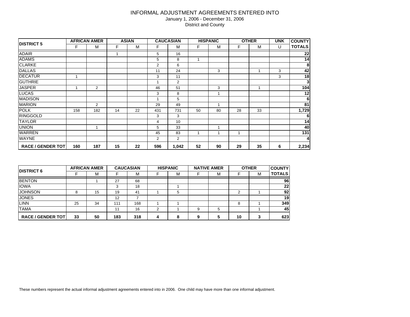|                          |     | <b>AFRICAN AMER</b> |    | <b>ASIAN</b> |                | <b>CAUCASIAN</b> |    | <b>HISPANIC</b> |             | <b>OTHER</b> | <b>UNK</b> | <b>COUNTY</b> |
|--------------------------|-----|---------------------|----|--------------|----------------|------------------|----|-----------------|-------------|--------------|------------|---------------|
| <b>DISTRICT 5</b>        | F   | М                   | F  | M            | F              | M                | F  | M               | F           | M            | U          | <b>TOTALS</b> |
| <b>ADAIR</b>             |     |                     |    |              | 5              | 16               |    |                 |             |              |            | 22            |
| <b>ADAMS</b>             |     |                     |    |              | 5              | 8                |    |                 |             |              |            | 14            |
| <b>CLARKE</b>            |     |                     |    |              | 2              | 6                |    |                 |             |              |            | 8             |
| <b>DALLAS</b>            |     |                     |    |              | 11             | 24               |    | 3               |             |              | 3          | 42            |
| <b>DECATUR</b>           |     |                     |    |              | 3              | 11               |    |                 |             |              | 3          | 18            |
| <b>GUTHRIE</b>           |     |                     |    |              |                | 2                |    |                 |             |              |            | 3             |
| <b>JASPER</b>            |     | $\overline{2}$      |    |              | 46             | 51               |    | 3               |             |              |            | 104           |
| <b>LUCAS</b>             |     |                     |    |              | 3              | 8                |    | 1               |             |              |            | 12            |
| <b>MADISON</b>           |     |                     |    |              | 1              | 5                |    |                 |             |              |            | 6             |
| <b>MARION</b>            |     | 2                   |    |              | 29             | 49               |    | 1               |             |              |            | 81            |
| <b>POLK</b>              | 158 | 182                 | 14 | 22           | 431            | 731              | 50 | 80              | 28          | 33           |            | 1,729         |
| RINGGOLD                 |     |                     |    |              | 3              | 3                |    |                 |             |              |            | 6             |
| <b>TAYLOR</b>            |     |                     |    |              | 4              | 10               |    |                 |             |              |            | 14            |
| <b>UNION</b>             |     |                     |    |              | 5              | 33               |    | 1               |             |              |            | 40            |
| <b>WARREN</b>            |     |                     |    |              | 45             | 83               | 1  | 1               | $\mathbf 1$ |              |            | 131           |
| <b>WAYNE</b>             |     |                     |    |              | $\overline{2}$ | 2                |    |                 |             |              |            | 4             |
| <b>RACE / GENDER TOT</b> | 160 | 187                 | 15 | 22           | 596            | 1,042            | 52 | 90              | 29          | 35           | 6          | 2,234         |

| <b>IDISTRICT 6</b>        |    | <b>AFRICAN AMER</b> |     | <b>CAUCASIAN</b> |   | <b>HISPANIC</b> |   | <b>NATIVE AMER</b> |    | <b>OTHER</b> | <b>COUNTY</b>   |
|---------------------------|----|---------------------|-----|------------------|---|-----------------|---|--------------------|----|--------------|-----------------|
|                           |    | М                   |     | M                |   | M               |   | м                  |    | M            | <b>TOTALS</b>   |
| <b>BENTON</b>             |    |                     | 27  | 68               |   |                 |   |                    |    |              | 96              |
| <b>IOWA</b>               |    |                     |     | 18               |   |                 |   |                    |    |              | 22              |
| IJOHNSON                  |    | 15                  | 19  | 41               |   | 5               |   |                    | ◠  |              | 92              |
| <b>JONES</b>              |    |                     | 12  |                  |   |                 |   |                    |    |              | 19 <sub>l</sub> |
| <b>LINN</b>               | 25 | 34                  | 111 | 168              |   |                 |   |                    | 8  |              | 349             |
| <b>TAMA</b>               |    |                     | 11  | 16               | 2 |                 | 9 | 5                  |    |              | 45              |
| <b>RACE / GENDER TOTI</b> | 33 | 50                  | 183 | 318              | 4 | 8               | 9 |                    | 10 |              | 623             |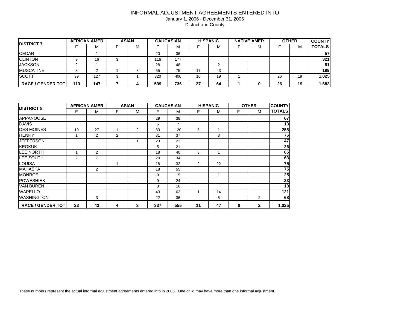| <b>IDISTRICT 7</b>       |     | <b>AFRICAN AMER</b> |   | <b>ASIAN</b> | <b>CAUCASIAN</b> |     | <b>HISPANIC</b> |    | <b>NATIVE AMER</b> |   | <b>OTHER</b> |    | <b>COUNTY</b> |
|--------------------------|-----|---------------------|---|--------------|------------------|-----|-----------------|----|--------------------|---|--------------|----|---------------|
|                          |     | М                   |   | M            |                  | M   |                 | M  |                    | м |              | М  | <b>TOTALS</b> |
| <b>CEDAR</b>             |     |                     |   |              | 20               | 36  |                 |    |                    |   |              |    | 57            |
| <b>CLINTON</b>           |     | 16                  | ◠ |              | 116              | 177 |                 |    |                    |   |              |    | 321           |
| <b>JACKSON</b>           |     |                     |   |              | 28               | 48  |                 | ົ  |                    |   |              |    | 81            |
| <b>IMUSCATINE</b>        |     |                     |   |              | 55               | 75  | 17              | 43 |                    |   |              |    | 199           |
| <b>SCOTT</b>             | 99  | 127                 |   |              | 320              | 400 | 10              | 19 |                    |   | 26           | 19 | 1,025         |
| <b>RACE / GENDER TOT</b> | 113 | 147                 |   | 4            | 539              | 736 | 27              | 64 |                    |   | 26           | 19 | 1,683         |

|                          |                | <b>AFRICAN AMER</b> |   | <b>ASIAN</b>   |     | <b>CAUCASIAN</b> |    | <b>HISPANIC</b> |   | <b>OTHER</b>   | <b>COUNTY</b> |
|--------------------------|----------------|---------------------|---|----------------|-----|------------------|----|-----------------|---|----------------|---------------|
| <b>DISTRICT 8</b>        | F              | M                   | F | M              | F   | M                | F  | M               | F | м              | <b>TOTALS</b> |
| <b>APPANOOSE</b>         |                |                     |   |                | 29  | 38               |    |                 |   |                | 67            |
| <b>DAVIS</b>             |                |                     |   |                | 6   | $\overline{7}$   |    |                 |   |                | 13            |
| <b>DES MOINES</b>        | 19             | 27                  |   | $\overline{2}$ | 83  | 120              | 5  |                 |   |                | 258           |
| <b>HENRY</b>             |                | $\overline{2}$      | 2 |                | 31  | 37               |    | 3               |   |                | 76            |
| <b>JEFFERSON</b>         |                |                     |   | 1              | 23  | 23               |    |                 |   |                | 47            |
| <b>KEOKUK</b>            |                |                     |   |                | 5   | 21               |    |                 |   |                | 26            |
| <b>LEE NORTH</b>         | 1              | $\overline{2}$      |   |                | 18  | 40               | 3  |                 |   |                | 65            |
| <b>LEE SOUTH</b>         | $\overline{2}$ | $\overline{7}$      |   |                | 20  | 34               |    |                 |   |                | 63            |
| LOUISA                   |                |                     |   |                | 18  | 32               | 2  | 22              |   |                | 75            |
| <b>MAHASKA</b>           |                | $\overline{2}$      |   |                | 18  | 55               |    |                 |   |                | 75            |
| <b>MONROE</b>            |                |                     |   |                | 9   | 15               |    | 1               |   |                | 25            |
| <b>POWESHIEK</b>         |                |                     |   |                | 9   | 24               |    |                 |   |                | 33            |
| <b>VAN BUREN</b>         |                |                     |   |                | 3   | 10               |    |                 |   |                | 13            |
| <b>WAPELLO</b>           |                |                     |   |                | 43  | 63               |    | 14              |   |                | 121           |
| <b>WASHINGTON</b>        |                | 3                   |   |                | 22  | 36               |    | 5               |   | $\overline{2}$ | 68            |
| <b>RACE / GENDER TOT</b> | 23             | 43                  | 4 | 3              | 337 | 555              | 11 | 47              | 0 | $\mathbf{2}$   | 1,025         |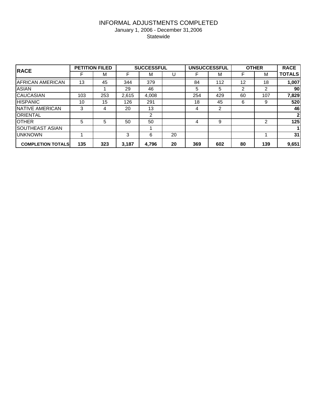#### INFORMAL ADJUSTMENTS COMPLETED January 1, 2006 - December 31,2006 **Statewide**

| <b>RACE</b>              |     | <b>PETITION FILED</b> |       | <b>SUCCESSFUL</b> |    |     | <b>UNSUCCESSFUL</b> |    | <b>OTHER</b> | <b>RACE</b>     |
|--------------------------|-----|-----------------------|-------|-------------------|----|-----|---------------------|----|--------------|-----------------|
|                          |     | м                     | F     | м                 | U  | F   | M                   | F  | м            | <b>TOTALS</b>   |
| <b>AFRICAN AMERICAN</b>  | 13  | 45                    | 344   | 379               |    | 84  | 112                 | 12 | 18           | 1,007           |
| <b>ASIAN</b>             |     |                       | 29    | 46                |    | 5   | 5                   | 2  | 2            | 90 <sub>l</sub> |
| <b>CAUCASIAN</b>         | 103 | 253                   | 2,615 | 4.008             |    | 254 | 429                 | 60 | 107          | 7,829           |
| <b>HISPANIC</b>          | 10  | 15                    | 126   | 291               |    | 18  | 45                  | 6  | 9            | 520             |
| NATIVE AMERICAN          | 3   | 4                     | 20    | 13                |    | 4   | 2                   |    |              | 46              |
| <b>ORIENTAL</b>          |     |                       |       | 2                 |    |     |                     |    |              | $\mathbf{2}$    |
| <b>OTHER</b>             | 5   | 5                     | 50    | 50                |    | 4   | 9                   |    | 2            | 125             |
| <b>SOUTHEAST ASIAN</b>   |     |                       |       |                   |    |     |                     |    |              |                 |
| <b>UNKNOWN</b>           |     |                       | 3     | 6                 | 20 |     |                     |    |              | 31              |
| <b>COMPLETION TOTALS</b> | 135 | 323                   | 3,187 | 4,796             | 20 | 369 | 602                 | 80 | 139          | 9,651           |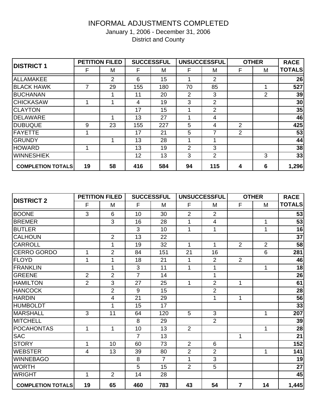# INFORMAL ADJUSTMENTS COMPLETED

January 1, 2006 - December 31, 2006

| <b>DISTRICT 1</b>        |    | <b>PETITION FILED</b> |     | <b>SUCCESSFUL</b> |                | <b>UNSUCCESSFUL</b> |                | <b>OTHER</b>   | <b>RACE</b>   |
|--------------------------|----|-----------------------|-----|-------------------|----------------|---------------------|----------------|----------------|---------------|
|                          | F  | M                     | F   | м                 | F              | м                   | F              | м              | <b>TOTALS</b> |
| ALLAMAKEE                |    | $\overline{2}$        | 6   | 15                |                | 2                   |                |                | 26            |
| <b>BLACK HAWK</b>        | 7  | 29                    | 155 | 180               | 70             | 85                  |                |                | 527           |
| <b>BUCHANAN</b>          |    |                       | 11  | 20                | $\overline{2}$ | 3                   |                | $\overline{2}$ | 39            |
| <b>CHICKASAW</b>         |    |                       | 4   | 19                | 3              | $\overline{2}$      |                |                | 30            |
| <b>CLAYTON</b>           |    |                       | 17  | 15                |                | 2                   |                |                | 35            |
| <b>DELAWARE</b>          |    |                       | 13  | 27                |                | 4                   |                |                | 46            |
| <b>DUBUQUE</b>           | 9  | 23                    | 155 | 227               | 5              | 4                   | 2              |                | 425           |
| <b>FAYETTE</b>           |    |                       | 17  | 21                | 5              | 7                   | $\overline{2}$ |                | 53            |
| <b>GRUNDY</b>            |    |                       | 13  | 28                |                |                     |                |                | 44            |
| <b>HOWARD</b>            |    |                       | 13  | 19                | $\overline{2}$ | 3                   |                |                | 38            |
| <b>WINNESHIEK</b>        |    |                       | 12  | 13                | 3              | $\overline{2}$      |                | 3              | 33            |
| <b>COMPLETION TOTALS</b> | 19 | 58                    | 416 | 584               | 94             | 115                 | 4              | 6              | 1,296         |

| <b>DISTRICT 2</b>        |                | <b>PETITION FILED</b>   |                | <b>SUCCESSFUL</b> |                | <b>UNSUCCESSFUL</b> |                | <b>OTHER</b>   | <b>RACE</b>              |
|--------------------------|----------------|-------------------------|----------------|-------------------|----------------|---------------------|----------------|----------------|--------------------------|
|                          | F              | M                       | F              | M                 | F              | M                   | F              | M              | <b>TOTALS</b>            |
| <b>BOONE</b>             | $\overline{3}$ | 6                       | 10             | 30                | $\overline{2}$ | $\overline{2}$      |                |                | 53                       |
| <b>BREMER</b>            |                | 3                       | 16             | 28                | $\mathbf{1}$   | $\overline{4}$      |                | $\mathbf{1}$   | 53                       |
| <b>BUTLER</b>            |                |                         | 3              | 10                | $\mathbf{1}$   | $\mathbf{1}$        |                | $\mathbf{1}$   | 16                       |
| <b>CALHOUN</b>           |                | 2                       | 13             | 22                |                |                     |                |                | $\overline{37}$          |
| <b>CARROLL</b>           |                | 1                       | 19             | 32                | 1              | $\mathbf{1}$        | $\overline{2}$ | $\overline{2}$ | 58                       |
| CERRO GORDO              | 1              | $\overline{2}$          | 84             | 151               | 21             | 16                  |                | $6\phantom{1}$ | 281                      |
| <b>FLOYD</b>             | 1              | 1                       | 18             | 21                | $\mathbf{1}$   | $\overline{2}$      | $\overline{2}$ |                | 46                       |
| FRANKLIN                 |                | $\mathbf 1$             | 3              | 11                | $\mathbf{1}$   | $\mathbf{1}$        |                | $\mathbf{1}$   | $\overline{\mathbf{18}}$ |
| <b>GREENE</b>            | $\overline{2}$ | $\overline{2}$          | $\overline{7}$ | 14                |                | $\mathbf{1}$        |                |                | $\overline{26}$          |
| <b>HAMILTON</b>          | $\overline{2}$ | 3                       | 27             | 25                | $\mathbf{1}$   | $\overline{2}$      | $\mathbf{1}$   |                | 61                       |
| <b>HANCOCK</b>           |                | $\overline{2}$          | 9              | 15                |                | $\overline{2}$      |                |                | 28                       |
| <b>HARDIN</b>            |                | $\overline{\mathbf{4}}$ | 21             | 29                |                | $\mathbf{1}$        | $\mathbf{1}$   |                | 56                       |
| <b>HUMBOLDT</b>          |                | 1                       | 15             | 17                |                |                     |                |                | 33                       |
| <b>MARSHALL</b>          | 3              | 11                      | 64             | 120               | 5              | 3                   |                | $\mathbf 1$    | 207                      |
| <b>MITCHELL</b>          |                |                         | 8              | 29                |                | $\overline{2}$      |                |                | 39                       |
| <b>POCAHONTAS</b>        | 1              | $\mathbf{1}$            | 10             | 13                | $\overline{2}$ |                     |                | 1              | 28                       |
| <b>SAC</b>               |                |                         | $\overline{7}$ | 13                |                |                     | 1              |                | $\overline{21}$          |
| <b>STORY</b>             | 1              | 10                      | 60             | 73                | $\overline{2}$ | $6\phantom{1}$      |                |                | 152                      |
| <b>WEBSTER</b>           | $\overline{4}$ | 13                      | 39             | 80                | $\overline{2}$ | $\overline{2}$      |                | $\mathbf{1}$   | 141                      |
| <b>WINNEBAGO</b>         |                |                         | 8              | $\overline{7}$    | $\mathbf{1}$   | 3                   |                |                | 19                       |
| <b>WORTH</b>             |                |                         | 5              | 15                | $\overline{2}$ | 5                   |                |                | $\overline{27}$          |
| <b>WRIGHT</b>            | 1              | 2                       | 14             | 28                |                |                     |                |                | 45                       |
| <b>COMPLETION TOTALS</b> | 19             | 65                      | 460            | 783               | 43             | 54                  | $\overline{7}$ | 14             | 1,445                    |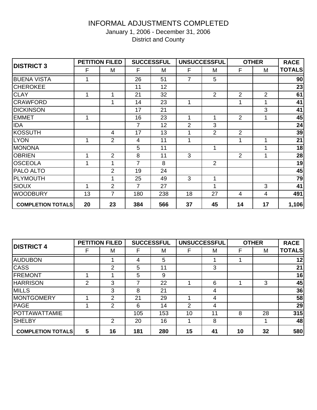# INFORMAL ADJUSTMENTS COMPLETED

January 1, 2006 - December 31, 2006

| <b>DISTRICT 3</b>        |    | <b>PETITION FILED</b> |                | <b>SUCCESSFUL</b> |                | <b>UNSUCCESSFUL</b> |                | <b>OTHER</b>   | <b>RACE</b>   |
|--------------------------|----|-----------------------|----------------|-------------------|----------------|---------------------|----------------|----------------|---------------|
|                          | F  | M                     | F              | M                 | F              | M                   | F              | M              | <b>TOTALS</b> |
| <b>BUENA VISTA</b>       |    |                       | 26             | 51                | 7              | 5                   |                |                | 90            |
| <b>CHEROKEE</b>          |    |                       | 11             | 12                |                |                     |                |                | 23            |
| <b>CLAY</b>              |    |                       | 21             | 32                |                | 2                   | $\overline{2}$ | $\overline{2}$ | 61            |
| <b>CRAWFORD</b>          |    | $\mathbf{1}$          | 14             | 23                | 1              |                     | 1              |                | 41            |
| <b>DICKINSON</b>         |    |                       | 17             | 21                |                |                     |                | 3              | 41            |
| <b>EMMET</b>             | 1  |                       | 16             | 23                | 1              | 1                   | 2              |                | 45            |
| <b>IDA</b>               |    |                       | $\overline{7}$ | 12                | $\overline{2}$ | 3                   |                |                | 24            |
| KOSSUTH                  |    | 4                     | 17             | 13                | 1              | 2                   | $\overline{2}$ |                | 39            |
| <b>LYON</b>              | 1  | 2                     | 4              | 11                | 1              |                     | 1              | 1              | 21            |
| <b>MONONA</b>            |    |                       | 5              | 11                |                | 1                   |                |                | 18            |
| <b>OBRIEN</b>            | 1  | $\overline{2}$        | 8              | 11                | 3              |                     | $\overline{2}$ |                | 28            |
| <b>OSCEOLA</b>           | 1  | 1                     | $\overline{7}$ | 8                 |                | 2                   |                |                | 19            |
| <b>PALO ALTO</b>         |    | $\overline{2}$        | 19             | 24                |                |                     |                |                | 45            |
| PLYMOUTH                 |    | 1                     | 25             | 49                | 3              | 1                   |                |                | 79            |
| <b>SIOUX</b>             |    | $\overline{2}$        | $\overline{7}$ | 27                |                | 1                   |                | 3              | 41            |
| <b>WOODBURY</b>          | 13 | 7                     | 180            | 238               | 18             | 27                  | $\overline{4}$ | 4              | 491           |
| <b>COMPLETION TOTALS</b> | 20 | 23                    | 384            | 566               | 37             | 45                  | 14             | 17             | 1,106         |

| <b>DISTRICT 4</b>        |   | <b>PETITION FILED</b> | <b>SUCCESSFUL</b> |     | <b>UNSUCCESSFUL</b> |    | <b>OTHER</b> |    | <b>RACE</b>     |
|--------------------------|---|-----------------------|-------------------|-----|---------------------|----|--------------|----|-----------------|
|                          |   | M                     |                   | M   |                     | M  | F            | M  | <b>TOTALS</b>   |
| <b>AUDUBON</b>           |   |                       | 4                 | 5   |                     |    |              |    | 12 <sub>1</sub> |
| <b>CASS</b>              |   | 2                     | 5                 | 11  |                     | 3  |              |    | 21              |
| <b>FREMONT</b>           |   |                       | 5                 | 9   |                     |    |              |    | 16              |
| <b>HARRISON</b>          | 2 | 3                     | 7                 | 22  |                     | 6  |              | 3  | 45              |
| <b>MILLS</b>             |   | 3                     | 8                 | 21  |                     | 4  |              |    | 36              |
| <b>MONTGOMERY</b>        |   | 2                     | 21                | 29  |                     | 4  |              |    | 58              |
| <b>PAGE</b>              |   | 2                     | 6                 | 14  | 2                   | 4  |              |    | 29              |
| POTTAWATTAMIE            |   |                       | 105               | 153 | 10                  | 11 | 8            | 28 | 315             |
| <b>SHELBY</b>            |   | 2                     | 20                | 16  |                     | 8  |              |    | 48              |
| <b>COMPLETION TOTALS</b> | 5 | 16                    | 181               | 280 | 15                  | 41 | 10           | 32 | 580             |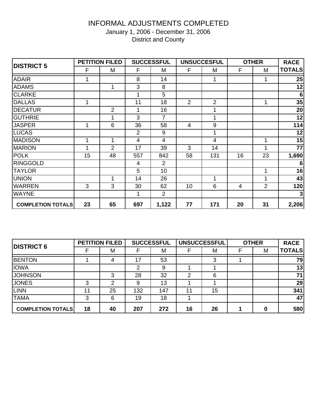# INFORMAL ADJUSTMENTS COMPLETED

January 1, 2006 - December 31, 2006

| <b>DISTRICT 5</b>        |    | <b>PETITION FILED</b> |                | <b>SUCCESSFUL</b> |                | <b>UNSUCCESFUL</b> |                | <b>OTHER</b> | <b>RACE</b>     |
|--------------------------|----|-----------------------|----------------|-------------------|----------------|--------------------|----------------|--------------|-----------------|
|                          | F  | M                     | F              | M                 | F              | М                  | F              | M            | <b>TOTALS</b>   |
| <b>ADAIR</b>             |    |                       | 8              | 14                |                |                    |                |              | 25              |
| <b>ADAMS</b>             |    |                       | $\sqrt{3}$     | 8                 |                |                    |                |              | 12              |
| <b>CLARKE</b>            |    |                       | 1              | 5                 |                |                    |                |              | $6\phantom{1}6$ |
| <b>DALLAS</b>            | 1  |                       | 11             | 18                | $\overline{2}$ | $\overline{2}$     |                |              | 35              |
| <b>DECATUR</b>           |    | $\overline{2}$        | 1              | 16                |                | 1                  |                |              | 20              |
| <b>GUTHRIE</b>           |    |                       | 3              | 7                 |                | 4                  |                |              | 12              |
| <b>JASPER</b>            | 1  | $6\phantom{1}6$       | 36             | 58                | $\overline{4}$ | $\boldsymbol{9}$   |                |              | 114             |
| <b>LUCAS</b>             |    |                       | $\overline{2}$ | 9                 |                | 1                  |                |              | 12              |
| <b>MADISON</b>           | 1  | 1                     | $\overline{4}$ | 4                 |                | $\overline{4}$     |                |              | 15              |
| <b>MARION</b>            | 1  | 2                     | 17             | 39                | 3              | 14                 |                | 1            | 77              |
| <b>POLK</b>              | 15 | 48                    | 557            | 842               | 58             | 131                | 16             | 23           | 1,690           |
| <b>RINGGOLD</b>          |    |                       | 4              | 2                 |                |                    |                |              | 6               |
| <b>TAYLOR</b>            |    |                       | 5              | 10                |                |                    |                |              | 16              |
| <b>UNION</b>             |    |                       | 14             | 26                |                | 1                  |                |              | 43              |
| <b>WARREN</b>            | 3  | 3                     | 30             | 62                | 10             | 6                  | $\overline{4}$ | 2            | 120             |
| <b>WAYNE</b>             |    |                       | 1              | 2                 |                |                    |                |              | 3               |
| <b>COMPLETION TOTALS</b> | 23 | 65                    | 697            | 1,122             | 77             | 171                | 20             | 31           | 2,206           |

| <b>DISTRICT 6</b>        |    | <b>PETITION FILED</b> |     | <b>SUCCESSFUL</b> |    | <b>UNSUCCESSFUL</b> | <b>OTHER</b> |   | <b>RACE</b>     |
|--------------------------|----|-----------------------|-----|-------------------|----|---------------------|--------------|---|-----------------|
|                          |    | M                     |     | M                 |    | M                   |              | M | <b>TOTALS</b>   |
| <b>BENTON</b>            |    | 4                     | 17  | 53                |    | 3                   |              |   | 79              |
| <b>IOWA</b>              |    |                       | 2   | 9                 |    |                     |              |   | 13              |
| <b>JOHNSON</b>           |    | 3                     | 28  | 32                | ົ  | 6                   |              |   | 71              |
| <b>JONES</b>             | 3  | $\mathcal{P}$         | 9   | 13                |    |                     |              |   | 29 <sub>l</sub> |
| <b>LINN</b>              | 11 | 25                    | 132 | 147               | 11 | 15                  |              |   | 341             |
| <b>TAMA</b>              | 3  | 6                     | 19  | 18                |    |                     |              |   | 47              |
| <b>COMPLETION TOTALS</b> | 18 | 40                    | 207 | 272               | 16 | 26                  |              | O | 580             |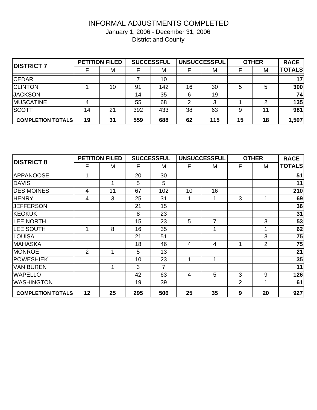# INFORMAL ADJUSTMENTS COMPLETED January 1, 2006 - December 31, 2006

| <b>DISTRICT 7</b>        |    | <b>PETITION FILED</b> |     | <b>SUCCESSFUL</b> |    | <b>UNSUCCESSFUL</b> |    | <b>OTHER</b> | <b>RACE</b>   |
|--------------------------|----|-----------------------|-----|-------------------|----|---------------------|----|--------------|---------------|
|                          |    | M                     |     | М                 |    | M                   |    | М            | <b>TOTALS</b> |
| <b>CEDAR</b>             |    |                       |     | 10                |    |                     |    |              | 17            |
| <b>CLINTON</b>           |    | 10                    | 91  | 142               | 16 | 30                  | 5  | 5            | 300           |
| <b>JACKSON</b>           |    |                       | 14  | 35                | 6  | 19                  |    |              | 74            |
| <b>MUSCATINE</b>         |    |                       | 55  | 68                | 2  | 3                   |    |              | 135           |
| <b>SCOTT</b>             | 14 | 21                    | 392 | 433               | 38 | 63                  | 9  |              | 981           |
| <b>COMPLETION TOTALS</b> | 19 | 31                    | 559 | 688               | 62 | 115                 | 15 | 18           | 1,507         |

| <b>DISTRICT 8</b>        |                | <b>PETITION FILED</b> |     | <b>SUCCESSFUL</b> |                | <b>UNSUCCESSFUL</b> |                | <b>OTHER</b> | <b>RACE</b>   |
|--------------------------|----------------|-----------------------|-----|-------------------|----------------|---------------------|----------------|--------------|---------------|
|                          | F              | M                     | F   | м                 | F              | м                   | F              | М            | <b>TOTALS</b> |
| APPANOOSE                |                |                       | 20  | 30                |                |                     |                |              | 51            |
| <b>DAVIS</b>             |                |                       | 5   | 5                 |                |                     |                |              | 11            |
| <b>DES MOINES</b>        | 4              | 11                    | 67  | 102               | 10             | 16                  |                |              | 210           |
| <b>HENRY</b>             | 4              | 3                     | 25  | 31                | 1              | 1                   | 3              |              | 69            |
| <b>JEFFERSON</b>         |                |                       | 21  | 15                |                |                     |                |              | 36            |
| <b>KEOKUK</b>            |                |                       | 8   | 23                |                |                     |                |              | 31            |
| <b>LEE NORTH</b>         |                |                       | 15  | 23                | 5              | $\overline{7}$      |                | 3            | 53            |
| LEE SOUTH                | 1              | 8                     | 16  | 35                |                | 1                   |                |              | 62            |
| <b>LOUISA</b>            |                |                       | 21  | 51                |                |                     |                | 3            | 75            |
| <b>MAHASKA</b>           |                |                       | 18  | 46                | $\overline{4}$ | $\overline{4}$      |                | 2            | 75            |
| <b>MONROE</b>            | $\overline{2}$ | 1                     | 5   | 13                |                |                     |                |              | 21            |
| <b>POWESHIEK</b>         |                |                       | 10  | 23                | 1              | 1                   |                |              | 35            |
| <b>VAN BUREN</b>         |                | 1                     | 3   | 7                 |                |                     |                |              | 11            |
| <b>WAPELLO</b>           |                |                       | 42  | 63                | 4              | 5                   | 3              | 9            | 126           |
| <b>WASHINGTON</b>        |                |                       | 19  | 39                |                |                     | $\overline{2}$ |              | 61            |
| <b>COMPLETION TOTALS</b> | 12             | 25                    | 295 | 506               | 25             | 35                  | 9              | 20           | 927           |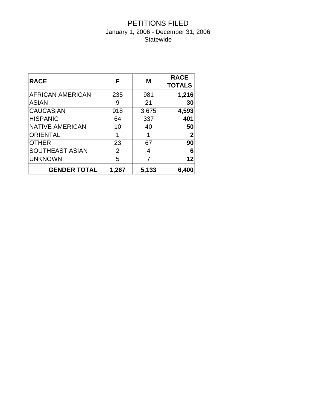## PETITIONS FILED January 1, 2006 - December 31, 2006 Statewide

| <b>RACE</b>             | F              | M     | <b>RACE</b><br><b>TOTALS</b> |
|-------------------------|----------------|-------|------------------------------|
| <b>AFRICAN AMERICAN</b> | 235            | 981   | 1,216                        |
| <b>ASIAN</b>            | 9              | 21    | 30                           |
| <b>CAUCASIAN</b>        | 918            | 3,675 | 4,593                        |
| <b>HISPANIC</b>         | 64             | 337   | 401                          |
| NATIVE AMERICAN         | 10             | 40    | 50                           |
| <b>ORIENTAL</b>         | 1              | 1     | $\mathbf{2}$                 |
| <b>OTHER</b>            | 23             | 67    | 90                           |
| <b>SOUTHEAST ASIAN</b>  | $\overline{2}$ | 4     | 6                            |
| <b>UNKNOWN</b>          | 5              | 7     | 12                           |
| <b>GENDER TOTAL</b>     | 1,267          | 5,133 | 6,400                        |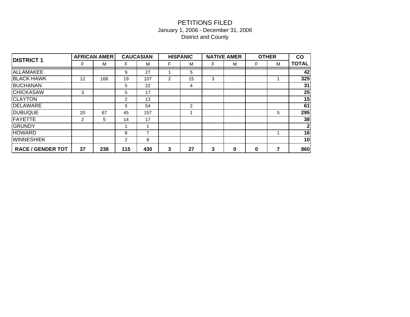| <b>DISTRICT 1</b>        |                | <b>AFRICAN AMER</b> |                | <b>CAUCASIAN</b> |   | <b>HISPANIC</b> |   | <b>NATIVE AMER</b> |   | <b>OTHER</b> | co           |
|--------------------------|----------------|---------------------|----------------|------------------|---|-----------------|---|--------------------|---|--------------|--------------|
|                          | F              | M                   | F              | M                | F | M               | F | м                  | F | M            | <b>TOTAL</b> |
| ALLAMAKEE                |                |                     | 9              | 27               |   | 5               |   |                    |   |              | 42           |
| <b>BLACK HAWK</b>        | 12             | 166                 | 19             | 107              | 2 | 15              | 3 |                    |   |              | 325          |
| <b>BUCHANAN</b>          |                |                     | 5              | 22               |   | 4               |   |                    |   |              | 31           |
| <b>CHICKASAW</b>         | 3              |                     | 5              | 17               |   |                 |   |                    |   |              | 25           |
| <b>CLAYTON</b>           |                |                     | $\overline{2}$ | 13               |   |                 |   |                    |   |              | 15           |
| <b>DELAWARE</b>          |                |                     | 5              | 54               |   | 2               |   |                    |   |              | 61           |
| <b>DUBUQUE</b>           | 20             | 67                  | 45             | 157              |   |                 |   |                    |   | 5            | 295          |
| <b>FAYETTE</b>           | $\overline{2}$ | 5                   | 14             | 17               |   |                 |   |                    |   |              | 38           |
| <b>GRUNDY</b>            |                |                     |                |                  |   |                 |   |                    |   |              | $\mathbf{2}$ |
| <b>HOWARD</b>            |                |                     | 8              | 7                |   |                 |   |                    |   |              | 16           |
| <b>WINNESHIEK</b>        |                |                     | $\overline{2}$ | 8                |   |                 |   |                    |   |              | 10           |
| <b>RACE / GENDER TOT</b> | 37             | 238                 | 115            | 430              | 3 | 27              | 3 | 0                  | 0 |              | 860          |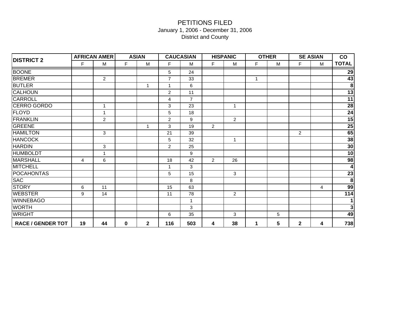| <b>DISTRICT 2</b>        |                | <b>AFRICAN AMER</b> |             | <b>ASIAN</b> |                | <b>CAUCASIAN</b> |                | <b>HISPANIC</b> |                | <b>OTHER</b> |                | <b>SE ASIAN</b> | co                      |
|--------------------------|----------------|---------------------|-------------|--------------|----------------|------------------|----------------|-----------------|----------------|--------------|----------------|-----------------|-------------------------|
|                          | F              | M                   | F           | M            | F              | M                | F.             | M               | F              | M            | F              | M               | <b>TOTAL</b>            |
| <b>BOONE</b>             |                |                     |             |              | 5              | 24               |                |                 |                |              |                |                 | <u>29</u>               |
| <b>BREMER</b>            |                | $\overline{2}$      |             |              | $\overline{7}$ | 33               |                |                 | $\overline{1}$ |              |                |                 | 43                      |
| <b>BUTLER</b>            |                |                     |             | $\mathbf{1}$ | 1              | 6                |                |                 |                |              |                |                 | $\overline{\mathbf{8}}$ |
| <b>CALHOUN</b>           |                |                     |             |              | $\overline{c}$ | 11               |                |                 |                |              |                |                 | $\overline{13}$         |
| <b>CARROLL</b>           |                |                     |             |              | 4              | $\overline{7}$   |                |                 |                |              |                |                 | $\overline{11}$         |
| <b>CERRO GORDO</b>       |                | 1                   |             |              | 3              | 23               |                | $\mathbf{1}$    |                |              |                |                 | 28                      |
| <b>FLOYD</b>             |                | $\mathbf{1}$        |             |              | 5              | 18               |                |                 |                |              |                |                 | 24                      |
| <b>FRANKLIN</b>          |                | $\overline{2}$      |             |              | $\overline{2}$ | 9                |                | $\overline{2}$  |                |              |                |                 | $\overline{15}$         |
| <b>GREENE</b>            |                |                     |             | 1            | 3              | 19               | $\overline{2}$ |                 |                |              |                |                 | 25                      |
| <b>HAMILTON</b>          |                | 3                   |             |              | 21             | 39               |                |                 |                |              | $\overline{2}$ |                 | $\frac{65}{38}$         |
| <b>HANCOCK</b>           |                |                     |             |              | 5              | 32               |                | $\mathbf{1}$    |                |              |                |                 |                         |
| <b>HARDIN</b>            |                | 3                   |             |              | $\overline{a}$ | 25               |                |                 |                |              |                |                 | 30                      |
| <b>HUMBOLDT</b>          |                | 1                   |             |              |                | 9                |                |                 |                |              |                |                 | 10                      |
| <b>MARSHALL</b>          | $\overline{4}$ | 6                   |             |              | 18             | 42               | $\overline{2}$ | 26              |                |              |                |                 | 98                      |
| <b>MITCHELL</b>          |                |                     |             |              | $\mathbf{1}$   | 3                |                |                 |                |              |                |                 | $\overline{4}$          |
| <b>POCAHONTAS</b>        |                |                     |             |              | 5              | 15               |                | 3               |                |              |                |                 | $\overline{23}$         |
| <b>SAC</b>               |                |                     |             |              |                | 8                |                |                 |                |              |                |                 | $\overline{\mathbf{8}}$ |
| <b>STORY</b>             | 6              | 11                  |             |              | 15             | 63               |                |                 |                |              |                | 4               | 99                      |
| <b>WEBSTER</b>           | 9              | 14                  |             |              | 11             | 78               |                | $\overline{2}$  |                |              |                |                 | 114                     |
| <b>WINNEBAGO</b>         |                |                     |             |              |                | 1                |                |                 |                |              |                |                 |                         |
| <b>WORTH</b>             |                |                     |             |              |                | 3                |                |                 |                |              |                |                 | $\mathbf 3$             |
| <b>WRIGHT</b>            |                |                     |             |              | 6              | 35               |                | 3               |                | 5            |                |                 | 49                      |
| <b>RACE / GENDER TOT</b> | 19             | 44                  | $\mathbf 0$ | $\mathbf{2}$ | 116            | 503              | 4              | 38              | 1              | 5            | $\mathbf{2}$   | 4               | 738                     |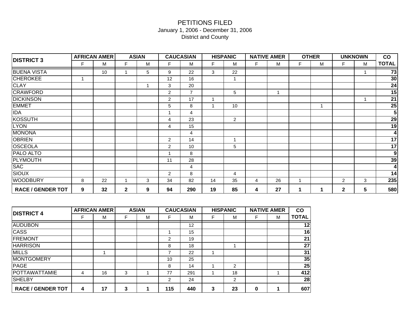|                          |   | <b>AFRICAN AMER</b> |              | <b>ASIAN</b> |                | <b>CAUCASIAN</b> |    | <b>HISPANIC</b> |   | <b>NATIVE AMER</b> |             | <b>OTHER</b> |                | <b>UNKNOWN</b> | co                      |
|--------------------------|---|---------------------|--------------|--------------|----------------|------------------|----|-----------------|---|--------------------|-------------|--------------|----------------|----------------|-------------------------|
| <b>DISTRICT 3</b>        | F | М                   | F.           | M            | F              | M                | F  | M               | F | Μ                  | F.          | M            | F              | M              | <b>TOTAL</b>            |
| <b>BUENA VISTA</b>       |   | 10                  |              | 5            | 9              | 22               | 3  | 22              |   |                    |             |              |                |                | $\overline{73}$         |
| <b>CHEROKEE</b>          |   |                     |              |              | 12             | 16               |    |                 |   |                    |             |              |                |                | 30                      |
| <b>CLAY</b>              |   |                     |              |              | 3              | 20               |    |                 |   |                    |             |              |                |                | 24                      |
| <b>CRAWFORD</b>          |   |                     |              |              | $\overline{2}$ | $\overline{7}$   |    | 5               |   |                    |             |              |                |                | 15                      |
| <b>DICKINSON</b>         |   |                     |              |              | $\overline{c}$ | 17               |    |                 |   |                    |             |              |                |                | 21                      |
| <b>EMMET</b>             |   |                     |              |              | 5              | 8                |    | 10              |   |                    |             |              |                |                | 25                      |
| <b>IDA</b>               |   |                     |              |              | 1              | 4                |    |                 |   |                    |             |              |                |                | $\overline{\mathbf{5}}$ |
| <b>KOSSUTH</b>           |   |                     |              |              | 4              | 23               |    | 2               |   |                    |             |              |                |                | 29                      |
| <b>LYON</b>              |   |                     |              |              | 4              | 15               |    |                 |   |                    |             |              |                |                | 19                      |
| <b>MONONA</b>            |   |                     |              |              |                | 4                |    |                 |   |                    |             |              |                |                | $\overline{\mathbf{4}}$ |
| <b>OBRIEN</b>            |   |                     |              |              | $\overline{2}$ | 14               |    |                 |   |                    |             |              |                |                | 17                      |
| <b>OSCEOLA</b>           |   |                     |              |              | $\overline{c}$ | 10               |    | 5               |   |                    |             |              |                |                | $\overline{17}$         |
| PALO ALTO                |   |                     |              |              |                | 8                |    |                 |   |                    |             |              |                |                | ဖ                       |
| <b>PLYMOUTH</b>          |   |                     |              |              | 11             | 28               |    |                 |   |                    |             |              |                |                | 39                      |
| <b>SAC</b>               |   |                     |              |              |                | 4                |    |                 |   |                    |             |              |                |                | $\boldsymbol{4}$        |
| <b>SIOUX</b>             |   |                     |              |              | 2              | 8                |    | $\overline{4}$  |   |                    |             |              |                |                | 14                      |
| <b>WOODBURY</b>          | 8 | 22                  | 1            | 3            | 34             | 82               | 14 | 35              | 4 | 26                 | 1           |              | $\overline{2}$ | 3              | 235                     |
| <b>RACE / GENDER TOT</b> | 9 | 32                  | $\mathbf{2}$ | 9            | 94             | 290              | 19 | 85              | 4 | 27                 | $\mathbf 1$ | 1            | $\mathbf{2}$   | 5              | 580                     |

| <b>DISTRICT 4</b>        |   | <b>AFRICAN AMER</b> |   | <b>ASIAN</b> |     | <b>CAUCASIAN</b> |   | <b>HISPANIC</b> |   | <b>NATIVE AMER</b> | co           |
|--------------------------|---|---------------------|---|--------------|-----|------------------|---|-----------------|---|--------------------|--------------|
|                          | ⊏ | М                   | F | M            | F   | M                | F | M               |   | м                  | <b>TOTAL</b> |
| <b>AUDUBON</b>           |   |                     |   |              |     | 12               |   |                 |   |                    | 12           |
| <b>CASS</b>              |   |                     |   |              |     | 15               |   |                 |   |                    | 16           |
| <b>FREMONT</b>           |   |                     |   |              | 2   | 19               |   |                 |   |                    | 21           |
| <b>HARRISON</b>          |   |                     |   |              | 8   | 18               |   |                 |   |                    | 27           |
| <b>MILLS</b>             |   |                     |   |              |     | 22               |   |                 |   |                    | 31           |
| <b>MONTGOMERY</b>        |   |                     |   |              | 10  | 25               |   |                 |   |                    | 35           |
| <b>PAGE</b>              |   |                     |   |              | 8   | 14               |   | 2               |   |                    | 25           |
| <b>POTTAWATTAMIE</b>     | 4 | 16                  | 3 |              | 77  | 291              |   | 18              |   |                    | 412          |
| SHELBY                   |   |                     |   |              | 2   | 24               |   | $\overline{2}$  |   |                    | 28           |
| <b>RACE / GENDER TOT</b> | 4 | 17                  | 3 |              | 115 | 440              | 3 | 23              | 0 |                    | 607          |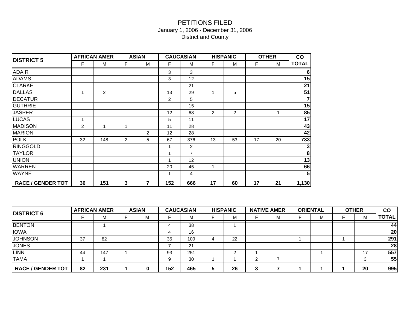| <b>DISTRICT 5</b>        |                | <b>AFRICAN AMER</b> |                | <b>ASIAN</b> |     | <b>CAUCASIAN</b> |                | <b>HISPANIC</b> |    | <b>OTHER</b> | co              |
|--------------------------|----------------|---------------------|----------------|--------------|-----|------------------|----------------|-----------------|----|--------------|-----------------|
|                          | F              | M                   | F              | M            | F   | M                | F              | M               | F  | M            | <b>TOTAL</b>    |
| <b>ADAIR</b>             |                |                     |                |              | 3   | 3                |                |                 |    |              | 6               |
| <b>ADAMS</b>             |                |                     |                |              | 3   | 12               |                |                 |    |              | 15              |
| <b>CLARKE</b>            |                |                     |                |              |     | 21               |                |                 |    |              | 21              |
| <b>DALLAS</b>            | 1              | $\overline{2}$      |                |              | 13  | 29               | 1              | 5               |    |              | $\overline{51}$ |
| <b>DECATUR</b>           |                |                     |                |              | 2   | 5                |                |                 |    |              |                 |
| <b>GUTHRIE</b>           |                |                     |                |              |     | 15               |                |                 |    |              | 15              |
| <b>JASPER</b>            |                |                     |                |              | 12  | 68               | $\overline{c}$ | $\overline{2}$  |    | 1            | 85              |
| <b>LUCAS</b>             | 1              |                     |                |              | 5   | 11               |                |                 |    |              | $\overline{17}$ |
| <b>MADISON</b>           | $\overline{2}$ | 1                   | 1              |              | 11  | 28               |                |                 |    |              | 43              |
| <b>MARION</b>            |                |                     |                | 2            | 12  | 28               |                |                 |    |              | 42              |
| <b>POLK</b>              | 32             | 148                 | $\overline{2}$ | 5            | 67  | 376              | 13             | 53              | 17 | 20           | 733             |
| <b>RINGGOLD</b>          |                |                     |                |              | 1   | $\overline{2}$   |                |                 |    |              |                 |
| <b>TAYLOR</b>            |                |                     |                |              | 1   | $\overline{7}$   |                |                 |    |              | 8               |
| <b>UNION</b>             |                |                     |                |              | 1   | 12               |                |                 |    |              | 13              |
| <b>WARREN</b>            |                |                     |                |              | 20  | 45               | 1              |                 |    |              | 66              |
| <b>WAYNE</b>             |                |                     |                |              | 1   | 4                |                |                 |    |              | 5               |
| <b>RACE / GENDER TOT</b> | 36             | 151                 | 3              | 7            | 152 | 666              | 17             | 60              | 17 | 21           | 1,130           |

| <b>DISTRICT 6</b>        |    | <b>AFRICAN AMER</b> | <b>ASIAN</b> |     | <b>CAUCASIAN</b> | <b>HISPANIC</b> | <b>NATIVE AMER</b> | <b>ORIENTAL</b> | <b>OTHER</b> | $\mathsf{co}$ |
|--------------------------|----|---------------------|--------------|-----|------------------|-----------------|--------------------|-----------------|--------------|---------------|
|                          |    | М                   | М            |     | M                | М               | M                  | M               | M            | <b>TOTAL</b>  |
| <b>BENTON</b>            |    |                     |              |     | 38               |                 |                    |                 |              | 44            |
| <b>IOWA</b>              |    |                     |              |     | 16               |                 |                    |                 |              | 20            |
| <b>JOHNSON</b>           | 37 | 82                  |              | 35  | 109              | 22              |                    |                 |              | 291           |
| <b>JONES</b>             |    |                     |              |     | 21               |                 |                    |                 |              | 28            |
| <b>LINN</b>              | 44 | 147                 |              | 93  | 251              |                 |                    |                 | 17           | 557           |
| <b>TAMA</b>              |    |                     |              |     | 30               |                 |                    |                 |              | 55            |
| <b>RACE / GENDER TOT</b> | 82 | 231                 | 0            | 152 | 465              | 26              |                    |                 | 20           | 995           |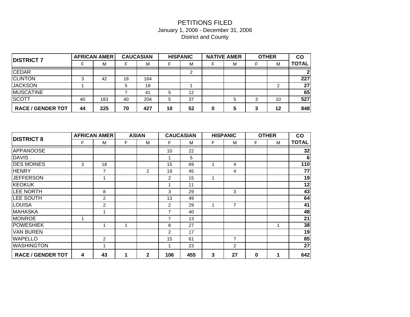| <b>DISTRICT 7</b>        |    | <b>AFRICAN AMER</b> |    | <b>CAUCASIAN</b> |    | <b>HISPANIC</b> |   | <b>NATIVE AMER</b> | <b>OTHER</b> | $\mathsf{co}$ |
|--------------------------|----|---------------------|----|------------------|----|-----------------|---|--------------------|--------------|---------------|
|                          |    | м                   |    | M                |    | м               |   | м                  | M            | <b>TOTAL</b>  |
| <b>CEDAR</b>             |    |                     |    |                  |    |                 |   |                    |              | 2             |
| <b>CLINTON</b>           |    | 42                  | 18 | 164              |    |                 |   |                    |              | 227           |
| <b>JACKSON</b>           |    |                     | 5  | 18               |    |                 |   |                    |              | 27            |
| <b>MUSCATINE</b>         |    |                     |    | 41               | 5  | 12              |   |                    |              | 65            |
| <b>SCOTT</b>             | 40 | 183                 | 40 | 204              | 5  | 37              |   | 5                  | 10           | 527           |
| <b>RACE / GENDER TOT</b> | 44 | 225                 | 70 | 427              | 10 | 52              | 0 | 5                  | 12           | 848           |

| <b>DISTRICT 8</b>        |   | <b>AFRICAN AMER</b> |   | <b>ASIAN</b>   |                | <b>CAUCASIAN</b> |   | <b>HISPANIC</b> |   | <b>OTHER</b> | co           |
|--------------------------|---|---------------------|---|----------------|----------------|------------------|---|-----------------|---|--------------|--------------|
|                          | F | M                   | F | M              | F              | M                | F | M               | F | M            | <b>TOTAL</b> |
| <b>APPANOOSE</b>         |   |                     |   |                | 10             | 22               |   |                 |   |              | 32           |
| <b>DAVIS</b>             |   |                     |   |                | 1              | 5                |   |                 |   |              | 6            |
| <b>DES MOINES</b>        | 3 | 18                  |   |                | 15             | 69               | 1 | $\overline{4}$  |   |              | 110          |
| <b>HENRY</b>             |   | 7                   |   | $\overline{2}$ | 19             | 45               |   | 4               |   |              | 77           |
| <b>JEFFERSON</b>         |   | 1                   |   |                | $\overline{2}$ | 15               | 1 |                 |   |              | 19           |
| <b>KEOKUK</b>            |   |                     |   |                | 1              | 11               |   |                 |   |              | 12           |
| <b>LEE NORTH</b>         |   | 8                   |   |                | 3              | 29               |   | 3               |   |              | 43           |
| LEE SOUTH                |   | $\overline{2}$      |   |                | 13             | 49               |   |                 |   |              | 64           |
| <b>LOUISA</b>            |   | $\overline{2}$      |   |                | $\overline{2}$ | 29               |   | $\overline{7}$  |   |              | 41           |
| <b>MAHASKA</b>           |   |                     |   |                | 7              | 40               |   |                 |   |              | 48           |
| <b>MONROE</b>            | 1 |                     |   |                | 7              | 13               |   |                 |   |              | 21           |
| <b>POWESHIEK</b>         |   |                     | 1 |                | 8              | 27               |   |                 |   |              | 38           |
| <b>VAN BUREN</b>         |   |                     |   |                | $\overline{2}$ | 17               |   |                 |   |              | 19           |
| <b>WAPELLO</b>           |   | $\overline{c}$      |   |                | 15             | 61               |   | $\overline{7}$  |   |              | 85           |
| <b>WASHINGTON</b>        |   | 1                   |   |                | 1              | 23               |   | $\overline{2}$  |   |              | 27           |
| <b>RACE / GENDER TOT</b> | 4 | 43                  | 1 | $\mathbf{2}$   | 106            | 455              | 3 | 27              | 0 |              | 642          |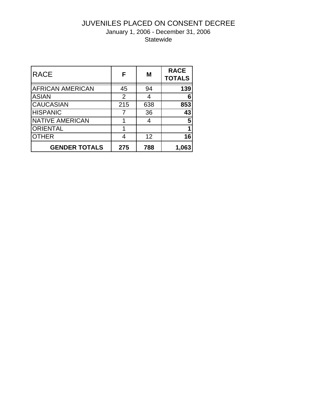# JUVENILES PLACED ON CONSENT DECREE

January 1, 2006 - December 31, 2006

Statewide

| <b>RACE</b>             | F   | M   | <b>RACE</b><br><b>TOTALS</b> |
|-------------------------|-----|-----|------------------------------|
| <b>AFRICAN AMERICAN</b> | 45  | 94  | 139                          |
| <b>ASIAN</b>            | 2   |     | 6                            |
| <b>CAUCASIAN</b>        | 215 | 638 | 853                          |
| <b>HISPANIC</b>         |     | 36  | 43                           |
| <b>NATIVE AMERICAN</b>  |     |     | 5                            |
| <b>ORIENTAL</b>         |     |     |                              |
| <b>OTHER</b>            |     | 12  | 16                           |
| <b>GENDER TOTALS</b>    | 275 | 788 | 1,063                        |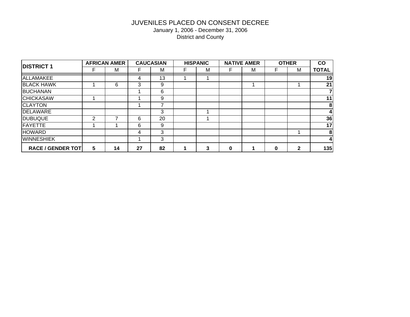| <b>DISTRICT 1</b>        |   | <b>AFRICAN AMER</b> |    | <b>CAUCASIAN</b> | <b>HISPANIC</b> |          | <b>NATIVE AMER</b> |             | <b>OTHER</b> | co           |
|--------------------------|---|---------------------|----|------------------|-----------------|----------|--------------------|-------------|--------------|--------------|
|                          | ⊢ | м                   | F  | M                | м               |          | м                  |             | м            | <b>TOTAL</b> |
| ALLAMAKEE                |   |                     | 4  | 13               |                 |          |                    |             |              | 19           |
| <b>BLACK HAWK</b>        |   | 6                   | 3  | 9                |                 |          |                    |             |              | 21           |
| <b>BUCHANAN</b>          |   |                     |    | 6                |                 |          |                    |             |              |              |
| <b>CHICKASAW</b>         |   |                     |    | 9                |                 |          |                    |             |              | 11           |
| <b>CLAYTON</b>           |   |                     |    |                  |                 |          |                    |             |              | 8            |
| <b>DELAWARE</b>          |   |                     |    | 3                |                 |          |                    |             |              | 4            |
| <b>DUBUQUE</b>           | 2 |                     | 6  | 20               |                 |          |                    |             |              | 36           |
| <b>FAYETTE</b>           |   |                     | 6  | 9                |                 |          |                    |             |              | 17           |
| <b>HOWARD</b>            |   |                     | 4  | 3                |                 |          |                    |             |              | 8            |
| <b>WINNESHIEK</b>        |   |                     |    | 3                |                 |          |                    |             |              | 4I           |
| <b>RACE / GENDER TOT</b> | 5 | 14                  | 27 | 82               | 3               | $\bf{0}$ |                    | $\mathbf 0$ | 2            | 135          |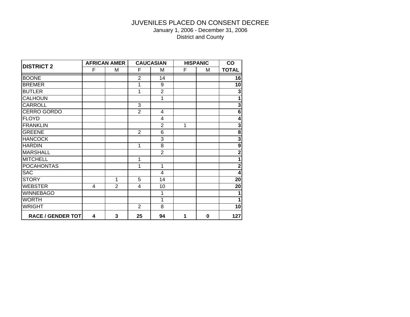#### JUVENILES PLACED ON CONSENT DECREE

January 1, 2006 - December 31, 2006 District and County

| <b>DISTRICT 2</b>        |   | <b>AFRICAN AMER</b> |                | <b>CAUCASIAN</b> |   | <b>HISPANIC</b> | <b>CO</b>               |
|--------------------------|---|---------------------|----------------|------------------|---|-----------------|-------------------------|
|                          | F | M                   | F              | M                | F | М               | <b>TOTAL</b>            |
| <b>BOONE</b>             |   |                     | $\overline{2}$ | 14               |   |                 | 16                      |
| <b>BREMER</b>            |   |                     |                | 9                |   |                 | 10                      |
| <b>BUTLER</b>            |   |                     | 1              | $\overline{2}$   |   |                 | $\mathbf{3}$            |
| <b>CALHOUN</b>           |   |                     |                | 1                |   |                 |                         |
| <b>CARROLL</b>           |   |                     | 3              |                  |   |                 | 3                       |
| <b>CERRO GORDO</b>       |   |                     | $\overline{2}$ | 4                |   |                 | 6                       |
| <b>FLOYD</b>             |   |                     |                | 4                |   |                 | 4                       |
| <b>FRANKLIN</b>          |   |                     |                | $\overline{2}$   | 1 |                 | $\overline{\mathbf{3}}$ |
| <b>GREENE</b>            |   |                     | $\overline{2}$ | 6                |   |                 | ${\bf 8}$               |
| <b>HANCOCK</b>           |   |                     |                | 3                |   |                 | $\overline{\mathbf{3}}$ |
| <b>HARDIN</b>            |   |                     | 1              | 8                |   |                 | $\boldsymbol{9}$        |
| <b>MARSHALL</b>          |   |                     |                | $\overline{2}$   |   |                 | $\mathbf 2$             |
| MITCHELL                 |   |                     | 1              |                  |   |                 | 1                       |
| <b>POCAHONTAS</b>        |   |                     | 1              | 1                |   |                 | $\mathbf{2}$            |
| <b>SAC</b>               |   |                     |                | 4                |   |                 | $\overline{\mathbf{4}}$ |
| <b>STORY</b>             |   | 1                   | 5              | 14               |   |                 | 20                      |
| <b>WEBSTER</b>           | 4 | $\overline{2}$      | 4              | 10               |   |                 | 20                      |
| <b>WINNEBAGO</b>         |   |                     |                | 1                |   |                 |                         |
| <b>WORTH</b>             |   |                     |                | 1                |   |                 | 1                       |
| <b>WRIGHT</b>            |   |                     | $\overline{2}$ | 8                |   |                 | 10 <sup>1</sup>         |
| <b>RACE / GENDER TOT</b> | 4 | 3                   | 25             | 94               | 1 | 0               | 127                     |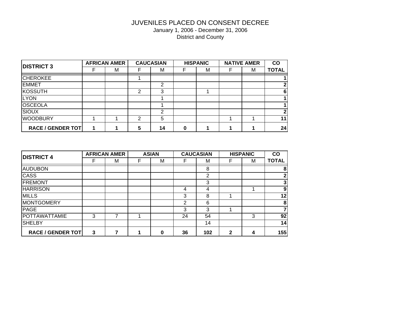| <b>DISTRICT 3</b>        | <b>AFRICAN AMER</b> |   | <b>CAUCASIAN</b> |   | <b>HISPANIC</b> | <b>NATIVE AMER</b> | co           |
|--------------------------|---------------------|---|------------------|---|-----------------|--------------------|--------------|
|                          | M                   |   | M                |   | м               | м                  | <b>TOTAL</b> |
| <b>CHEROKEE</b>          |                     |   |                  |   |                 |                    |              |
| <b>EMMET</b>             |                     |   | າ                |   |                 |                    | 2            |
| <b>KOSSUTH</b>           |                     | າ | 3                |   |                 |                    | 61           |
| <b>LYON</b>              |                     |   |                  |   |                 |                    |              |
| <b>OSCEOLA</b>           |                     |   |                  |   |                 |                    |              |
| <b>SIOUX</b>             |                     |   | າ                |   |                 |                    | $\mathbf{2}$ |
| <b>WOODBURY</b>          |                     | າ | 5                |   |                 |                    | 11           |
| <b>RACE / GENDER TOT</b> |                     | 5 | 14               | 0 |                 |                    | 24           |

| <b>DISTRICT 4</b>         |   | <b>AFRICAN AMER</b> | <b>ASIAN</b> |    | <b>CAUCASIAN</b> |             | <b>HISPANIC</b> | co           |
|---------------------------|---|---------------------|--------------|----|------------------|-------------|-----------------|--------------|
|                           |   | М                   | M            | F  | M                |             | М               | <b>TOTAL</b> |
| <b>AUDUBON</b>            |   |                     |              |    | 8                |             |                 | 8            |
| <b>CASS</b>               |   |                     |              |    | 2                |             |                 |              |
| <b>FREMONT</b>            |   |                     |              |    | 3                |             |                 | 31           |
| <b>HARRISON</b>           |   |                     |              | 4  | 4                |             |                 | 9            |
| <b>MILLS</b>              |   |                     |              | 3  | 8                |             |                 | 12           |
| <b>MONTGOMERY</b>         |   |                     |              | 2  | 6                |             |                 | 8            |
| <b>PAGE</b>               |   |                     |              | 3  | 3                |             |                 |              |
| <b>POTTAWATTAMIE</b>      | 3 |                     |              | 24 | 54               |             | 3               | 92           |
| <b>SHELBY</b>             |   |                     |              |    | 14               |             |                 | 14           |
| <b>RACE / GENDER TOTI</b> | 3 |                     |              | 36 | 102              | $\mathbf 2$ |                 | 155          |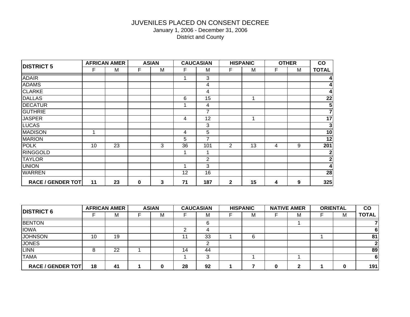| <b>DISTRICT 5</b>        |    | <b>AFRICAN AMER</b> |   | <b>ASIAN</b> |    | <b>CAUCASIAN</b> |                | <b>HISPANIC</b> |   | <b>OTHER</b> | co              |
|--------------------------|----|---------------------|---|--------------|----|------------------|----------------|-----------------|---|--------------|-----------------|
|                          | F  | M                   | F | M            | F  | M                | F              | M               | F | M            | <b>TOTAL</b>    |
| <b>ADAIR</b>             |    |                     |   |              |    | 3                |                |                 |   |              |                 |
| <b>ADAMS</b>             |    |                     |   |              |    | 4                |                |                 |   |              |                 |
| <b>CLARKE</b>            |    |                     |   |              |    | 4                |                |                 |   |              | 4               |
| <b>DALLAS</b>            |    |                     |   |              | 6  | 15               |                | 1               |   |              | 22              |
| <b>DECATUR</b>           |    |                     |   |              |    | 4                |                |                 |   |              | 5               |
| <b>GUTHRIE</b>           |    |                     |   |              |    | 7                |                |                 |   |              |                 |
| <b>JASPER</b>            |    |                     |   |              | 4  | 12               |                | 1               |   |              | $\overline{17}$ |
| <b>LUCAS</b>             |    |                     |   |              |    | 3                |                |                 |   |              | 3               |
| <b>MADISON</b>           | -4 |                     |   |              | 4  | $5\phantom{.0}$  |                |                 |   |              | 10              |
| <b>MARION</b>            |    |                     |   |              | 5  | 7                |                |                 |   |              | 12              |
| <b>POLK</b>              | 10 | 23                  |   | 3            | 36 | 101              | $\overline{2}$ | 13              | 4 | 9            | 201             |
| <b>RINGGOLD</b>          |    |                     |   |              |    | 1                |                |                 |   |              | $\mathbf{2}$    |
| <b>TAYLOR</b>            |    |                     |   |              |    | $\overline{2}$   |                |                 |   |              | $\mathbf 2$     |
| <b>UNION</b>             |    |                     |   |              |    | 3                |                |                 |   |              | 4               |
| <b>WARREN</b>            |    |                     |   |              | 12 | 16               |                |                 |   |              | 28              |
| <b>RACE / GENDER TOT</b> | 11 | 23                  | 0 | $\mathbf{3}$ | 71 | 187              | $\mathbf{2}$   | 15              | 4 | 9            | 325             |

| <b>DISTRICT 6</b>         |    | <b>AFRICAN AMER</b> | <b>ASIAN</b> |    | <b>CAUCASIAN</b> | <b>HISPANIC</b> | <b>NATIVE AMER</b> | <b>ORIENTAL</b> | co           |
|---------------------------|----|---------------------|--------------|----|------------------|-----------------|--------------------|-----------------|--------------|
|                           |    | М                   | M            |    | м                | M               | М                  | М               | <b>TOTAL</b> |
| <b>BENTON</b>             |    |                     |              |    | 6                |                 |                    |                 |              |
| <b>IOWA</b>               |    |                     |              | ◠  | ⊿                |                 |                    |                 | 61           |
| <b>JOHNSON</b>            | 10 | 19                  |              | 11 | 33               | 6               |                    |                 | 81           |
| <b>JONES</b>              |    |                     |              |    | ⌒                |                 |                    |                 | 2            |
| <b>LINN</b>               |    | 22                  |              | 14 | 44               |                 |                    |                 | 89           |
| <b>TAMA</b>               |    |                     |              |    | ົ                |                 |                    |                 | $6 \mid$     |
| <b>RACE / GENDER TOTI</b> | 18 | 41                  | 0            | 28 | 92               |                 | 2                  | 0               | 191          |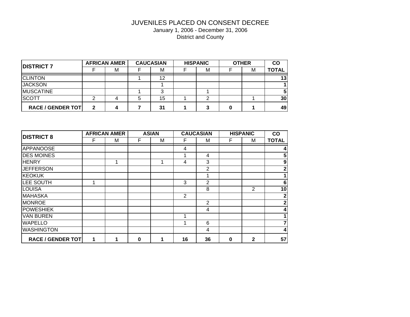| <b>DISTRICT 7</b>         |             | <b>AFRICAN AMER</b> | <b>CAUCASIAN</b> | <b>HISPANIC</b> | <b>OTHER</b> | <b>CO</b>    |
|---------------------------|-------------|---------------------|------------------|-----------------|--------------|--------------|
|                           |             | М                   | М                | M               | м            | <b>TOTAL</b> |
| <b>CLINTON</b>            |             |                     | 12               |                 |              | 13           |
| <b>JACKSON</b>            |             |                     |                  |                 |              |              |
| <b>MUSCATINE</b>          |             |                     | د                |                 |              | 5            |
| <b>SCOTT</b>              |             |                     | 15               |                 |              | 30           |
| <b>RACE / GENDER TOTI</b> | $\mathbf 2$ | Δ                   | 31               | 3               |              | 49           |

| <b>DISTRICT 8</b>        |   | <b>AFRICAN AMER</b> |   | <b>ASIAN</b> |    | <b>CAUCASIAN</b> |   | <b>HISPANIC</b> | co               |
|--------------------------|---|---------------------|---|--------------|----|------------------|---|-----------------|------------------|
|                          | F | M                   | F | M            | F  | M                | F | м               | <b>TOTAL</b>     |
| <b>APPANOOSE</b>         |   |                     |   |              | 4  |                  |   |                 | 4                |
| <b>DES MOINES</b>        |   |                     |   |              |    | 4                |   |                 | 5                |
| <b>HENRY</b>             |   | 1                   |   | 1            | 4  | 3                |   |                 | $\boldsymbol{9}$ |
| <b>JEFFERSON</b>         |   |                     |   |              |    | 2                |   |                 | $\mathbf{2}$     |
| <b>KEOKUK</b>            |   |                     |   |              |    |                  |   |                 |                  |
| LEE SOUTH                |   |                     |   |              | 3  | 2                |   |                 | $6\phantom{1}$   |
| <b>LOUISA</b>            |   |                     |   |              |    | 8                |   | $\overline{2}$  | 10               |
| <b>MAHASKA</b>           |   |                     |   |              | 2  |                  |   |                 | 2 <sub>2</sub>   |
| <b>MONROE</b>            |   |                     |   |              |    | $\overline{2}$   |   |                 | 2 <sup>1</sup>   |
| <b>POWESHIEK</b>         |   |                     |   |              |    | 4                |   |                 | 4 <sup>1</sup>   |
| <b>VAN BUREN</b>         |   |                     |   |              |    |                  |   |                 |                  |
| <b>WAPELLO</b>           |   |                     |   |              |    | 6                |   |                 |                  |
| <b>WASHINGTON</b>        |   |                     |   |              |    | 4                |   |                 | $\overline{4}$   |
| <b>RACE / GENDER TOT</b> | 1 |                     | 0 | 1            | 16 | 36               | 0 | $\mathbf{2}$    | 57               |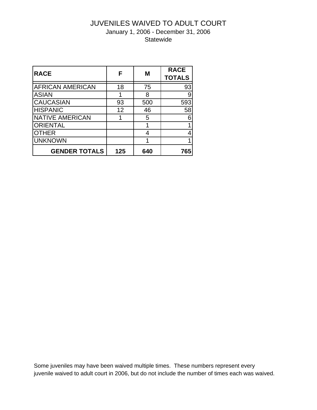## JUVENILES WAIVED TO ADULT COURT January 1, 2006 - December 31, 2006

**Statewide** 

| <b>RACE</b>             | F   | M   | <b>RACE</b><br><b>TOTALS</b> |
|-------------------------|-----|-----|------------------------------|
| <b>AFRICAN AMERICAN</b> | 18  | 75  | 93                           |
| <b>ASIAN</b>            |     | 8   | 9                            |
| <b>CAUCASIAN</b>        | 93  | 500 | 593                          |
| <b>HISPANIC</b>         | 12  | 46  | 58                           |
| <b>NATIVE AMERICAN</b>  |     | 5   | 6                            |
| <b>ORIENTAL</b>         |     | 1   |                              |
| <b>OTHER</b>            |     |     | 4                            |
| <b>UNKNOWN</b>          |     |     |                              |
| <b>GENDER TOTALS</b>    | 125 | 640 | 765                          |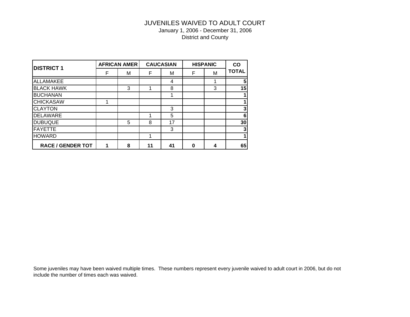#### JUVENILES WAIVED TO ADULT COURT January 1, 2006 - December 31, 2006

District and County

| <b>DISTRICT 1</b>        |   | <b>AFRICAN AMER</b> |    | <b>CAUCASIAN</b> |   | <b>HISPANIC</b> | <b>CO</b>    |
|--------------------------|---|---------------------|----|------------------|---|-----------------|--------------|
|                          | F | М                   | F  | М                | F | М               | <b>TOTAL</b> |
| <b>ALLAMAKEE</b>         |   |                     |    | 4                |   |                 | 5            |
| <b>BLACK HAWK</b>        |   | 3                   |    | 8                |   | 3               | 15           |
| <b>BUCHANAN</b>          |   |                     |    |                  |   |                 | 1            |
| <b>CHICKASAW</b>         |   |                     |    |                  |   |                 |              |
| <b>CLAYTON</b>           |   |                     |    | 3                |   |                 | 3            |
| <b>DELAWARE</b>          |   |                     |    | 5                |   |                 | -6           |
| <b>DUBUQUE</b>           |   | 5                   | 8  | 17               |   |                 | 30           |
| <b>FAYETTE</b>           |   |                     |    | 3                |   |                 | $\mathbf{3}$ |
| <b>HOWARD</b>            |   |                     |    |                  |   |                 | $\mathbf 1$  |
| <b>RACE / GENDER TOT</b> |   | 8                   | 11 | 41               | 0 |                 | 65           |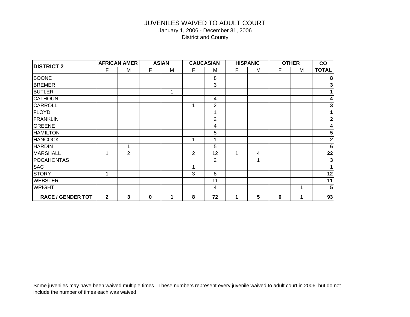#### JUVENILES WAIVED TO ADULT COURT January 1, 2006 - December 31, 2006 District and County

| <b>DISTRICT 2</b>        |                | <b>AFRICAN AMER</b> |   | <b>ASIAN</b> |                | <b>CAUCASIAN</b> |   | <b>HISPANIC</b> |             | <b>OTHER</b> | co             |
|--------------------------|----------------|---------------------|---|--------------|----------------|------------------|---|-----------------|-------------|--------------|----------------|
|                          | F              | M                   | F | M            | F              | M                | F | M               | F           | M            | <b>TOTAL</b>   |
| <b>BOONE</b>             |                |                     |   |              |                | 8                |   |                 |             |              | 8              |
| <b>BREMER</b>            |                |                     |   |              |                | 3                |   |                 |             |              | 3 <sup>1</sup> |
| <b>BUTLER</b>            |                |                     |   | 1            |                |                  |   |                 |             |              |                |
| <b>CALHOUN</b>           |                |                     |   |              |                | 4                |   |                 |             |              | 4              |
| <b>CARROLL</b>           |                |                     |   |              |                | $\overline{2}$   |   |                 |             |              | 3              |
| <b>FLOYD</b>             |                |                     |   |              |                | 1                |   |                 |             |              |                |
| <b>FRANKLIN</b>          |                |                     |   |              |                | $\overline{2}$   |   |                 |             |              | 2              |
| <b>GREENE</b>            |                |                     |   |              |                | 4                |   |                 |             |              | 4              |
| <b>HAMILTON</b>          |                |                     |   |              |                | 5                |   |                 |             |              | 5              |
| <b>HANCOCK</b>           |                |                     |   |              | 1              | 1                |   |                 |             |              | $\mathbf 2$    |
| <b>HARDIN</b>            |                | 1                   |   |              |                | 5                |   |                 |             |              | $\bf 6$        |
| <b>MARSHALL</b>          | 1              | $\overline{2}$      |   |              | $\overline{2}$ | 12               | 1 | 4               |             |              | 22             |
| POCAHONTAS               |                |                     |   |              |                | 2                |   |                 |             |              | 3              |
| <b>SAC</b>               |                |                     |   |              | 1              |                  |   |                 |             |              | 1              |
| <b>STORY</b>             | 1              |                     |   |              | 3              | 8                |   |                 |             |              | 12             |
| <b>WEBSTER</b>           |                |                     |   |              |                | 11               |   |                 |             |              | 11             |
| <b>WRIGHT</b>            |                |                     |   |              |                | 4                |   |                 |             | 1            | ${\bf 5}$      |
| <b>RACE / GENDER TOT</b> | $\overline{2}$ | 3                   | 0 | 1            | 8              | 72               | 1 | 5               | $\mathbf 0$ | 1            | 93             |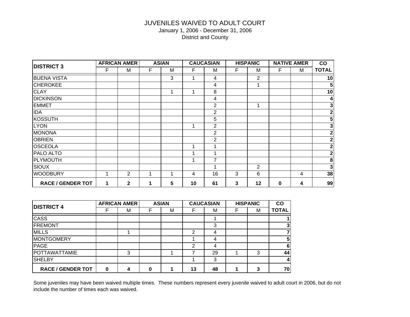#### JUVENILES WAIVED TO ADULT COURT January 1, 2006 - December 31, 2006 District and County

| <b>DISTRICT 3</b>        |   | <b>AFRICAN AMER</b> |   | <b>ASIAN</b> |    | <b>CAUCASIAN</b> |   | <b>HISPANIC</b> |   | <b>NATIVE AMER</b> | co             |
|--------------------------|---|---------------------|---|--------------|----|------------------|---|-----------------|---|--------------------|----------------|
|                          | F | м                   | F | M            | F  | M                | F | M               | F | м                  | <b>TOTAL</b>   |
| <b>BUENA VISTA</b>       |   |                     |   | 3            |    | 4                |   | 2               |   |                    | 10             |
| <b>CHEROKEE</b>          |   |                     |   |              |    | 4                |   | 1               |   |                    | 5              |
| <b>CLAY</b>              |   |                     |   | 1            |    | 8                |   |                 |   |                    | 10             |
| <b>DICKINSON</b>         |   |                     |   |              |    | 4                |   |                 |   |                    |                |
| <b>EMMET</b>             |   |                     |   |              |    | $\overline{2}$   |   | 1               |   |                    | 3 <sub>l</sub> |
| <b>IDA</b>               |   |                     |   |              |    | $\overline{2}$   |   |                 |   |                    |                |
| KOSSUTH                  |   |                     |   |              |    | 5                |   |                 |   |                    | 5              |
| <b>LYON</b>              |   |                     |   |              |    | $\overline{2}$   |   |                 |   |                    |                |
| <b>MONONA</b>            |   |                     |   |              |    | 2                |   |                 |   |                    |                |
| <b>OBRIEN</b>            |   |                     |   |              |    | $\overline{2}$   |   |                 |   |                    |                |
| <b>OSCEOLA</b>           |   |                     |   |              |    |                  |   |                 |   |                    | 2              |
| PALO ALTO                |   |                     |   |              |    |                  |   |                 |   |                    |                |
| PLYMOUTH                 |   |                     |   |              |    | 7                |   |                 |   |                    | 8              |
| <b>SIOUX</b>             |   |                     |   |              |    |                  |   | 2               |   |                    | 3              |
| <b>WOODBURY</b>          | 1 | $\overline{2}$      |   | 1            | 4  | 16               | 3 | 6               |   | 4                  | 38             |
| <b>RACE / GENDER TOT</b> | 1 | $\mathbf{2}$        | 1 | 5            | 10 | 61               | 3 | 12              | 0 | 4                  | 99             |

| <b>DISTRICT 4</b>        |          | <b>AFRICAN AMER</b> |   | <b>ASIAN</b> |                | <b>CAUCASIAN</b> |   | <b>HISPANIC</b> | CO           |
|--------------------------|----------|---------------------|---|--------------|----------------|------------------|---|-----------------|--------------|
|                          |          | М                   | F | M            |                | М                | F | M               | <b>TOTAL</b> |
| <b>CASS</b>              |          |                     |   |              |                |                  |   |                 |              |
| <b>FREMONT</b>           |          |                     |   |              |                | 3                |   |                 |              |
| <b>MILLS</b>             |          |                     |   |              | $\mathfrak{p}$ |                  |   |                 |              |
| <b>MONTGOMERY</b>        |          |                     |   |              |                |                  |   |                 | 5            |
| <b>PAGE</b>              |          |                     |   |              | າ              |                  |   |                 | 6            |
| POTTAWATTAMIE            |          | 3                   |   |              |                | 29               |   | 3               | 44           |
| <b>SHELBY</b>            |          |                     |   |              |                | 3                |   |                 | 4            |
| <b>RACE / GENDER TOT</b> | $\Omega$ |                     | O |              | 13             | 48               |   | 3               | 70           |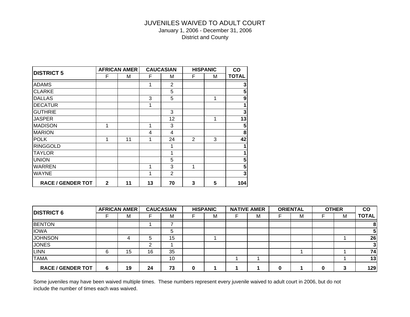#### JUVENILES WAIVED TO ADULT COURT

January 1, 2006 - December 31, 2006 District and County

| <b>DISTRICT 5</b>        |              | <b>AFRICAN AMER</b> |    | <b>CAUCASIAN</b> |   | <b>HISPANIC</b> | <b>CO</b>        |
|--------------------------|--------------|---------------------|----|------------------|---|-----------------|------------------|
|                          | F            | М                   | F  | M                | F | м               | <b>TOTAL</b>     |
| <b>ADAMS</b>             |              |                     | 1  | 2                |   |                 | $\mathbf{3}$     |
| <b>CLARKE</b>            |              |                     |    | 5                |   |                 | $5\phantom{.0}$  |
| <b>DALLAS</b>            |              |                     | 3  | 5                |   | 1               | $\boldsymbol{9}$ |
| <b>DECATUR</b>           |              |                     | 1  |                  |   |                 | $\mathbf 1$      |
| <b>GUTHRIE</b>           |              |                     |    | 3                |   |                 | $\mathbf{3}$     |
| <b>JASPER</b>            |              |                     |    | 12               |   | 1               | 13               |
| <b>MADISON</b>           | 1            |                     | 1  | 3                |   |                 | 5                |
| <b>MARION</b>            |              |                     | 4  | 4                |   |                 | $\bullet$        |
| <b>POLK</b>              | 1            | 11                  | 1  | 24               | 2 | 3               | 42               |
| <b>RINGGOLD</b>          |              |                     |    | 1                |   |                 | $\mathbf 1$      |
| <b>TAYLOR</b>            |              |                     |    | 1                |   |                 | 1                |
| <b>UNION</b>             |              |                     |    | 5                |   |                 | 5                |
| WARREN                   |              |                     | 1  | 3                | 1 |                 | $5\phantom{.0}$  |
| <b>WAYNE</b>             |              |                     | 1  | $\overline{2}$   |   |                 | $\mathbf{3}$     |
| <b>RACE / GENDER TOT</b> | $\mathbf{2}$ | 11                  | 13 | 70               | 3 | 5               | 104              |

| <b>DISTRICT 6</b>        |   | <b>AFRICAN AMER</b> |    | <b>CAUCASIAN</b> |   | <b>HISPANIC</b> |   | <b>NATIVE AMER</b> |   | <b>ORIENTAL</b> |   | <b>OTHER</b> | <b>CO</b>      |
|--------------------------|---|---------------------|----|------------------|---|-----------------|---|--------------------|---|-----------------|---|--------------|----------------|
|                          |   | M                   |    | M                |   | М               | ⊢ | М                  |   | M               |   | м            | <b>TOTAL</b>   |
| <b>BENTON</b>            |   |                     |    |                  |   |                 |   |                    |   |                 |   |              | 8              |
| <b>IOWA</b>              |   |                     |    | 5                |   |                 |   |                    |   |                 |   |              | 5              |
| <b>JOHNSON</b>           |   | Δ                   | 5  | 15               |   |                 |   |                    |   |                 |   |              | 26             |
| <b>JONES</b>             |   |                     | ົ  |                  |   |                 |   |                    |   |                 |   |              | $\overline{3}$ |
| <b>LINN</b>              | 6 | 15                  | 16 | 35               |   |                 |   |                    |   |                 |   |              | <b>74</b>      |
| <b>TAMA</b>              |   |                     |    | 10               |   |                 |   |                    |   |                 |   |              | 13             |
| <b>RACE / GENDER TOT</b> | 6 | 19                  | 24 | 73               | 0 |                 |   |                    | 0 |                 | 0 | 3            | 129            |

include the number of times each was waived. Some juveniles may have been waived multiple times. These numbers represent every juvenile waived to adult court in 2006, but do not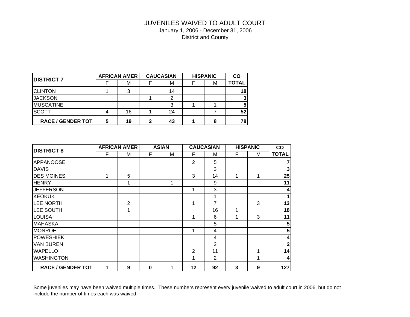#### JUVENILES WAIVED TO ADULT COURT

January 1, 2006 - December 31, 2006 District and County

| <b>DISTRICT 7</b>        |   | <b>AFRICAN AMER</b> |   | <b>CAUCASIAN</b> | <b>HISPANIC</b> | CO    |
|--------------------------|---|---------------------|---|------------------|-----------------|-------|
|                          |   | м                   |   | м                | М               | TOTAL |
| <b>CLINTON</b>           |   | ≏                   |   | 14               |                 | 18    |
| <b>JACKSON</b>           |   |                     |   |                  |                 | -3    |
| <b>MUSCATINE</b>         |   |                     |   |                  |                 | 5     |
| <b>SCOTT</b>             |   | 16                  |   | 24               |                 | 52    |
| <b>RACE / GENDER TOT</b> | 5 | 19                  | 2 | 43               | 8               | 78    |

| <b>DISTRICT 8</b>        |   | <b>AFRICAN AMER</b> |          | <b>ASIAN</b> |    | <b>CAUCASIAN</b> |   | <b>HISPANIC</b> | co           |
|--------------------------|---|---------------------|----------|--------------|----|------------------|---|-----------------|--------------|
|                          | F | M                   | F        | М            | F  | M                | F | м               | <b>TOTAL</b> |
| <b>APPANOOSE</b>         |   |                     |          |              | 2  | 5                |   |                 |              |
| <b>DAVIS</b>             |   |                     |          |              |    | 3                |   |                 |              |
| <b>DES MOINES</b>        | 1 | 5                   |          |              | 3  | 14               | 1 |                 | 25           |
| <b>HENRY</b>             |   | 1                   |          | 1            |    | 9                |   |                 | 11           |
| <b>JEFFERSON</b>         |   |                     |          |              | 1  | 3                |   |                 |              |
| <b>KEOKUK</b>            |   |                     |          |              |    | 1                |   |                 |              |
| LEE NORTH                |   | $\overline{2}$      |          |              | 1  | 7                |   | 3               | 13           |
| LEE SOUTH                |   | 1                   |          |              |    | 16               | 1 |                 | 18           |
| <b>LOUISA</b>            |   |                     |          |              | 1  | 6                | 1 | 3               | 11           |
| <b>MAHASKA</b>           |   |                     |          |              |    | 5                |   |                 | 5            |
| <b>MONROE</b>            |   |                     |          |              | 1  | 4                |   |                 | 5            |
| <b>POWESHIEK</b>         |   |                     |          |              |    | 4                |   |                 |              |
| <b>VAN BUREN</b>         |   |                     |          |              |    | $\overline{2}$   |   |                 | $\mathbf{2}$ |
| <b>WAPELLO</b>           |   |                     |          |              | 2  | 11               |   |                 | 14           |
| <b>WASHINGTON</b>        |   |                     |          |              | 1  | 2                |   |                 |              |
| <b>RACE / GENDER TOT</b> | 1 | 9                   | $\bf{0}$ | 1            | 12 | 92               | 3 | 9               | 127          |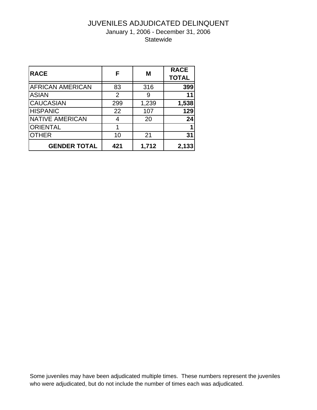# January 1, 2006 - December 31, 2006

**Statewide** 

| <b>RACE</b>             | F              | Μ     | <b>RACE</b><br><b>TOTAL</b> |
|-------------------------|----------------|-------|-----------------------------|
| <b>AFRICAN AMERICAN</b> | 83             | 316   | 399                         |
| <b>ASIAN</b>            | $\overline{2}$ | 9     | 11                          |
| <b>CAUCASIAN</b>        | 299            | 1,239 | 1,538                       |
| <b>HISPANIC</b>         | 22             | 107   | 129                         |
| <b>NATIVE AMERICAN</b>  | 4              | 20    | 24                          |
| <b>ORIENTAL</b>         |                |       | 1                           |
| <b>OTHER</b>            | 10             | 21    | 31                          |
| <b>GENDER TOTAL</b>     | 421            | 1,712 | 2,133                       |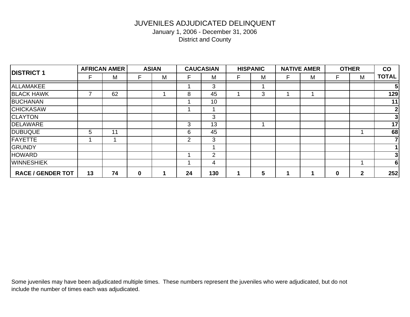January 1, 2006 - December 31, 2006 District and County

| <b>DISTRICT 1</b>        |    | <b>AFRICAN AMER</b> |   | <b>ASIAN</b> |                | <b>CAUCASIAN</b> |   | <b>HISPANIC</b> |   | <b>NATIVE AMER</b> |   | <b>OTHER</b> | co             |
|--------------------------|----|---------------------|---|--------------|----------------|------------------|---|-----------------|---|--------------------|---|--------------|----------------|
|                          | F  | M                   |   | M            | F              | M                | F | M               | F | M                  |   | M            | <b>TOTAL</b>   |
| ALLAMAKEE                |    |                     |   |              |                | 3                |   |                 |   |                    |   |              | 5 <sub>l</sub> |
| <b>BLACK HAWK</b>        |    | 62                  |   |              | 8              | 45               |   | 3               |   |                    |   |              | 129            |
| <b>BUCHANAN</b>          |    |                     |   |              |                | 10               |   |                 |   |                    |   |              | 11             |
| <b>CHICKASAW</b>         |    |                     |   |              |                |                  |   |                 |   |                    |   |              | $\mathbf{2}$   |
| <b>CLAYTON</b>           |    |                     |   |              |                | 3                |   |                 |   |                    |   |              | 3              |
| DELAWARE                 |    |                     |   |              | 3              | 13               |   |                 |   |                    |   |              | 17             |
| <b>DUBUQUE</b>           | 5  | 11                  |   |              | 6              | 45               |   |                 |   |                    |   |              | 68             |
| <b>FAYETTE</b>           |    |                     |   |              | $\overline{2}$ | 3                |   |                 |   |                    |   |              | $\mathbf{7}$   |
| <b>GRUNDY</b>            |    |                     |   |              |                |                  |   |                 |   |                    |   |              | $\mathbf{1}$   |
| <b>HOWARD</b>            |    |                     |   |              |                | $\overline{2}$   |   |                 |   |                    |   |              | 3              |
| <b>WINNESHIEK</b>        |    |                     |   |              |                | 4                |   |                 |   |                    |   |              | 6              |
| <b>RACE / GENDER TOT</b> | 13 | 74                  | 0 |              | 24             | 130              |   | 5               |   |                    | 0 | $\mathbf{2}$ | 252            |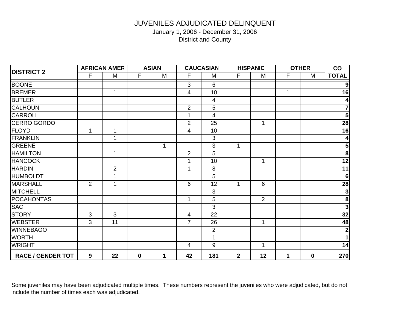January 1, 2006 - December 31, 2006 District and County

| <b>DISTRICT 2</b>        |              | <b>AFRICAN AMER</b> |          | <b>ASIAN</b> |                          | <b>CAUCASIAN</b> |                | <b>HISPANIC</b> |             | <b>OTHER</b> | co                      |
|--------------------------|--------------|---------------------|----------|--------------|--------------------------|------------------|----------------|-----------------|-------------|--------------|-------------------------|
|                          | F            | M                   | F        | M            | F                        | M                | F              | M               | F           | M            | <b>TOTAL</b>            |
| <b>BOONE</b>             |              |                     |          |              | 3                        | 6                |                |                 |             |              | 9                       |
| <b>BREMER</b>            |              | 1                   |          |              | $\overline{4}$           | 10               |                |                 | $\mathbf 1$ |              | 16                      |
| <b>BUTLER</b>            |              |                     |          |              |                          | $\overline{4}$   |                |                 |             |              | 4                       |
| CALHOUN                  |              |                     |          |              | $\overline{2}$           | 5                |                |                 |             |              | $\overline{7}$          |
| CARROLL                  |              |                     |          |              | $\mathbf{1}$             | $\overline{4}$   |                |                 |             |              | 5                       |
| CERRO GORDO              |              |                     |          |              | $\overline{2}$           | 25               |                | 1               |             |              | <b>28</b>               |
| <b>FLOYD</b>             | $\mathbf 1$  | 1                   |          |              | $\overline{\mathcal{A}}$ | 10               |                |                 |             |              | $\overline{16}$         |
| <b>FRANKLIN</b>          |              | 1                   |          |              |                          | 3                |                |                 |             |              | $\vert$                 |
| <b>GREENE</b>            |              |                     |          | 1            |                          | 3                | $\mathbf{1}$   |                 |             |              | 5                       |
| <b>HAMILTON</b>          |              | $\mathbf{1}$        |          |              | $\overline{2}$           | 5                |                |                 |             |              | $\bullet$               |
| <b>HANCOCK</b>           |              |                     |          |              | 1                        | 10               |                | 1               |             |              | 12                      |
| <b>HARDIN</b>            |              | $\overline{2}$      |          |              | $\mathbf{1}$             | 8                |                |                 |             |              | 11                      |
| <b>HUMBOLDT</b>          |              | $\mathbf{1}$        |          |              |                          | 5                |                |                 |             |              | $\bullet$               |
| <b>MARSHALL</b>          | 2            | $\mathbf{1}$        |          |              | 6                        | 12               | $\mathbf{1}$   | 6               |             |              | <b>28</b>               |
| <b>MITCHELL</b>          |              |                     |          |              |                          | 3                |                |                 |             |              | دى                      |
| <b>POCAHONTAS</b>        |              |                     |          |              | $\mathbf{1}$             | 5                |                | 2               |             |              | $\overline{\mathbf{8}}$ |
| <b>SAC</b>               |              |                     |          |              |                          | 3                |                |                 |             |              | $\mathbf{3}$            |
| <b>STORY</b>             | 3            | 3                   |          |              | 4                        | 22               |                |                 |             |              | 32                      |
| <b>WEBSTER</b>           | 3            | 11                  |          |              | $\overline{7}$           | 26               |                | 1               |             |              | 48                      |
| <b>WINNEBAGO</b>         |              |                     |          |              |                          | 2                |                |                 |             |              | $\mathbf{2}$            |
| <b>WORTH</b>             |              |                     |          |              |                          | 1                |                |                 |             |              |                         |
| <b>WRIGHT</b>            |              |                     |          |              | $\overline{4}$           | 9                |                | $\mathbf{1}$    |             |              | 14                      |
| <b>RACE / GENDER TOT</b> | $\mathbf{9}$ | 22                  | $\bf{0}$ | 1            | 42                       | 181              | $\overline{2}$ | 12              | 1           | $\mathbf 0$  | 270                     |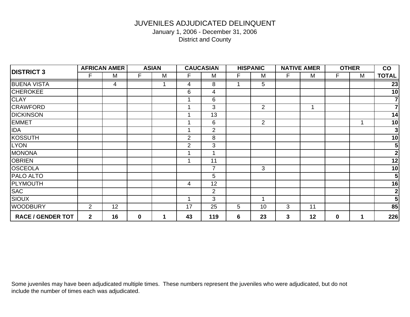January 1, 2006 - December 31, 2006 District and County

|                          |              | <b>AFRICAN AMER</b> |             | <b>ASIAN</b> |                | <b>CAUCASIAN</b> |                 | <b>HISPANIC</b> |   | <b>NATIVE AMER</b> |             | <b>OTHER</b> | co                      |
|--------------------------|--------------|---------------------|-------------|--------------|----------------|------------------|-----------------|-----------------|---|--------------------|-------------|--------------|-------------------------|
| <b>DISTRICT 3</b>        | F            | M                   | F           | M            | F              | M                | F.              | M               | F | M                  | F           | M            | <b>TOTAL</b>            |
| <b>BUENA VISTA</b>       |              | 4                   |             | 1            | 4              | 8                | и               | 5               |   |                    |             |              | 23                      |
| <b>CHEROKEE</b>          |              |                     |             |              | 6              | 4                |                 |                 |   |                    |             |              | 10                      |
| <b>CLAY</b>              |              |                     |             |              | 1              | 6                |                 |                 |   |                    |             |              | $\overline{7}$          |
| <b>CRAWFORD</b>          |              |                     |             |              | 1              | 3                |                 | 2               |   | 1                  |             |              | $\overline{7}$          |
| <b>DICKINSON</b>         |              |                     |             |              | 1              | 13               |                 |                 |   |                    |             |              | 14                      |
| <b>EMMET</b>             |              |                     |             |              | 1              | 6                |                 | 2               |   |                    |             | 1            | 10                      |
| <b>IDA</b>               |              |                     |             |              | 1              | $\overline{2}$   |                 |                 |   |                    |             |              | $\mathbf{3}$            |
| <b>KOSSUTH</b>           |              |                     |             |              | $\overline{2}$ | 8                |                 |                 |   |                    |             |              | 10                      |
| <b>LYON</b>              |              |                     |             |              | $\overline{2}$ | 3                |                 |                 |   |                    |             |              | ${\bf 5}$               |
| <b>MONONA</b>            |              |                     |             |              | 1              | 4                |                 |                 |   |                    |             |              | $\mathbf 2$             |
| <b>OBRIEN</b>            |              |                     |             |              | 1              | 11               |                 |                 |   |                    |             |              | 12                      |
| <b>OSCEOLA</b>           |              |                     |             |              |                | 7                |                 | 3               |   |                    |             |              | 10                      |
| <b>PALO ALTO</b>         |              |                     |             |              |                | 5                |                 |                 |   |                    |             |              | $\overline{\mathbf{5}}$ |
| PLYMOUTH                 |              |                     |             |              | 4              | 12               |                 |                 |   |                    |             |              | 16                      |
| <b>SAC</b>               |              |                     |             |              |                | $\overline{2}$   |                 |                 |   |                    |             |              | $\mathbf{2}$            |
| <b>SIOUX</b>             |              |                     |             |              | 1              | 3                |                 | 1               |   |                    |             |              | 5 <sub>l</sub>          |
| <b>WOODBURY</b>          | 2            | 12                  |             |              | 17             | 25               | $5\phantom{.0}$ | 10              | 3 | 11                 |             |              | 85                      |
| <b>RACE / GENDER TOT</b> | $\mathbf{2}$ | 16                  | $\mathbf 0$ | 1            | 43             | 119              | 6               | 23              | 3 | 12                 | $\mathbf 0$ | 1            | 226                     |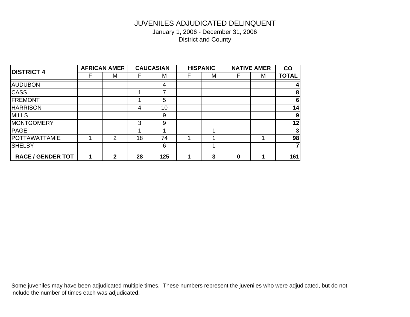January 1, 2006 - December 31, 2006 District and County

| <b>DISTRICT 4</b>        |   | <b>AFRICAN AMER</b> |    | <b>CAUCASIAN</b> |   | <b>HISPANIC</b> |          | <b>NATIVE AMER</b> | CO             |
|--------------------------|---|---------------------|----|------------------|---|-----------------|----------|--------------------|----------------|
|                          | F | м                   | F  | M                | F | M               | F        | M                  | <b>TOTAL</b>   |
| <b>AUDUBON</b>           |   |                     |    | 4                |   |                 |          |                    | 4              |
| <b>CASS</b>              |   |                     |    | 7                |   |                 |          |                    | 8              |
| <b>FREMONT</b>           |   |                     |    | 5                |   |                 |          |                    | 6              |
| <b>HARRISON</b>          |   |                     | 4  | 10               |   |                 |          |                    | 14             |
| <b>MILLS</b>             |   |                     |    | 9                |   |                 |          |                    | 9              |
| <b>MONTGOMERY</b>        |   |                     | 3  | 9                |   |                 |          |                    | 12             |
| <b>PAGE</b>              |   |                     |    |                  |   |                 |          |                    | $\mathbf{3}$   |
| <b>POTTAWATTAMIE</b>     | 1 | 2                   | 18 | 74               | 4 |                 |          |                    | 98             |
| <b>SHELBY</b>            |   |                     |    | 6                |   |                 |          |                    | $\overline{7}$ |
| <b>RACE / GENDER TOT</b> | 1 | $\mathbf{2}$        | 28 | 125              | 1 | 3               | $\bf{0}$ |                    | 161            |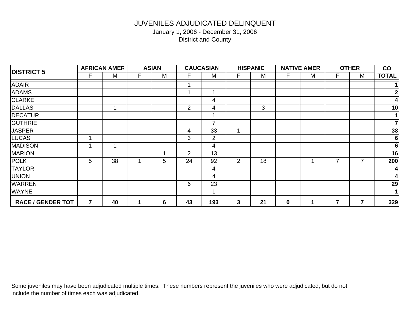January 1, 2006 - December 31, 2006 District and County

| <b>DISTRICT 5</b>        |   | <b>AFRICAN AMER</b> |   | <b>ASIAN</b> |                | <b>CAUCASIAN</b> |                | <b>HISPANIC</b> |             | <b>NATIVE AMER</b> |   | <b>OTHER</b>   | $\overline{co}$ |
|--------------------------|---|---------------------|---|--------------|----------------|------------------|----------------|-----------------|-------------|--------------------|---|----------------|-----------------|
|                          | F | M                   | F | M            | F              | M                | F              | M               | F           | M                  | F | M              | <b>TOTAL</b>    |
| <b>ADAIR</b>             |   |                     |   |              |                |                  |                |                 |             |                    |   |                | 1               |
| <b>ADAMS</b>             |   |                     |   |              |                |                  |                |                 |             |                    |   |                | $\mathbf{2}$    |
| <b>CLARKE</b>            |   |                     |   |              |                | 4                |                |                 |             |                    |   |                | 4               |
| <b>DALLAS</b>            |   | ◢                   |   |              | $\overline{2}$ | 4                |                | $\mathbf{3}$    |             |                    |   |                | 10              |
| <b>DECATUR</b>           |   |                     |   |              |                |                  |                |                 |             |                    |   |                | $\mathbf 1$     |
| <b>GUTHRIE</b>           |   |                     |   |              |                | $\overline{7}$   |                |                 |             |                    |   |                | 7               |
| <b>JASPER</b>            |   |                     |   |              | 4              | 33               |                |                 |             |                    |   |                | 38              |
| <b>LUCAS</b>             | 1 |                     |   |              | 3              | $\overline{2}$   |                |                 |             |                    |   |                | $6\phantom{1}6$ |
| <b>MADISON</b>           | 1 |                     |   |              |                | 4                |                |                 |             |                    |   |                | $6\phantom{1}6$ |
| <b>MARION</b>            |   |                     |   | и            | 2              | 13               |                |                 |             |                    |   |                | 16              |
| <b>POLK</b>              | 5 | 38                  |   | 5            | 24             | 92               | $\overline{2}$ | 18              |             | 1                  | 7 | $\overline{7}$ | 200             |
| <b>TAYLOR</b>            |   |                     |   |              |                | 4                |                |                 |             |                    |   |                | 4               |
| <b>UNION</b>             |   |                     |   |              |                | 4                |                |                 |             |                    |   |                | 4               |
| <b>WARREN</b>            |   |                     |   |              | 6              | 23               |                |                 |             |                    |   |                | 29              |
| <b>WAYNE</b>             |   |                     |   |              |                | 4                |                |                 |             |                    |   |                | $\mathbf{1}$    |
| <b>RACE / GENDER TOT</b> | 7 | 40                  | 1 | 6            | 43             | 193              | 3              | 21              | $\mathbf 0$ | 1                  | 7 | $\overline{7}$ | 329             |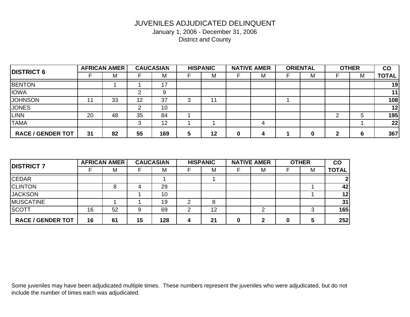January 1, 2006 - December 31, 2006 District and County

| <b>DISTRICT 6</b>        |    | <b>AFRICAN AMER</b> |    | <b>CAUCASIAN</b> |   | <b>HISPANIC</b> | <b>NATIVE AMER</b> | <b>ORIENTAL</b> | <b>OTHER</b> | CO           |
|--------------------------|----|---------------------|----|------------------|---|-----------------|--------------------|-----------------|--------------|--------------|
|                          |    | M                   |    | М                |   | ΙVΙ             | M                  | Μ               | M            | <b>TOTAL</b> |
| <b>BENTON</b>            |    |                     |    | 17               |   |                 |                    |                 |              | 19           |
| <b>IOWA</b>              |    |                     |    | 9                |   |                 |                    |                 |              | 11           |
| <b>JOHNSON</b>           |    | 33                  | 12 | 37               |   |                 |                    |                 |              | 108          |
| <b>JONES</b>             |    |                     |    | 10               |   |                 |                    |                 |              | 12           |
| <b>LINN</b>              | 20 | 48                  | 35 | 84               |   |                 |                    |                 | 5            | 195          |
| <b>TAMA</b>              |    |                     |    | 12               |   |                 |                    |                 |              | 22           |
| <b>RACE / GENDER TOT</b> | 31 | 82                  | 55 | 169              | 5 | 12              |                    | 0               | 6            | 367          |

| <b>DISTRICT 7</b>        |    | <b>AFRICAN AMER</b> |    | <b>CAUCASIAN</b> |   | <b>HISPANIC</b> |   | <b>NATIVE AMER</b> | <b>OTHER</b> | $_{\rm CO}$ |              |
|--------------------------|----|---------------------|----|------------------|---|-----------------|---|--------------------|--------------|-------------|--------------|
|                          |    | M                   |    | M                |   | M               |   | M                  |              | M           | <b>TOTAL</b> |
| <b>CEDAR</b>             |    |                     |    |                  |   |                 |   |                    |              |             |              |
| <b>CLINTON</b>           |    |                     | 4  | 29               |   |                 |   |                    |              |             | 42           |
| <b>JACKSON</b>           |    |                     |    | 10               |   |                 |   |                    |              |             | 12           |
| <b>MUSCATINE</b>         |    |                     |    | 19               |   |                 |   |                    |              |             | 31           |
| <b>SCOTT</b>             | 16 | 52                  | 9  | 69               |   | 12              |   | ⌒                  |              |             | 165          |
| <b>RACE / GENDER TOT</b> | 16 | 61                  | 15 | 128              | 4 | 21              | 0 | 2                  |              | 5           | 252          |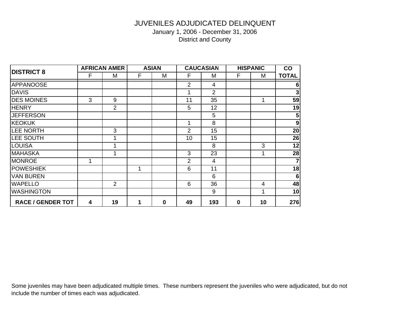January 1, 2006 - December 31, 2006 District and County

| <b>DISTRICT 8</b>        |                         | <b>AFRICAN AMER</b> |   | <b>ASIAN</b> |                | <b>CAUCASIAN</b> |          | <b>HISPANIC</b> | co                      |
|--------------------------|-------------------------|---------------------|---|--------------|----------------|------------------|----------|-----------------|-------------------------|
|                          | F                       | М                   | F | M            | F              | M                | F        | Μ               | <b>TOTAL</b>            |
| <b>APPANOOSE</b>         |                         |                     |   |              | $\overline{2}$ | $\overline{4}$   |          |                 | 6                       |
| <b>DAVIS</b>             |                         |                     |   |              | 1              | $\overline{2}$   |          |                 | $\overline{\mathbf{3}}$ |
| <b>DES MOINES</b>        | 3                       | 9                   |   |              | 11             | 35               |          |                 | 59                      |
| <b>HENRY</b>             |                         | $\overline{2}$      |   |              | 5              | 12               |          |                 | 19                      |
| <b>JEFFERSON</b>         |                         |                     |   |              |                | 5                |          |                 | $5\phantom{.0}$         |
| <b>KEOKUK</b>            |                         |                     |   |              | 1              | 8                |          |                 | $\boldsymbol{9}$        |
| <b>LEE NORTH</b>         |                         | 3                   |   |              | $\overline{2}$ | 15               |          |                 | 20                      |
| LEE SOUTH                |                         | 1                   |   |              | 10             | 15               |          |                 | 26                      |
| <b>LOUISA</b>            |                         | 4                   |   |              |                | 8                |          | 3               | 12                      |
| <b>MAHASKA</b>           |                         | 4                   |   |              | 3              | 23               |          | 1               | 28                      |
| <b>MONROE</b>            | 1                       |                     |   |              | $\overline{2}$ | 4                |          |                 | $\overline{7}$          |
| <b>POWESHIEK</b>         |                         |                     | 1 |              | 6              | 11               |          |                 | 18                      |
| <b>VAN BUREN</b>         |                         |                     |   |              |                | 6                |          |                 | $6\phantom{1}6$         |
| <b>WAPELLO</b>           |                         | 2                   |   |              | 6              | 36               |          | 4               | 48                      |
| <b>WASHINGTON</b>        |                         |                     |   |              |                | 9                |          | 1               | 10                      |
| <b>RACE / GENDER TOT</b> | $\overline{\mathbf{4}}$ | 19                  | 1 | $\mathbf 0$  | 49             | 193              | $\bf{0}$ | 10              | 276                     |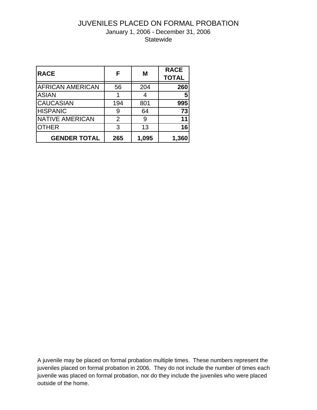January 1, 2006 - December 31, 2006

**Statewide** 

| <b>RACE</b>             | F              | M     | <b>RACE</b><br><b>TOTAL</b> |
|-------------------------|----------------|-------|-----------------------------|
| <b>AFRICAN AMERICAN</b> | 56             | 204   | 260                         |
| <b>ASIAN</b>            |                |       |                             |
| <b>CAUCASIAN</b>        | 194            | 801   | 995                         |
| <b>HISPANIC</b>         | 9              | 64    | $\overline{73}$             |
| <b>NATIVE AMERICAN</b>  | $\overline{2}$ | 9     | 11                          |
| <b>OTHER</b>            | 3              | 13    | 16                          |
| <b>GENDER TOTAL</b>     | 265            | 1,095 | 1,360                       |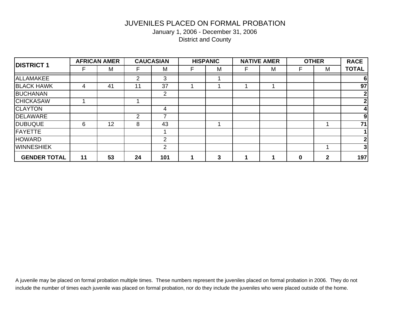January 1, 2006 - December 31, 2006 District and County

|                     |    | <b>AFRICAN AMER</b> |    | <b>CAUCASIAN</b> |   | <b>HISPANIC</b> |   | <b>NATIVE AMER</b> |   | <b>OTHER</b> | <b>RACE</b>    |
|---------------------|----|---------------------|----|------------------|---|-----------------|---|--------------------|---|--------------|----------------|
| <b>DISTRICT 1</b>   | F  | M                   | F  | M                | F | M               | F | M                  | F | M            | <b>TOTAL</b>   |
| <b>ALLAMAKEE</b>    |    |                     | 2  | 3                |   |                 |   |                    |   |              | 6              |
| <b>BLACK HAWK</b>   | 4  | 41                  | 11 | 37               |   |                 |   |                    |   |              | 97             |
| <b>BUCHANAN</b>     |    |                     |    | $\overline{2}$   |   |                 |   |                    |   |              | 2 <sub>1</sub> |
| <b>CHICKASAW</b>    |    |                     |    |                  |   |                 |   |                    |   |              | 2 <sub>l</sub> |
| <b>CLAYTON</b>      |    |                     |    | 4                |   |                 |   |                    |   |              | 4              |
| <b>DELAWARE</b>     |    |                     | 2  |                  |   |                 |   |                    |   |              | 9              |
| <b>DUBUQUE</b>      | 6  | 12                  | 8  | 43               |   |                 |   |                    |   |              | 71             |
| <b>FAYETTE</b>      |    |                     |    |                  |   |                 |   |                    |   |              |                |
| <b>HOWARD</b>       |    |                     |    | $\overline{2}$   |   |                 |   |                    |   |              | $\mathbf{2}$   |
| <b>WINNESHIEK</b>   |    |                     |    | $\overline{2}$   |   |                 |   |                    |   |              | 3              |
| <b>GENDER TOTAL</b> | 11 | 53                  | 24 | 101              |   |                 |   |                    |   | $\mathbf{2}$ | <b>197</b>     |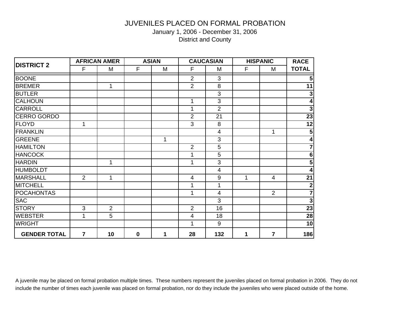January 1, 2006 - December 31, 2006 District and County

| <b>DISTRICT 2</b>   |                | <b>AFRICAN AMER</b> |              | <b>ASIAN</b> |                          | <b>CAUCASIAN</b>         |              | <b>HISPANIC</b> | <b>RACE</b>             |
|---------------------|----------------|---------------------|--------------|--------------|--------------------------|--------------------------|--------------|-----------------|-------------------------|
|                     | F              | M                   | $\mathsf{F}$ | M            | F                        | M                        | F            | M               | <b>TOTAL</b>            |
| <b>BOONE</b>        |                |                     |              |              | $\overline{2}$           | 3                        |              |                 | ${\bf 5}$               |
| <b>BREMER</b>       |                | 1                   |              |              | $\overline{2}$           | $\,8\,$                  |              |                 | 11                      |
| <b>BUTLER</b>       |                |                     |              |              |                          | 3                        |              |                 | $\mathbf 3$             |
| <b>CALHOUN</b>      |                |                     |              |              | 1                        | $\overline{3}$           |              |                 | $\overline{\mathbf{4}}$ |
| <b>CARROLL</b>      |                |                     |              |              | 1                        | $\overline{2}$           |              |                 | $\overline{\mathbf{3}}$ |
| <b>CERRO GORDO</b>  |                |                     |              |              | $\overline{2}$           | 21                       |              |                 | 23                      |
| FLOYD               | 1              |                     |              |              | 3                        | 8                        |              |                 | 12                      |
| FRANKLIN            |                |                     |              |              |                          | 4                        |              | 1               | $\overline{\mathbf{5}}$ |
| <b>GREENE</b>       |                |                     |              | $\mathbf 1$  |                          | 3                        |              |                 | $\overline{\mathbf{4}}$ |
| <b>HAMILTON</b>     |                |                     |              |              | $\overline{2}$           | $\overline{5}$           |              |                 | $\overline{\mathbf{7}}$ |
| <b>HANCOCK</b>      |                |                     |              |              | 1                        | 5                        |              |                 | $\bf 6$                 |
| <b>HARDIN</b>       |                | 1                   |              |              | 1                        | 3                        |              |                 | $\overline{\mathbf{5}}$ |
| <b>HUMBOLDT</b>     |                |                     |              |              |                          | 4                        |              |                 | $\overline{4}$          |
| MARSHALL            | $\overline{2}$ | 1                   |              |              | $\overline{\mathcal{A}}$ | 9                        | $\mathbf{1}$ | $\overline{4}$  | $\overline{21}$         |
| <b>MITCHELL</b>     |                |                     |              |              | 1                        | 1                        |              |                 | $\mathbf{2}$            |
| <b>POCAHONTAS</b>   |                |                     |              |              | 1                        | $\overline{\mathcal{A}}$ |              | $\overline{2}$  | $\overline{\mathbf{7}}$ |
| <b>SAC</b>          |                |                     |              |              |                          | 3                        |              |                 | $\overline{\mathbf{3}}$ |
| <b>STORY</b>        | 3              | $\overline{2}$      |              |              | $\overline{2}$           | 16                       |              |                 | 23                      |
| <b>WEBSTER</b>      | 1              | 5                   |              |              | 4                        | 18                       |              |                 | 28                      |
| <b>WRIGHT</b>       |                |                     |              |              | 1                        | 9                        |              |                 | 10                      |
| <b>GENDER TOTAL</b> | $\overline{7}$ | 10                  | $\mathbf 0$  | 1            | 28                       | 132                      | 1            | $\overline{7}$  | 186                     |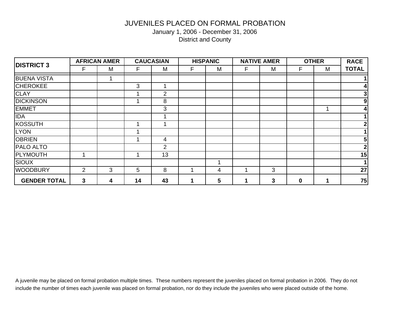January 1, 2006 - December 31, 2006 District and County

| <b>DISTRICT 3</b>   | <b>AFRICAN AMER</b> |   | <b>CAUCASIAN</b> |                | <b>HISPANIC</b>      |   | <b>NATIVE AMER</b> |   | <b>OTHER</b> |                      | <b>RACE</b>    |
|---------------------|---------------------|---|------------------|----------------|----------------------|---|--------------------|---|--------------|----------------------|----------------|
|                     | F                   | M | F                | M              | F                    | M | F                  | M | F            | M                    | <b>TOTAL</b>   |
| <b>BUENA VISTA</b>  |                     |   |                  |                |                      |   |                    |   |              |                      |                |
| <b>CHEROKEE</b>     |                     |   | 3                |                |                      |   |                    |   |              |                      |                |
| <b>CLAY</b>         |                     |   |                  | $\overline{2}$ |                      |   |                    |   |              |                      | 3              |
| <b>DICKINSON</b>    |                     |   |                  | 8              |                      |   |                    |   |              |                      | 9              |
| <b>EMMET</b>        |                     |   |                  | 3              |                      |   |                    |   |              |                      | 4              |
| <b>IDA</b>          |                     |   |                  |                |                      |   |                    |   |              |                      |                |
| KOSSUTH             |                     |   |                  |                |                      |   |                    |   |              |                      | 2              |
| <b>LYON</b>         |                     |   |                  |                |                      |   |                    |   |              |                      |                |
| <b>OBRIEN</b>       |                     |   |                  | 4              |                      |   |                    |   |              |                      | 5              |
| <b>PALO ALTO</b>    |                     |   |                  | $\overline{2}$ |                      |   |                    |   |              |                      | 2 <sub>1</sub> |
| <b>PLYMOUTH</b>     | 1                   |   |                  | 13             |                      |   |                    |   |              |                      | 15             |
| <b>SIOUX</b>        |                     |   |                  |                |                      |   |                    |   |              |                      |                |
| <b>WOODBURY</b>     | 2                   | 3 | 5                | 8              | 4                    | 4 |                    | 3 |              |                      | 27             |
| <b>GENDER TOTAL</b> | 3                   | 4 | 14               | 43             | $\blacktriangleleft$ | 5 |                    | 3 | $\bf{0}$     | $\blacktriangleleft$ | 75             |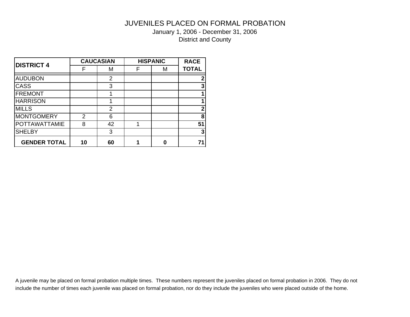January 1, 2006 - December 31, 2006 District and County

| <b>DISTRICT 4</b>    |                | <b>CAUCASIAN</b> | <b>HISPANIC</b> | <b>RACE</b> |                |
|----------------------|----------------|------------------|-----------------|-------------|----------------|
|                      | F              | M                | F               | м           | <b>TOTAL</b>   |
| <b>AUDUBON</b>       |                | 2                |                 |             | $\mathbf 2$    |
| <b>CASS</b>          |                | 3                |                 |             | 3              |
| <b>FREMONT</b>       |                |                  |                 |             | 1              |
| <b>HARRISON</b>      |                |                  |                 |             | 1              |
| <b>MILLS</b>         |                | 2                |                 |             | $\overline{2}$ |
| <b>MONTGOMERY</b>    | $\overline{2}$ | 6                |                 |             | 8              |
| <b>POTTAWATTAMIE</b> | 8              | 42               |                 |             | 51             |
| <b>SHELBY</b>        |                | 3                |                 |             | $\mathbf{3}$   |
| <b>GENDER TOTAL</b>  | 10             | 60               |                 |             | 71             |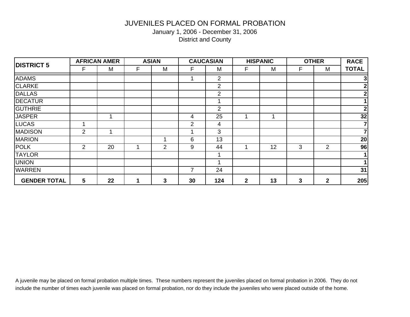January 1, 2006 - December 31, 2006 District and County

|                     | <b>AFRICAN AMER</b> |    | <b>ASIAN</b> |                | <b>CAUCASIAN</b> |                | <b>HISPANIC</b> |    | <b>OTHER</b> |                | <b>RACE</b>    |
|---------------------|---------------------|----|--------------|----------------|------------------|----------------|-----------------|----|--------------|----------------|----------------|
| <b>DISTRICT 5</b>   | F                   | M  | F            | M              | F                | M              | F               | M  | F            | M              | <b>TOTAL</b>   |
| <b>ADAMS</b>        |                     |    |              |                |                  | $\overline{2}$ |                 |    |              |                | 3              |
| <b>CLARKE</b>       |                     |    |              |                |                  | $\overline{2}$ |                 |    |              |                | 2              |
| <b>DALLAS</b>       |                     |    |              |                |                  | $\overline{2}$ |                 |    |              |                | 2              |
| <b>DECATUR</b>      |                     |    |              |                |                  |                |                 |    |              |                |                |
| <b>GUTHRIE</b>      |                     |    |              |                |                  | 2              |                 |    |              |                | $2 \mid$       |
| <b>JASPER</b>       |                     |    |              |                | 4                | 25             |                 | 1  |              |                | 32             |
| <b>LUCAS</b>        |                     |    |              |                | 2                | 4              |                 |    |              |                | $\overline{7}$ |
| <b>MADISON</b>      | $\overline{2}$      |    |              |                |                  | 3              |                 |    |              |                | $\overline{7}$ |
| <b>MARION</b>       |                     |    |              | 1              | 6                | 13             |                 |    |              |                | 20             |
| <b>POLK</b>         | 2                   | 20 |              | $\overline{2}$ | 9                | 44             |                 | 12 | 3            | $\overline{2}$ | 96             |
| <b>TAYLOR</b>       |                     |    |              |                |                  |                |                 |    |              |                |                |
| <b>UNION</b>        |                     |    |              |                |                  |                |                 |    |              |                |                |
| <b>WARREN</b>       |                     |    |              |                | 7                | 24             |                 |    |              |                | 31             |
| <b>GENDER TOTAL</b> | $5\phantom{1}$      | 22 |              | 3              | 30               | 124            | $\overline{2}$  | 13 | 3            | $\mathbf{2}$   | 205            |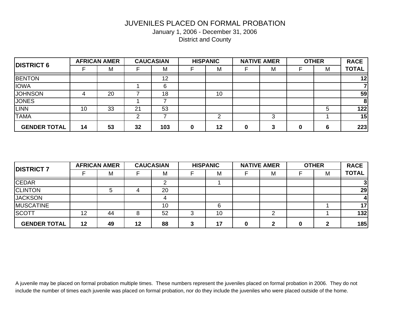January 1, 2006 - December 31, 2006 District and County

|                     | <b>AFRICAN AMER</b> |    | <b>CAUCASIAN</b> |     | <b>HISPANIC</b> |    | <b>NATIVE AMER</b> |   | <b>OTHER</b> |   | <b>RACE</b>     |  |
|---------------------|---------------------|----|------------------|-----|-----------------|----|--------------------|---|--------------|---|-----------------|--|
| <b>DISTRICT 6</b>   |                     | M  |                  | M   |                 | M  |                    | M |              | M | <b>TOTAL</b>    |  |
| <b>BENTON</b>       |                     |    |                  | 12  |                 |    |                    |   |              |   | 12              |  |
| <b>IOWA</b>         |                     |    |                  | 6   |                 |    |                    |   |              |   |                 |  |
| <b>JOHNSON</b>      | Δ                   | 20 |                  | 18  |                 | 10 |                    |   |              |   | 59 <sub>l</sub> |  |
| <b>JONES</b>        |                     |    |                  |     |                 |    |                    |   |              |   | 8               |  |
| <b>LINN</b>         | 10                  | 33 | 21               | 53  |                 |    |                    |   |              | 5 | 122             |  |
| <b>TAMA</b>         |                     |    | ົ                |     |                 | ◠  |                    | 3 |              |   | 15              |  |
| <b>GENDER TOTAL</b> | 14                  | 53 | 32               | 103 | 0               | 12 |                    |   |              | 6 | 223             |  |

| <b>DISTRICT 7</b>   | <b>AFRICAN AMER</b> |    | <b>CAUCASIAN</b> |    | <b>HISPANIC</b> |    | <b>NATIVE AMER</b> |   | <b>OTHER</b> |   | <b>RACE</b>  |  |
|---------------------|---------------------|----|------------------|----|-----------------|----|--------------------|---|--------------|---|--------------|--|
|                     |                     | M  |                  | M  |                 | M  |                    | M |              | M | <b>TOTAL</b> |  |
| <b>CEDAR</b>        |                     |    |                  |    |                 |    |                    |   |              |   |              |  |
| <b>CLINTON</b>      |                     |    |                  | 20 |                 |    |                    |   |              |   | 29           |  |
| <b>JACKSON</b>      |                     |    |                  |    |                 |    |                    |   |              |   |              |  |
| <b>MUSCATINE</b>    |                     |    |                  | 10 |                 |    |                    |   |              |   | 17           |  |
| <b>SCOTT</b>        | 12                  | 44 |                  | 52 | ◠               | 10 |                    |   |              |   | 132          |  |
| <b>GENDER TOTAL</b> | 12                  | 49 | 12               | 88 |                 | 17 |                    |   | n            |   | 185          |  |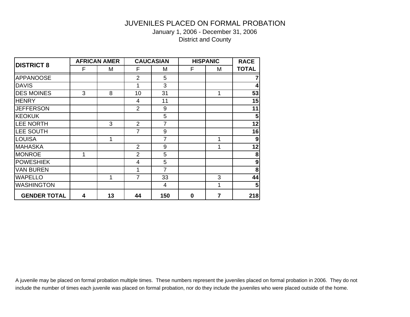January 1, 2006 - December 31, 2006 District and County

| <b>DISTRICT 8</b>   |   | <b>AFRICAN AMER</b> |                | <b>CAUCASIAN</b> | <b>HISPANIC</b> | <b>RACE</b> |                  |
|---------------------|---|---------------------|----------------|------------------|-----------------|-------------|------------------|
|                     | F | Μ                   | F              | M                | F               | M           | <b>TOTAL</b>     |
| <b>APPANOOSE</b>    |   |                     | $\overline{2}$ | 5                |                 |             |                  |
| <b>DAVIS</b>        |   |                     | 1              | 3                |                 |             |                  |
| <b>DES MOINES</b>   | 3 | 8                   | 10             | 31               |                 | 1           | 53               |
| <b>HENRY</b>        |   |                     | 4              | 11               |                 |             | 15               |
| <b>JEFFERSON</b>    |   |                     | $\overline{2}$ | 9                |                 |             | 11               |
| <b>KEOKUK</b>       |   |                     |                | 5                |                 |             | 5                |
| <b>LEE NORTH</b>    |   | 3                   | $\overline{2}$ | $\overline{7}$   |                 |             | 12               |
| <b>LEE SOUTH</b>    |   |                     | 7              | 9                |                 |             | 16               |
| <b>LOUISA</b>       |   | 1                   |                | $\overline{7}$   |                 | 1           | $\boldsymbol{9}$ |
| <b>MAHASKA</b>      |   |                     | $\overline{2}$ | 9                |                 |             | 12               |
| <b>MONROE</b>       | 1 |                     | $\overline{2}$ | 5                |                 |             | 8                |
| <b>POWESHIEK</b>    |   |                     | 4              | 5                |                 |             | $\boldsymbol{9}$ |
| <b>VAN BUREN</b>    |   |                     | 1              | $\overline{7}$   |                 |             | 8                |
| <b>WAPELLO</b>      |   | 1                   | $\overline{7}$ | 33               |                 | 3           | 44               |
| <b>WASHINGTON</b>   |   |                     |                | $\overline{4}$   |                 | 1           | 5                |
| <b>GENDER TOTAL</b> | 4 | 13                  | 44             | 150              | $\bf{0}$        | 7           | 218              |